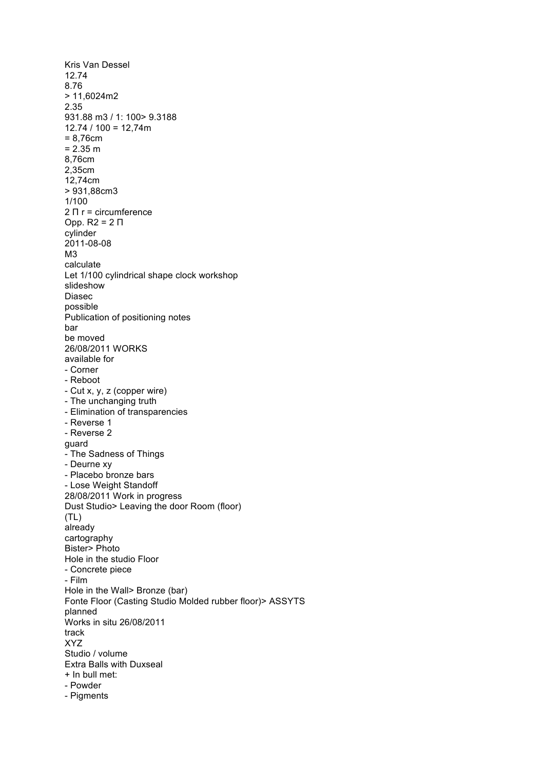Kris Van Dessel 12.74 8.76 > 11,6024m2 2.35 931.88 m3 / 1: 100> 9.3188  $12.74 / 100 = 12,74m$ = 8,76cm  $= 2.35$  m 8,76cm 2,35cm 12,74cm > 931,88cm3 1/100 2 Π r = circumference Opp. R2 = 2 Π cylinder 2011 -08 -08 M3 calculate Let 1/100 cylindrical shape clock workshop slideshow Diasec possible Publication of positioning notes bar be moved 26/08/2011 WORKS available for - Corner - Reboot - Cut x, y, z (copper wire) - The unchanging truth - Elimination of transparencies - Reverse 1 - Reverse 2 guard - The Sadness of Things - Deurne xy - Placebo bronze bars - Lose Weight Standoff 28/08/2011 Work in progress Dust Studio> Leaving the door Room (floor)  $(TL)$ already cartography Bister> Photo Hole in the studio Floor - Concrete piece - Film Hole in the Wall> Bronze (bar) Fonte Floor (Casting Studio Molded rubber floor)> ASSYTS planned Works in situ 26/08/2011 track XYZ Studio / volume Extra Balls with Duxseal + In bull met: - Powder - Pigments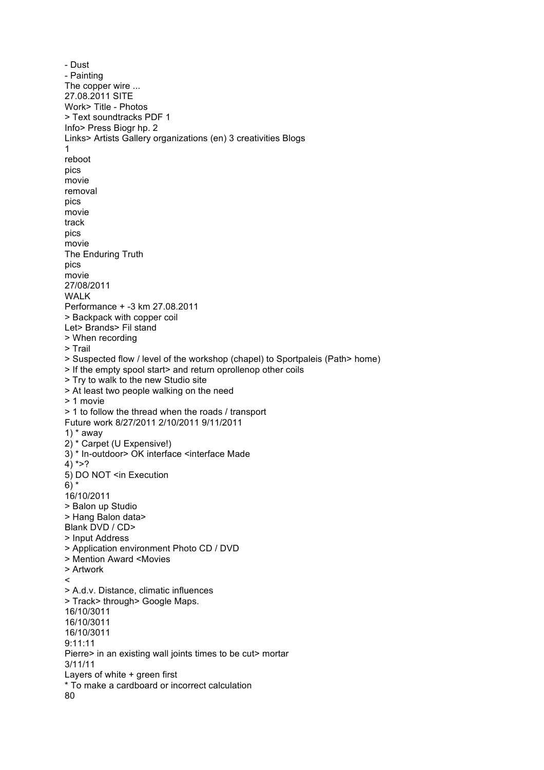```
- Dust
- Painting
The copper wire ...
27.08.2011 SITE
Work> Title - Photos
> Text soundtracks PDF 1
Info> Press Biogr hp. 2
Links> Artists Gallery organizations (en) 3 creativities Blogs
1
reboot
pics
movie
removal
pics
movie
track
pics
movie
The Enduring Truth
pics
movie
27/08/2011
WALK
Performance + -3 km 27.08.2011
> Backpack with copper coil
Let> Brands> Fil stand
> When recording
> Trail
> Suspected flow / level of the workshop (chapel) to Sportpaleis (Path> home)
> If the empty spool start> and return oprollenop other coils
> Try to walk to the new Studio site
> At least two people walking on the need
> 1 movie
> 1 to follow the thread when the roads / transport
Future work 8/27/2011 2/10/2011 9/11/2011
1) * away
2) * Carpet (U Expensive!)
3) * In-outdoor> OK interface <interface Made
4) * >?
5) DO NOT <in Execution
6) *
16/10/2011
> Balon up Studio
> Hang Balon data>
Blank DVD / CD>
> Input Address
> Application environment Photo CD / DVD
> Mention Award <Movies
> Artwork
\prec> A.d.v. Distance, climatic influences
> Track> through> Google Maps.
16/10/3011
16/10/3011
16/10/3011
9:11:11
Pierre> in an existing wall joints times to be cut> mortar
3/11/11
Layers of white + green first
* To make a cardboard or incorrect calculation
80
```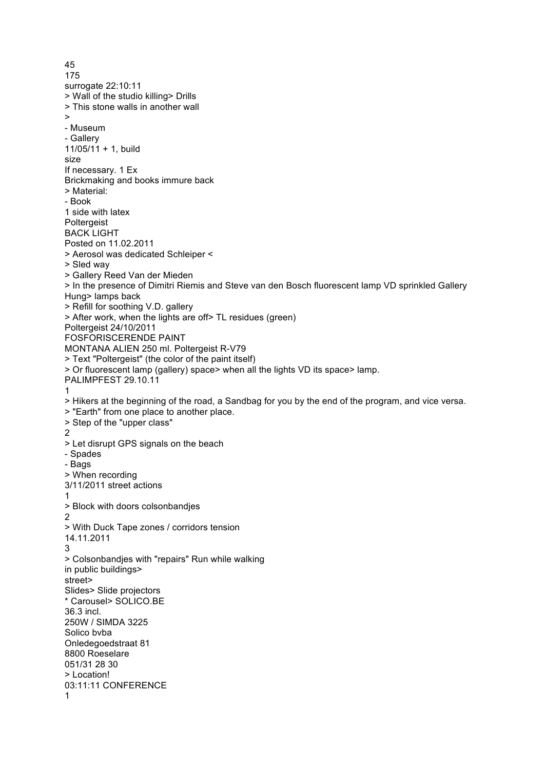45 175 surrogate 22:10:11 > Wall of the studio killing> Drills > This stone walls in another wall > - Museum - Gallery 11/05/11 + 1, build size If necessary. 1 Ex Brickmaking and books immure back > Material: - Book 1 side with latex **Poltergeist** BACK LIGHT Posted on 11.02.2011 > Aerosol was dedicated Schleiper < > Sled way > Gallery Reed Van der Mieden > In the presence of Dimitri Riemis and Steve van den Bosch fluorescent lamp VD sprinkled Gallery Hung> lamps back > Refill for soothing V.D. gallery > After work, when the lights are off> TL residues (green) Poltergeist 24/10/2011 FOSFORISCERENDE PAINT MONTANA ALIEN 250 ml. Poltergeist R-V79 > Text "Poltergeist" (the color of the paint itself) > Or fluorescent lamp (gallery) space> when all the lights VD its space> lamp. PALIMPFEST 29.10.11 1 > Hikers at the beginning of the road, a Sandbag for you by the end of the program, and vice versa. > "Earth" from one place to another place. > Step of the "upper class" 2 > Let disrupt GPS signals on the beach - Spades - Bags > When recording 3/11/2011 street actions 1 > Block with doors colsonbandjes 2 > With Duck Tape zones / corridors tension 14.11.2011 3 > Colsonbandjes with "repairs" Run while walking in public buildings> street> Slides> Slide projectors \* Carousel> SOLICO.BE 36.3 incl. 250W / SIMDA 3225 Solico bvba Onledegoedstraat 81 8800 Roeselare 051/31 28 30 > Location! 03:11:11 CONFERENCE 1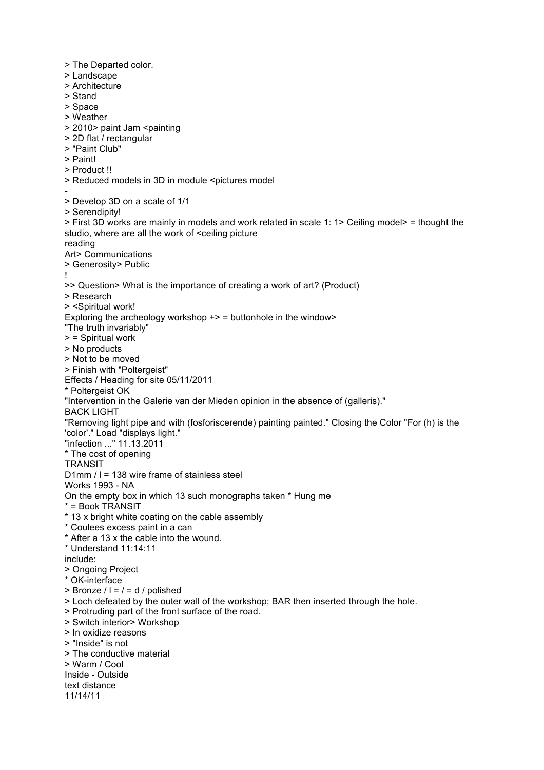> The Departed color. > Landscape

- > Architecture
- > Stand
- > Space
- > Weather
- > 2010> paint Jam <painting
- > 2D flat / rectangular
- > "Paint Club"
- > Paint!
- > Product !!
- > Reduced models in 3D in module <pictures model
- > Develop 3D on a scale of 1/1
- > Serendipity!

> First 3D works are mainly in models and work related in scale 1: 1> Ceiling model> = thought the studio, where are all the work of <ceiling picture

reading

- Art> Communications > Generosity> Public
- !
- >> Question> What is the importance of creating a work of art? (Product)
- > Research
- > <Spiritual work!
- Exploring the archeology workshop  $\rightarrow$  = buttonhole in the window

"The truth invariably"

- > = Spiritual work
- > No products
- > Not to be moved
- > Finish with "Poltergeist"

Effects / Heading for site 05/11/2011

- \* Poltergeist OK
- "Intervention in the Galerie van der Mieden opinion in the absence of (galleris)."
- BACK LIGHT

"Removing light pipe and with (fosforiscerende) painting painted." Closing the Color "For (h) is the 'color'." Load "displays light."

- "infection ..." 11.13.2011
- \* The cost of opening

**TRANSIT** 

- D1mm / l = 138 wire frame of stainless steel
- Works 1993 NA
- On the empty box in which 13 such monographs taken \* Hung me
- \* = Book TRANSIT
- \* 13 x bright white coating on the cable assembly
- \* Coulees excess paint in a can
- \* After a 13 x the cable into the wound.
- \* Understand 11:14:11
- include:
- > Ongoing Project
- \* OK-interface
- $>$  Bronze  $/$  l =  $/$  = d  $/$  polished
- > Loch defeated by the outer wall of the workshop; BAR then inserted through the hole.
- > Protruding part of the front surface of the road.
- > Switch interior> Workshop
- > In oxidize reasons
- > "Inside" is not
- > The conductive material
- > Warm / Cool
- Inside Outside
- text distance
- 11/14/11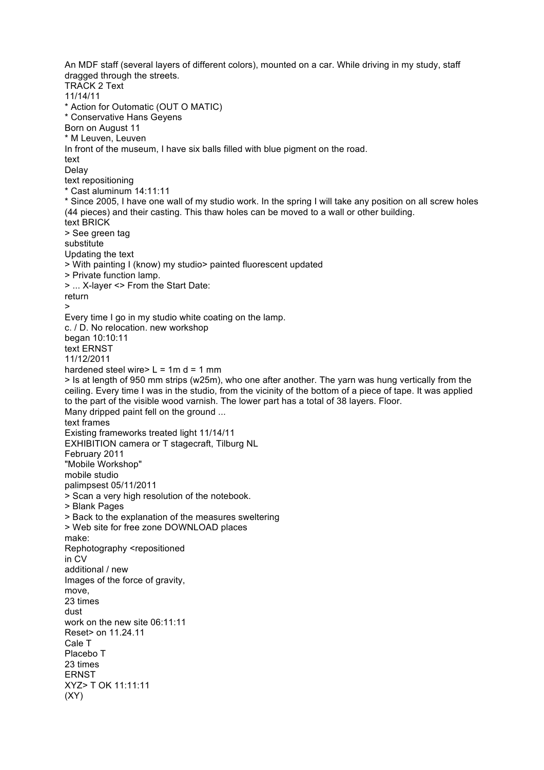An MDF staff (several layers of different colors), mounted on a car. While driving in my study, staff dragged through the streets. TRACK 2 Text 11/14/11 \* Action for Outomatic (OUT O MATIC) \* Conservative Hans Geyens Born on August 11 \* M Leuven, Leuven In front of the museum, I have six balls filled with blue pigment on the road. text Delay text repositioning \* Cast aluminum 14:11:11 \* Since 2005, I have one wall of my studio work. In the spring I will take any position on all screw holes (44 pieces) and their casting. This thaw holes can be moved to a wall or other building. text BRICK > See green tag substitute Updating the text > With painting I (know) my studio> painted fluorescent updated > Private function lamp. > ... X-layer <> From the Start Date: return > Every time I go in my studio white coating on the lamp. c. / D. No relocation. new workshop began 10:10:11 text ERNST 11/12/2011 hardened steel wire $> L = 1$ m d = 1 mm > Is at length of 950 mm strips (w25m), who one after another. The yarn was hung vertically from the ceiling. Every time I was in the studio, from the vicinity of the bottom of a piece of tape. It was applied to the part of the visible wood varnish. The lower part has a total of 38 layers. Floor. Many dripped paint fell on the ground ... text frames Existing frameworks treated light 11/14/11 EXHIBITION camera or T stagecraft, Tilburg NL February 2011 "Mobile Workshop" mobile studio palimpsest 05/11/2011 > Scan a very high resolution of the notebook. > Blank Pages > Back to the explanation of the measures sweltering > Web site for free zone DOWNLOAD places make: Rephotography <repositioned in CV additional / new Images of the force of gravity, move, 23 times dust work on the new site 06:11:11 Reset> on 11.24.11 Cale T Placebo T 23 times ERNST XYZ> T OK 11:11:11  $(XY)$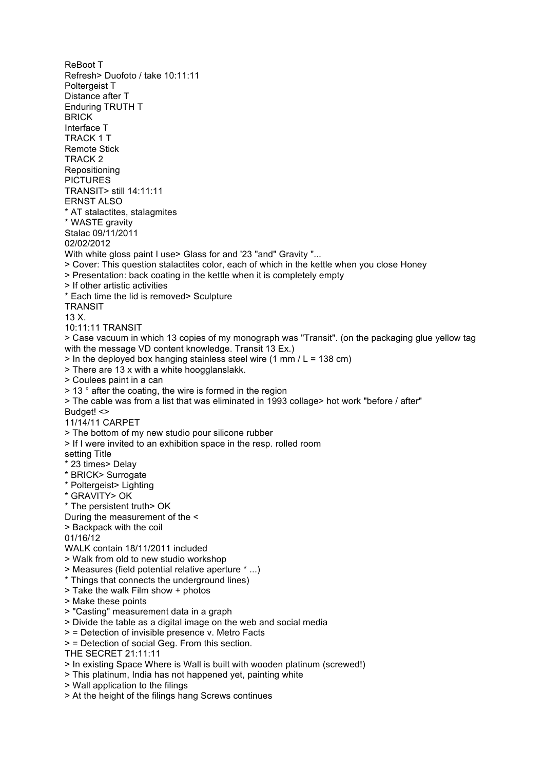ReBoot T Refresh> Duofoto / take 10:11:11 Poltergeist T Distance after T Enduring TRUTH T BRICK Interface T TRACK 1 T Remote Stick TRACK 2 Repositioning PICTURES TRANSIT> still 14:11:11 ERNST ALSO \* AT stalactites, stalagmites \* WASTE gravity Stalac 09/11/2011 02/02/2012 With white gloss paint I use > Glass for and '23 "and" Gravity "... > Cover: This question stalactites color, each of which in the kettle when you close Honey > Presentation: back coating in the kettle when it is completely empty > If other artistic activities \* Each time the lid is removed> Sculpture **TRANSIT** 13 X. 10:11:11 TRANSIT > Case vacuum in which 13 copies of my monograph was "Transit". (on the packaging glue yellow tag with the message VD content knowledge. Transit 13 Ex.)  $>$  In the deployed box hanging stainless steel wire (1 mm / L = 138 cm) > There are 13 x with a white hoogglanslakk. > Coulees paint in a can > 13 ° after the coating, the wire is formed in the region > The cable was from a list that was eliminated in 1993 collage> hot work "before / after" Budget! <> 11/14/11 CARPET > The bottom of my new studio pour silicone rubber > If I were invited to an exhibition space in the resp. rolled room setting Title \* 23 times> Delay \* BRICK> Surrogate \* Poltergeist> Lighting \* GRAVITY> OK \* The persistent truth> OK During the measurement of the < > Backpack with the coil 01/16/12 WALK contain 18/11/2011 included > Walk from old to new studio workshop > Measures (field potential relative aperture \* ...) \* Things that connects the underground lines) > Take the walk Film show + photos > Make these points > "Casting" measurement data in a graph > Divide the table as a digital image on the web and social media > = Detection of invisible presence v. Metro Facts > = Detection of social Geg. From this section. THE SECRET 21:11:11 > In existing Space Where is Wall is built with wooden platinum (screwed!) > This platinum, India has not happened yet, painting white > Wall application to the filings > At the height of the filings hang Screws continues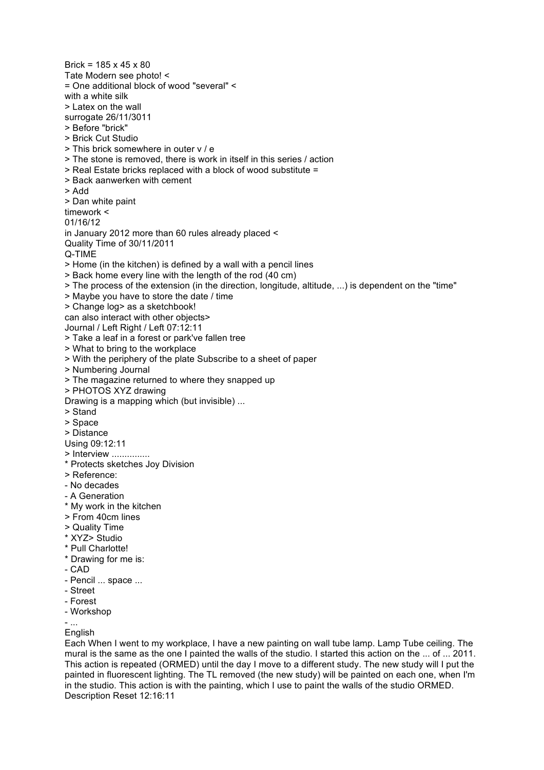Tate Modern see photo! < = One additional block of wood "several" < with a white silk > Latex on the wall surrogate 26/11/3011 > Before "brick" > Brick Cut Studio > This brick somewhere in outer v / e > The stone is removed, there is work in itself in this series / action > Real Estate bricks replaced with a block of wood substitute = > Back aanwerken with cement > Add > Dan white paint timework < 01/16/12 in January 2012 more than 60 rules already placed < Quality Time of 30/11/2011 Q-TIME > Home (in the kitchen) is defined by a wall with a pencil lines > Back home every line with the length of the rod (40 cm) > The process of the extension (in the direction, longitude, altitude, ...) is dependent on the "time" > Maybe you have to store the date / time > Change log> as a sketchbook! can also interact with other objects> Journal / Left Right / Left 07:12:11 > Take a leaf in a forest or park've fallen tree > What to bring to the workplace > With the periphery of the plate Subscribe to a sheet of paper > Numbering Journal > The magazine returned to where they snapped up > PHOTOS XYZ drawing Drawing is a mapping which (but invisible) ... > Stand > Space > Distance Using 09:12:11 > Interview ............... \* Protects sketches Joy Division > Reference: - No decades - A Generation \* My work in the kitchen > From 40cm lines > Quality Time \* XYZ> Studio \* Pull Charlotte! \* Drawing for me is: - CAD - Pencil ... space ... - Street - Forest - Workshop - ... **English** Each When I went to my workplace, I have a new painting on wall tube lamp. Lamp Tube ceiling. The

Brick =  $185 \times 45 \times 80$ 

mural is the same as the one I painted the walls of the studio. I started this action on the ... of ... 2011. This action is repeated (ORMED) until the day I move to a different study. The new study will I put the painted in fluorescent lighting. The TL removed (the new study) will be painted on each one, when I'm in the studio. This action is with the painting, which I use to paint the walls of the studio ORMED. Description Reset 12:16:11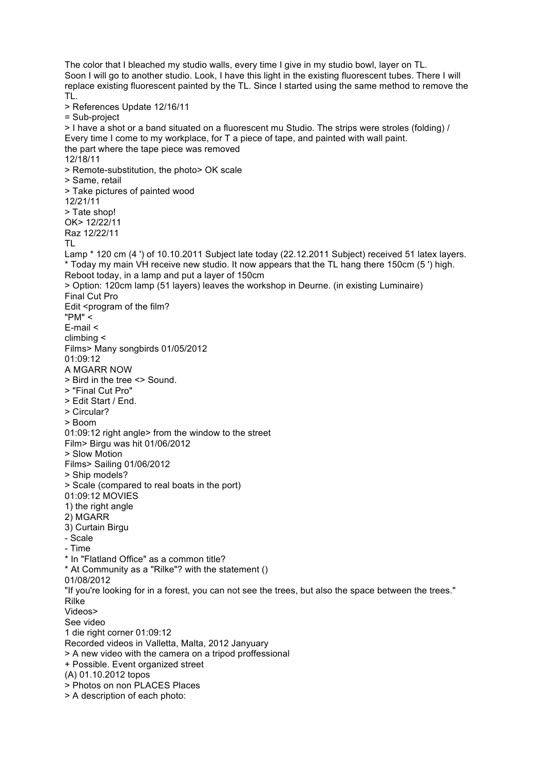The color that I bleached my studio walls, every time I give in my studio bowl, layer on TL. Soon I will go to another studio. Look, I have this light in the existing fluorescent tubes. There I will replace existing fluorescent painted by the TL. Since I started using the same method to remove the TL. > References Update 12/16/11 = Sub-project > I have a shot or a band situated on a fluorescent mu Studio. The strips were stroles (folding) / Every time I come to my workplace, for T a piece of tape, and painted with wall paint. the part where the tape piece was removed 12/18/11 > Remote-substitution, the photo> OK scale > Same, retail > Take pictures of painted wood 12/21/11 > Tate shop! OK> 12/22/11 Raz 12/22/11 TL Lamp \* 120 cm (4 ') of 10.10.2011 Subject late today (22.12.2011 Subject) received 51 latex layers. \* Today my main VH receive new studio. It now appears that the TL hang there 150cm (5 ') high. Reboot today, in a lamp and put a layer of 150cm > Option: 120cm lamp (51 layers) leaves the workshop in Deurne. (in existing Luminaire) Final Cut Pro Edit <program of the film? "PM" < E-mail < climbing < Films> Many songbirds 01/05/2012 01:09:12 A MGARR NOW > Bird in the tree <> Sound. > "Final Cut Pro" > Edit Start / End. > Circular? > Boom 01:09:12 right angle> from the window to the street Film> Birgu was hit 01/06/2012 > Slow Motion Films> Sailing 01/06/2012 > Ship models? > Scale (compared to real boats in the port) 01:09:12 MOVIES 1) the right angle 2) MGARR 3) Curtain Birgu - Scale - Time \* In "Flatland Office" as a common title? \* At Community as a "Rilke"? with the statement () 01/08/2012 "If you're looking for in a forest, you can not see the trees, but also the space between the trees." Rilke Videos> See video 1 die right corner 01:09:12 Recorded videos in Valletta, Malta, 2012 Janyuary > A new video with the camera on a tripod proffessional + Possible. Event organized street (A) 01.10.2012 topos > Photos on non PLACES Places > A description of each photo: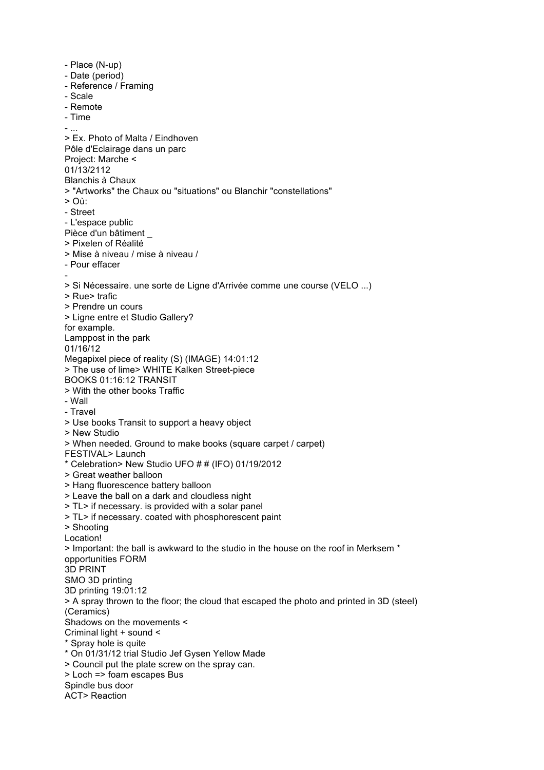- Place (N-up) - Date (period) - Reference / Framing - Scale - Remote - Time - ... > Ex. Photo of Malta / Eindhoven Pôle d'Eclairage dans un parc Project: Marche < 01/13/2112 Blanchis à Chaux > "Artworks" the Chaux ou "situations" ou Blanchir "constellations" > Où: - Street - L'espace public Pièce d'un bâtiment > Pixelen of Réalité > Mise à niveau / mise à niveau / - Pour effacer - > Si Nécessaire. une sorte de Ligne d'Arrivée comme une course (VELO ...) > Rue> trafic > Prendre un cours > Ligne entre et Studio Gallery? for example. Lamppost in the park 01/16/12 Megapixel piece of reality (S) (IMAGE) 14:01:12 > The use of lime> WHITE Kalken Street-piece BOOKS 01:16:12 TRANSIT > With the other books Traffic - Wall - Travel > Use books Transit to support a heavy object > New Studio > When needed. Ground to make books (square carpet / carpet) FESTIVAL> Launch \* Celebration> New Studio UFO # # (IFO) 01/19/2012 > Great weather balloon > Hang fluorescence battery balloon > Leave the ball on a dark and cloudless night > TL> if necessary. is provided with a solar panel > TL> if necessary. coated with phosphorescent paint > Shooting Location! > Important: the ball is awkward to the studio in the house on the roof in Merksem \* opportunities FORM 3D PRINT SMO 3D printing 3D printing 19:01:12 > A spray thrown to the floor; the cloud that escaped the photo and printed in 3D (steel) (Ceramics) Shadows on the movements < Criminal light + sound < \* Spray hole is quite \* On 01/31/12 trial Studio Jef Gysen Yellow Made > Council put the plate screw on the spray can. > Loch => foam escapes Bus Spindle bus door ACT> Reaction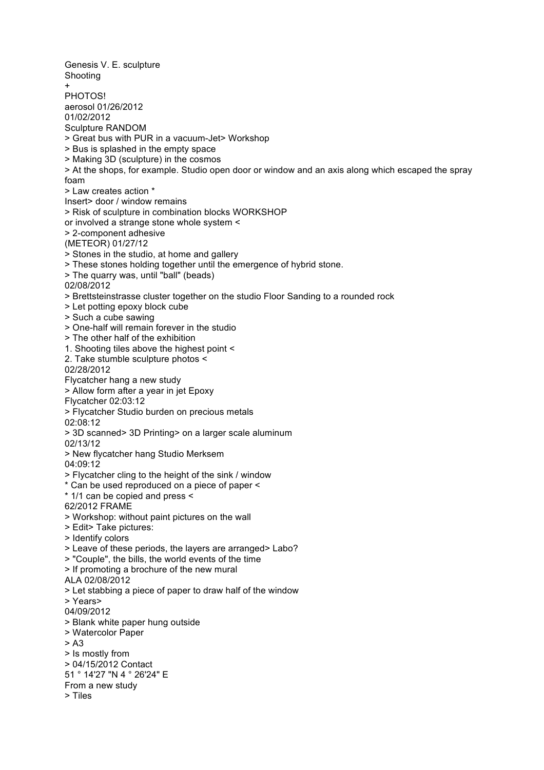Genesis V. E. sculpture Shooting + PHOTOS! aerosol 01/26/2012 01/02/2012 Sculpture RANDOM > Great bus with PUR in a vacuum-Jet> Workshop > Bus is splashed in the empty space > Making 3D (sculpture) in the cosmos > At the shops, for example. Studio open door or window and an axis along which escaped the spray foam > Law creates action \* Insert> door / window remains > Risk of sculpture in combination blocks WORKSHOP or involved a strange stone whole system < > 2-component adhesive (METEOR) 01/27/12 > Stones in the studio, at home and gallery > These stones holding together until the emergence of hybrid stone. > The quarry was, until "ball" (beads) 02/08/2012 > Brettsteinstrasse cluster together on the studio Floor Sanding to a rounded rock > Let potting epoxy block cube > Such a cube sawing > One-half will remain forever in the studio > The other half of the exhibition 1. Shooting tiles above the highest point < 2. Take stumble sculpture photos < 02/28/2012 Flycatcher hang a new study > Allow form after a year in jet Epoxy Flycatcher 02:03:12 > Flycatcher Studio burden on precious metals 02:08:12 > 3D scanned> 3D Printing> on a larger scale aluminum 02/13/12 > New flycatcher hang Studio Merksem 04:09:12 > Flycatcher cling to the height of the sink / window \* Can be used reproduced on a piece of paper < \* 1/1 can be copied and press < 62/2012 FRAME > Workshop: without paint pictures on the wall > Edit> Take pictures: > Identify colors > Leave of these periods, the layers are arranged> Labo? > "Couple", the bills, the world events of the time > If promoting a brochure of the new mural ALA 02/08/2012 > Let stabbing a piece of paper to draw half of the window > Years> 04/09/2012 > Blank white paper hung outside > Watercolor Paper > A3 > Is mostly from > 04/15/2012 Contact 51 ° 14'27 "N 4 ° 26'24" E From a new study > Tiles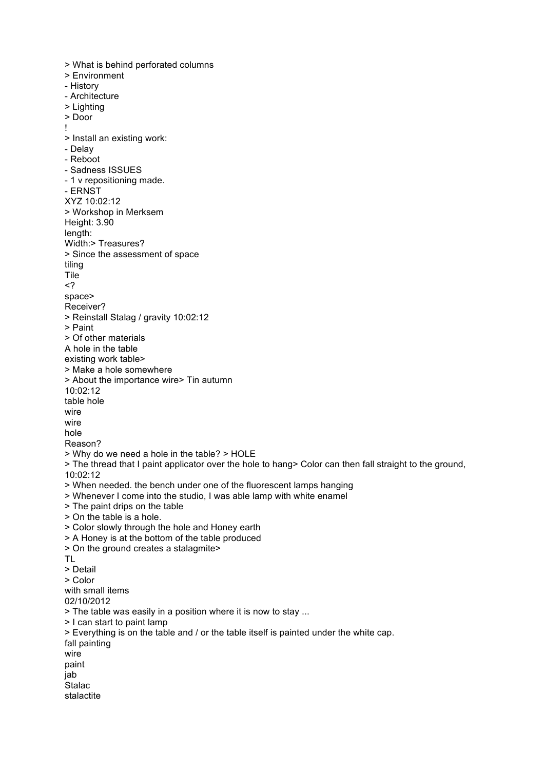> What is behind perforated columns > Environment - History - Architecture > Lighting > Door ! > Install an existing work: - Delay - Reboot - Sadness ISSUES - 1 v repositioning made. - ERNST XYZ 10:02:12 > Workshop in Merksem Height: 3.90 length: Width:> Treasures? > Since the assessment of space tiling Tile <? space> Receiver? > Reinstall Stalag / gravity 10:02:12 > Paint > Of other materials A hole in the table existing work table> > Make a hole somewhere > About the importance wire> Tin autumn 10:02:12 table hole wire wire hole Reason? > Why do we need a hole in the table? > HOLE > The thread that I paint applicator over the hole to hang> Color can then fall straight to the ground, 10:02:12 > When needed. the bench under one of the fluorescent lamps hanging > Whenever I come into the studio, I was able lamp with white enamel > The paint drips on the table > On the table is a hole. > Color slowly through the hole and Honey earth > A Honey is at the bottom of the table produced > On the ground creates a stalagmite> TL > Detail > Color with small items 02/10/2012 > The table was easily in a position where it is now to stay ... > I can start to paint lamp > Everything is on the table and / or the table itself is painted under the white cap. fall painting wire paint jab **Stalac** stalactite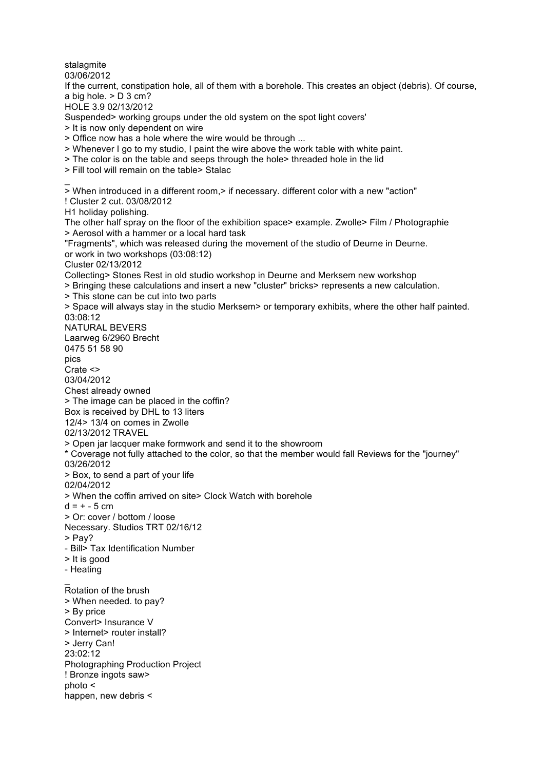stalagmite 03/06/2012 If the current, constipation hole, all of them with a borehole. This creates an object (debris). Of course, a big hole. > D 3 cm? HOLE 3.9 02/13/2012 Suspended> working groups under the old system on the spot light covers' > It is now only dependent on wire > Office now has a hole where the wire would be through ... > Whenever I go to my studio, I paint the wire above the work table with white paint. > The color is on the table and seeps through the hole> threaded hole in the lid > Fill tool will remain on the table> Stalac  $\overline{a}$ > When introduced in a different room,> if necessary. different color with a new "action" ! Cluster 2 cut. 03/08/2012 H1 holiday polishing. The other half spray on the floor of the exhibition space> example. Zwolle> Film / Photographie > Aerosol with a hammer or a local hard task "Fragments", which was released during the movement of the studio of Deurne in Deurne. or work in two workshops (03:08:12) Cluster 02/13/2012 Collecting> Stones Rest in old studio workshop in Deurne and Merksem new workshop > Bringing these calculations and insert a new "cluster" bricks> represents a new calculation. > This stone can be cut into two parts > Space will always stay in the studio Merksem> or temporary exhibits, where the other half painted. 03:08:12 NATURAL BEVERS Laarweg 6/2960 Brecht 0475 51 58 90 pics Crate <> 03/04/2012 Chest already owned > The image can be placed in the coffin? Box is received by DHL to 13 liters 12/4> 13/4 on comes in Zwolle 02/13/2012 TRAVEL > Open jar lacquer make formwork and send it to the showroom \* Coverage not fully attached to the color, so that the member would fall Reviews for the "journey" 03/26/2012 > Box, to send a part of your life 02/04/2012 > When the coffin arrived on site> Clock Watch with borehole  $d = + -5$  cm > Or: cover / bottom / loose Necessary. Studios TRT 02/16/12 > Pay? - Bill> Tax Identification Number > It is good - Heating  $\overline{a}$ Rotation of the brush > When needed. to pay? > By price Convert> Insurance V > Internet> router install? > Jerry Can! 23:02:12 Photographing Production Project ! Bronze ingots saw> photo <

happen, new debris <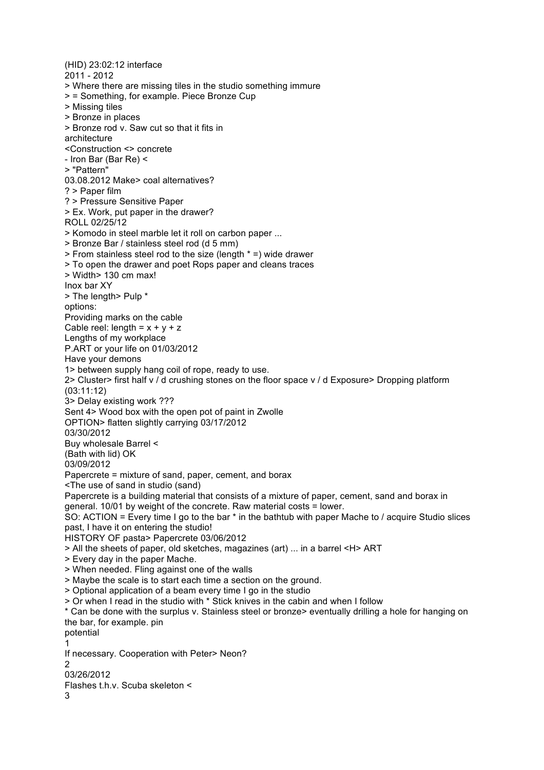(HID) 23:02:12 interface 2011 - 2012 > Where there are missing tiles in the studio something immure > = Something, for example. Piece Bronze Cup > Missing tiles > Bronze in places > Bronze rod v. Saw cut so that it fits in architecture <Construction <> concrete - Iron Bar (Bar Re) < > "Pattern" 03.08.2012 Make> coal alternatives? ? > Paper film ? > Pressure Sensitive Paper > Ex. Work, put paper in the drawer? ROLL 02/25/12 > Komodo in steel marble let it roll on carbon paper ... > Bronze Bar / stainless steel rod (d 5 mm) > From stainless steel rod to the size (length \* =) wide drawer > To open the drawer and poet Rops paper and cleans traces > Width> 130 cm max! Inox bar XY > The length> Pulp \* options: Providing marks on the cable Cable reel: length =  $x + y + z$ Lengths of my workplace P.ART or your life on 01/03/2012 Have your demons 1> between supply hang coil of rope, ready to use. 2> Cluster> first half v / d crushing stones on the floor space v / d Exposure> Dropping platform (03:11:12) 3> Delay existing work ??? Sent 4> Wood box with the open pot of paint in Zwolle OPTION> flatten slightly carrying 03/17/2012 03/30/2012 Buy wholesale Barrel < (Bath with lid) OK 03/09/2012 Papercrete = mixture of sand, paper, cement, and borax <The use of sand in studio (sand) Papercrete is a building material that consists of a mixture of paper, cement, sand and borax in general. 10/01 by weight of the concrete. Raw material costs = lower. SO: ACTION = Every time I go to the bar \* in the bathtub with paper Mache to / acquire Studio slices past, I have it on entering the studio! HISTORY OF pasta> Papercrete 03/06/2012 > All the sheets of paper, old sketches, magazines (art) ... in a barrel <H> ART > Every day in the paper Mache. > When needed. Fling against one of the walls > Maybe the scale is to start each time a section on the ground. > Optional application of a beam every time I go in the studio > Or when I read in the studio with \* Stick knives in the cabin and when I follow \* Can be done with the surplus v. Stainless steel or bronze> eventually drilling a hole for hanging on the bar, for example. pin potential 1 If necessary. Cooperation with Peter> Neon?  $\mathcal{D}$ 03/26/2012 Flashes t.h.v. Scuba skeleton < 3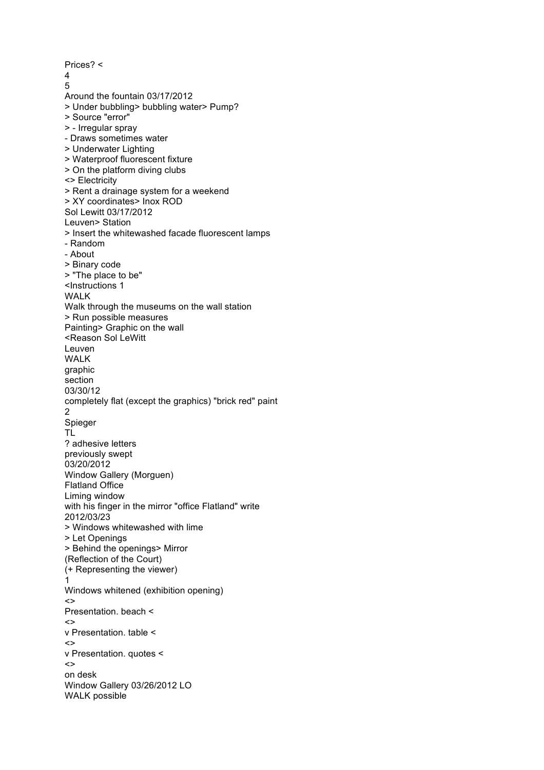Prices? <  $\frac{4}{5}$ Around the fountain 03/17/2012 > Under bubbling> bubbling water> Pump? > Source "error" > - Irregular spray - Draws sometimes water > Underwater Lighting > Waterproof fluorescent fixture > On the platform diving clubs <> Electricity > Rent a drainage system for a weekend > XY coordinates> Inox ROD Sol Lewitt 03/17/2012 Leuven> Station > Insert the whitewashed facade fluorescent lamps - Random - About > Binary code > "The place to be" <Instructions 1 WALK Walk through the museums on the wall station > Run possible measures Painting> Graphic on the wall <Reason Sol LeWitt Leuven WALK graphic section 03/30/12 completely flat (except the graphics) "brick red" paint 2 Spieger TL ? adhesive letters previously swept 03/20/2012 Window Gallery (Morguen) Flatland Office Liming window with his finger in the mirror "office Flatland" write 2012/03/23 > Windows whitewashed with lime > Let Openings > Behind the openings> Mirror (Reflection of the Court) (+ Representing the viewer) 1 Windows whitened (exhibition opening) <> Presentation. beach <  $\leftrightarrow$ v Presentation. table < <> v Presentation. quotes <  $\left\langle \right\rangle$ on desk Window Gallery 03/26/2012 LO WALK possible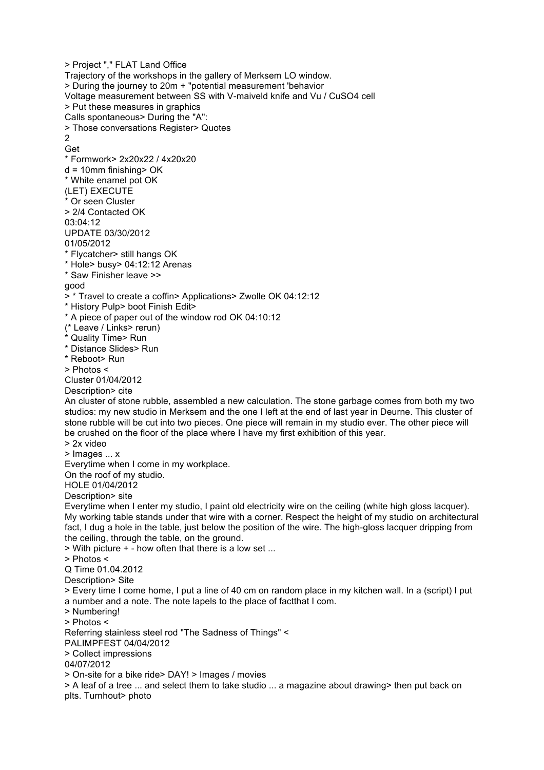> Project "," FLAT Land Office Trajectory of the workshops in the gallery of Merksem LO window. > During the journey to 20m + "potential measurement 'behavior Voltage measurement between SS with V-maiveld knife and Vu / CuSO4 cell > Put these measures in graphics Calls spontaneous> During the "A": > Those conversations Register> Quotes  $\overline{2}$ Get \* Formwork> 2x20x22 / 4x20x20 d = 10mm finishing> OK \* White enamel pot OK (LET) EXECUTE \* Or seen Cluster > 2/4 Contacted OK 03:04:12 UPDATE 03/30/2012 01/05/2012 \* Flycatcher> still hangs OK \* Hole> busy> 04:12:12 Arenas \* Saw Finisher leave >> good > \* Travel to create a coffin> Applications> Zwolle OK 04:12:12 \* History Pulp> boot Finish Edit> \* A piece of paper out of the window rod OK 04:10:12 (\* Leave / Links> rerun) Quality Time> Run \* Distance Slides> Run \* Reboot> Run > Photos < Cluster 01/04/2012 Description> cite An cluster of stone rubble, assembled a new calculation. The stone garbage comes from both my two studios: my new studio in Merksem and the one I left at the end of last year in Deurne. This cluster of stone rubble will be cut into two pieces. One piece will remain in my studio ever. The other piece will be crushed on the floor of the place where I have my first exhibition of this year. > 2x video > Images ... x Everytime when I come in my workplace. On the roof of my studio. HOLE 01/04/2012 Description> site Everytime when I enter my studio, I paint old electricity wire on the ceiling (white high gloss lacquer). My working table stands under that wire with a corner. Respect the height of my studio on architectural fact, I dug a hole in the table, just below the position of the wire. The high-gloss lacquer dripping from the ceiling, through the table, on the ground. > With picture + - how often that there is a low set ... > Photos < Q Time 01.04.2012 Description> Site > Every time I come home, I put a line of 40 cm on random place in my kitchen wall. In a (script) I put a number and a note. The note lapels to the place of factthat I com. > Numbering! > Photos < Referring stainless steel rod "The Sadness of Things" < PALIMPFEST 04/04/2012 > Collect impressions 04/07/2012 > On-site for a bike ride> DAY! > Images / movies > A leaf of a tree ... and select them to take studio ... a magazine about drawing> then put back on plts. Turnhout> photo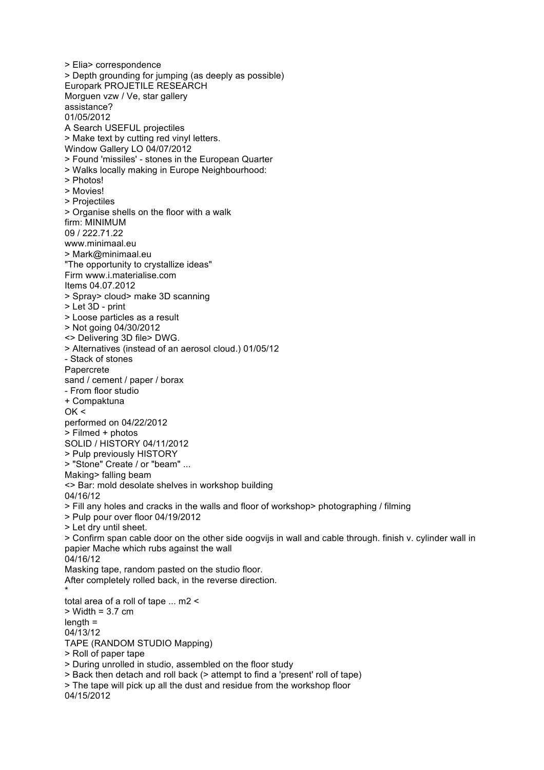> Elia> correspondence > Depth grounding for jumping (as deeply as possible) Europark PROJETILE RESEARCH Morguen vzw / Ve, star gallery assistance? 01/05/2012 A Search USEFUL projectiles > Make text by cutting red vinyl letters. Window Gallery LO 04/07/2012 > Found 'missiles' - stones in the European Quarter > Walks locally making in Europe Neighbourhood: > Photos! > Movies! > Projectiles > Organise shells on the floor with a walk firm: MINIMUM 09 / 222.71.22 www.minimaal.eu > Mark@minimaal.eu "The opportunity to crystallize ideas" Firm www.i.materialise.com Items 04.07.2012 > Spray> cloud> make 3D scanning > Let 3D - print > Loose particles as a result > Not going 04/30/2012 <> Delivering 3D file> DWG. > Alternatives (instead of an aerosol cloud.) 01/05/12 - Stack of stones Papercrete sand / cement / paper / borax - From floor studio + Compaktuna  $OK <$ performed on 04/22/2012 > Filmed + photos SOLID / HISTORY 04/11/2012 > Pulp previously HISTORY > "Stone" Create / or "beam" ... Making> falling beam <> Bar: mold desolate shelves in workshop building 04/16/12 > Fill any holes and cracks in the walls and floor of workshop> photographing / filming > Pulp pour over floor 04/19/2012 > Let dry until sheet. > Confirm span cable door on the other side oogvijs in wall and cable through. finish v. cylinder wall in papier Mache which rubs against the wall 04/16/12 Masking tape, random pasted on the studio floor. After completely rolled back, in the reverse direction. \* total area of a roll of tape ... m2 < > Width = 3.7 cm length = 04/13/12 TAPE (RANDOM STUDIO Mapping) > Roll of paper tape > During unrolled in studio, assembled on the floor study > Back then detach and roll back (> attempt to find a 'present' roll of tape) > The tape will pick up all the dust and residue from the workshop floor 04/15/2012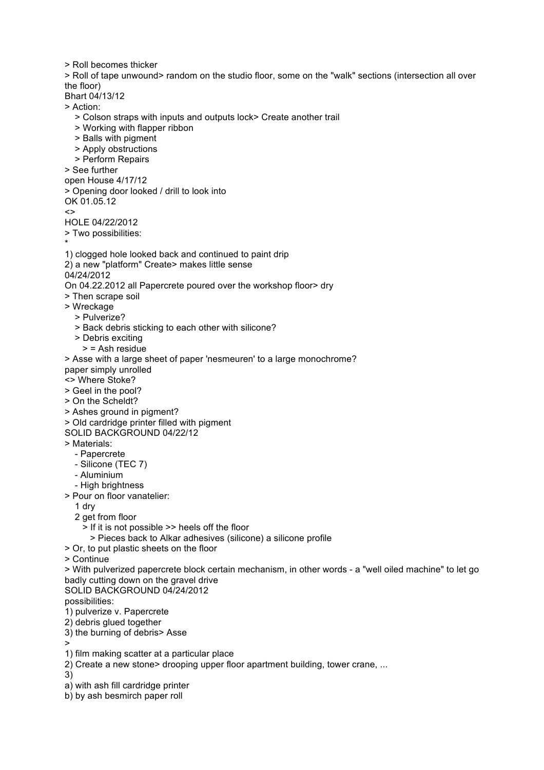> Roll becomes thicker

> Roll of tape unwound> random on the studio floor, some on the "walk" sections (intersection all over the floor)

Bhart 04/13/12

> Action:

- > Colson straps with inputs and outputs lock> Create another trail
- > Working with flapper ribbon
- > Balls with pigment
- > Apply obstructions
- > Perform Repairs

> See further

open House 4/17/12

> Opening door looked / drill to look into

OK 01.05.12

 $\leq$ 

- HOLE 04/22/2012
- > Two possibilities:
- \*
- 1) clogged hole looked back and continued to paint drip
- 2) a new "platform" Create> makes little sense

04/24/2012

On 04.22.2012 all Papercrete poured over the workshop floor> dry

- > Then scrape soil
- > Wreckage
	- > Pulverize?
	- > Back debris sticking to each other with silicone?
	- > Debris exciting
	- > = Ash residue

> Asse with a large sheet of paper 'nesmeuren' to a large monochrome?

paper simply unrolled

- <> Where Stoke?
- > Geel in the pool?
- > On the Scheldt?
- > Ashes ground in pigment?
- > Old cardridge printer filled with pigment
- SOLID BACKGROUND 04/22/12
- > Materials:
	- Papercrete
	- Silicone (TEC 7)
	- Aluminium
	- High brightness
- > Pour on floor vanatelier:
	- 1 dry
	- 2 get from floor
		- > If it is not possible >> heels off the floor
			- > Pieces back to Alkar adhesives (silicone) a silicone profile
- > Or, to put plastic sheets on the floor
- > Continue

> With pulverized papercrete block certain mechanism, in other words - a "well oiled machine" to let go badly cutting down on the gravel drive

SOLID BACKGROUND 04/24/2012

possibilities:

- 1) pulverize v. Papercrete
- 2) debris glued together
- 3) the burning of debris> Asse

>

- 1) film making scatter at a particular place
- 2) Create a new stone> drooping upper floor apartment building, tower crane, ...

3)

- a) with ash fill cardridge printer
- b) by ash besmirch paper roll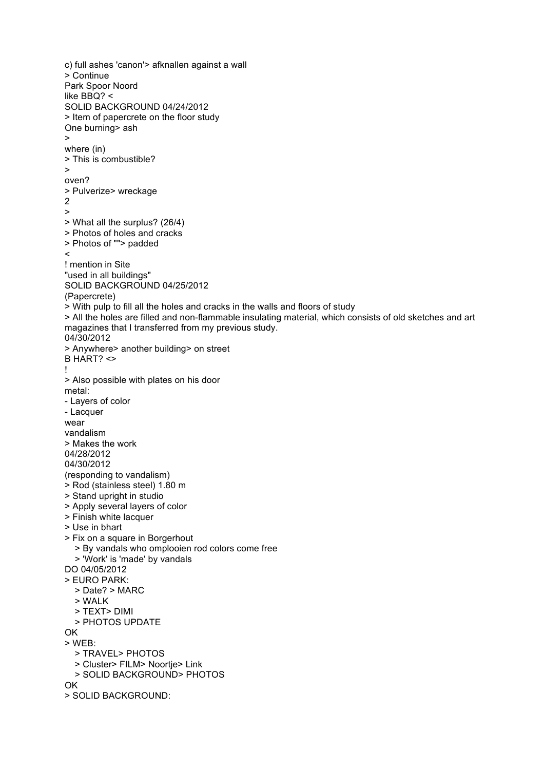c) full ashes 'canon'> afknallen against a wall > Continue Park Spoor Noord like BBQ? < SOLID BACKGROUND 04/24/2012 > Item of papercrete on the floor study One burning> ash > where (in) > This is combustible? > oven? > Pulverize> wreckage 2 > > What all the surplus? (26/4) > Photos of holes and cracks > Photos of ""> padded  $\prec$ ! mention in Site "used in all buildings" SOLID BACKGROUND 04/25/2012 (Papercrete) > With pulp to fill all the holes and cracks in the walls and floors of study > All the holes are filled and non-flammable insulating material, which consists of old sketches and art magazines that I transferred from my previous study. 04/30/2012 > Anywhere> another building> on street B HART? <> ! > Also possible with plates on his door metal: - Layers of color - Lacquer wear vandalism > Makes the work 04/28/2012 04/30/2012 (responding to vandalism) > Rod (stainless steel) 1.80 m > Stand upright in studio > Apply several layers of color > Finish white lacquer > Use in bhart > Fix on a square in Borgerhout > By vandals who omplooien rod colors come free > 'Work' is 'made' by vandals DO 04/05/2012 > EURO PARK: > Date? > MARC > WALK > TEXT> DIMI > PHOTOS UPDATE OK > WEB: > TRAVEL> PHOTOS > Cluster> FILM> Noortje> Link > SOLID BACKGROUND> PHOTOS OK > SOLID BACKGROUND: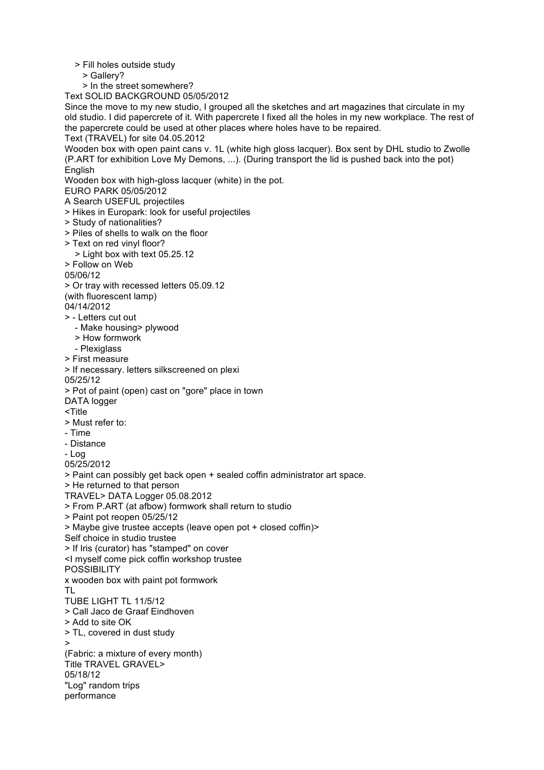> Fill holes outside study

> Gallery?

> In the street somewhere?

Text SOLID BACKGROUND 05/05/2012

Since the move to my new studio, I grouped all the sketches and art magazines that circulate in my old studio. I did papercrete of it. With papercrete I fixed all the holes in my new workplace. The rest of the papercrete could be used at other places where holes have to be repaired.

Text (TRAVEL) for site 04.05.2012

Wooden box with open paint cans v. 1L (white high gloss lacquer). Box sent by DHL studio to Zwolle (P.ART for exhibition Love My Demons, ...). (During transport the lid is pushed back into the pot) **English** 

Wooden box with high-gloss lacquer (white) in the pot.

EURO PARK 05/05/2012

A Search USEFUL projectiles

- > Hikes in Europark: look for useful projectiles
- > Study of nationalities?
- > Piles of shells to walk on the floor
- > Text on red vinyl floor?
- > Light box with text 05.25.12
- > Follow on Web

05/06/12

> Or tray with recessed letters 05.09.12

(with fluorescent lamp)

04/14/2012

- > Letters cut out
	- Make housing> plywood
	- > How formwork
	- Plexiglass
- > First measure
- > If necessary. letters silkscreened on plexi

05/25/12

- > Pot of paint (open) cast on "gore" place in town
- DATA logger

<Title

- > Must refer to:
- Time
- Distance

- Log

05/25/2012

> Paint can possibly get back open + sealed coffin administrator art space.

> He returned to that person

TRAVEL> DATA Logger 05.08.2012

> From P.ART (at afbow) formwork shall return to studio

> Paint pot reopen 05/25/12

> Maybe give trustee accepts (leave open pot + closed coffin)>

Self choice in studio trustee

> If Iris (curator) has "stamped" on cover

<I myself come pick coffin workshop trustee

**POSSIBILITY** 

x wooden box with paint pot formwork

TL

TUBE LIGHT TL 11/5/12

- > Call Jaco de Graaf Eindhoven
- > Add to site OK

> TL, covered in dust study

>

(Fabric: a mixture of every month) Title TRAVEL GRAVEL> 05/18/12 "Log" random trips performance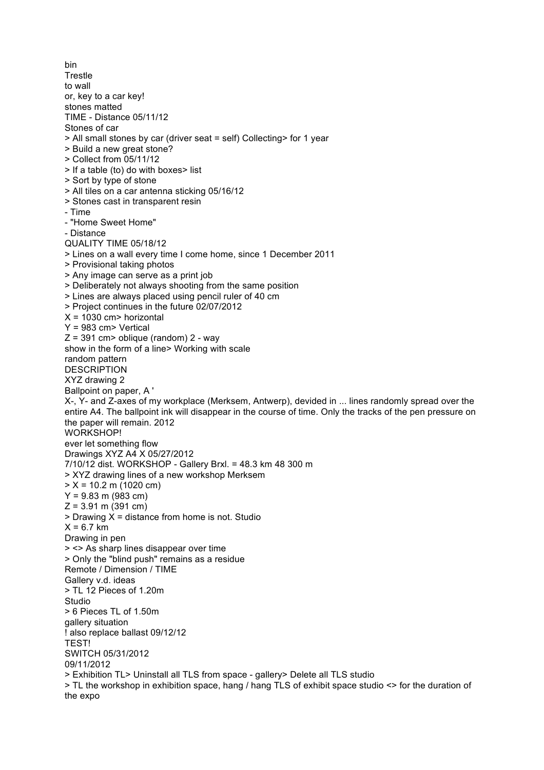bin **Trestle** to wall or, key to a car key! stones matted TIME - Distance 05/11/12 Stones of car > All small stones by car (driver seat = self) Collecting> for 1 year > Build a new great stone? > Collect from 05/11/12 > If a table (to) do with boxes> list > Sort by type of stone > All tiles on a car antenna sticking 05/16/12 > Stones cast in transparent resin - Time - "Home Sweet Home" - Distance QUALITY TIME 05/18/12 > Lines on a wall every time I come home, since 1 December 2011 > Provisional taking photos > Any image can serve as a print job > Deliberately not always shooting from the same position > Lines are always placed using pencil ruler of 40 cm > Project continues in the future 02/07/2012  $X = 1030$  cm > horizontal Y = 983 cm> Vertical  $Z = 391$  cm  $>$  oblique (random) 2 - way show in the form of a line> Working with scale random pattern **DESCRIPTION** XYZ drawing 2 Ballpoint on paper, A ' X-, Y- and Z-axes of my workplace (Merksem, Antwerp), devided in ... lines randomly spread over the entire A4. The ballpoint ink will disappear in the course of time. Only the tracks of the pen pressure on the paper will remain. 2012 WORKSHOP! ever let something flow Drawings XYZ A4 X 05/27/2012 7/10/12 dist. WORKSHOP - Gallery Brxl. = 48.3 km 48 300 m > XYZ drawing lines of a new workshop Merksem  $> X = 10.2$  m (1020 cm)  $Y = 9.83$  m (983 cm)  $Z = 3.91$  m (391 cm)  $>$  Drawing X = distance from home is not. Studio  $X = 6.7$  km Drawing in pen > <> As sharp lines disappear over time > Only the "blind push" remains as a residue Remote / Dimension / TIME Gallery v.d. ideas > TL 12 Pieces of 1.20m Studio > 6 Pieces TL of 1.50m gallery situation ! also replace ballast 09/12/12 TEST! SWITCH 05/31/2012 09/11/2012 > Exhibition TL> Uninstall all TLS from space - gallery> Delete all TLS studio > TL the workshop in exhibition space, hang / hang TLS of exhibit space studio <> for the duration of the expo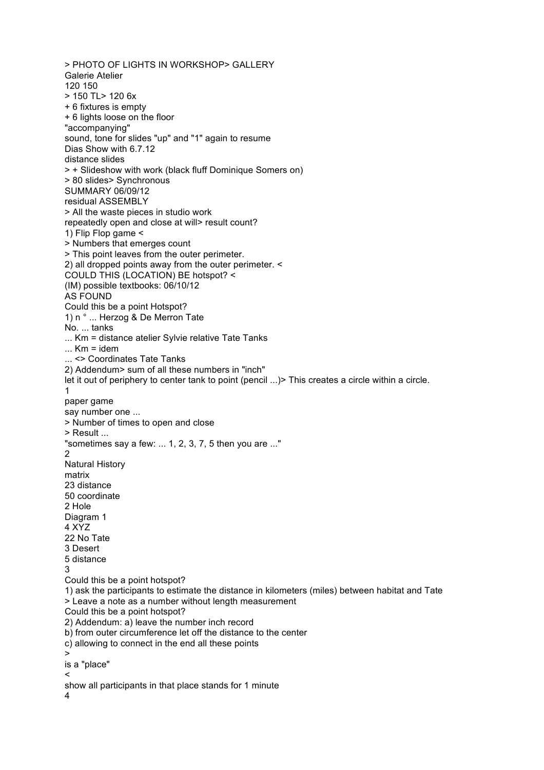> PHOTO OF LIGHTS IN WORKSHOP> GALLERY Galerie Atelier 120 150 > 150 TL> 120 6x + 6 fixtures is empty + 6 lights loose on the floor "accompanying" sound, tone for slides "up" and "1" again to resume Dias Show with 6.7.12 distance slides > + Slideshow with work (black fluff Dominique Somers on) > 80 slides> Synchronous SUMMARY 06/09/12 residual ASSEMBLY > All the waste pieces in studio work repeatedly open and close at will> result count? 1) Flip Flop game < > Numbers that emerges count > This point leaves from the outer perimeter. 2) all dropped points away from the outer perimeter. < COULD THIS (LOCATION) BE hotspot? < (IM) possible textbooks: 06/10/12 AS FOUND Could this be a point Hotspot? 1) n ° ... Herzog & De Merron Tate No. ... tanks ... Km = distance atelier Sylvie relative Tate Tanks  $...$  Km = idem ... <> Coordinates Tate Tanks 2) Addendum> sum of all these numbers in "inch" let it out of periphery to center tank to point (pencil ...) > This creates a circle within a circle. 1 paper game say number one ... > Number of times to open and close > Result ... "sometimes say a few: ... 1, 2, 3, 7, 5 then you are ..." 2 Natural History matrix 23 distance 50 coordinate 2 Hole Diagram 1 4 XYZ 22 No Tate 3 Desert 5 distance 3 Could this be a point hotspot? 1) ask the participants to estimate the distance in kilometers (miles) between habitat and Tate > Leave a note as a number without length measurement Could this be a point hotspot? 2) Addendum: a) leave the number inch record b) from outer circumference let off the distance to the center c) allowing to connect in the end all these points > is a "place"  $\prec$ show all participants in that place stands for 1 minute 4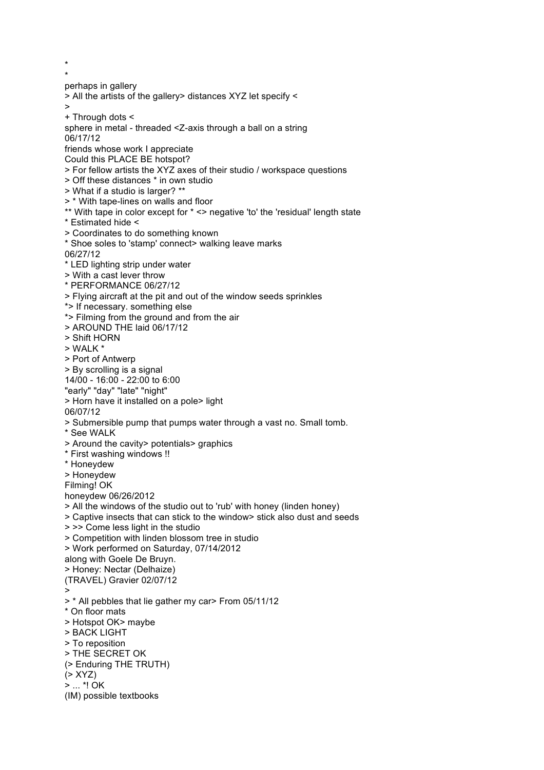\* perhaps in gallery > All the artists of the gallery> distances XYZ let specify < > + Through dots < sphere in metal - threaded <Z-axis through a ball on a string 06/17/12 friends whose work I appreciate Could this PLACE BE hotspot? > For fellow artists the XYZ axes of their studio / workspace questions > Off these distances \* in own studio > What if a studio is larger? \*\* > \* With tape-lines on walls and floor \*\* With tape in color except for \* <> negative 'to' the 'residual' length state \* Estimated hide < > Coordinates to do something known \* Shoe soles to 'stamp' connect> walking leave marks 06/27/12 \* LED lighting strip under water > With a cast lever throw \* PERFORMANCE 06/27/12 > Flying aircraft at the pit and out of the window seeds sprinkles \*> If necessary. something else \*> Filming from the ground and from the air > AROUND THE laid 06/17/12 > Shift HORN > WALK \* > Port of Antwerp > By scrolling is a signal 14/00 - 16:00 - 22:00 to 6:00 "early" "day" "late" "night" > Horn have it installed on a pole> light 06/07/12 > Submersible pump that pumps water through a vast no. Small tomb. \* See WALK > Around the cavity> potentials> graphics \* First washing windows !! \* Honeydew > Honeydew Filming! OK honeydew 06/26/2012 > All the windows of the studio out to 'rub' with honey (linden honey) > Captive insects that can stick to the window> stick also dust and seeds > >> Come less light in the studio > Competition with linden blossom tree in studio > Work performed on Saturday, 07/14/2012 along with Goele De Bruyn. > Honey: Nectar (Delhaize) (TRAVEL) Gravier 02/07/12 > > \* All pebbles that lie gather my car> From 05/11/12 \* On floor mats > Hotspot OK> maybe > BACK LIGHT > To reposition > THE SECRET OK (> Enduring THE TRUTH) (> XYZ) > ... \*! OK (IM) possible textbooks

\*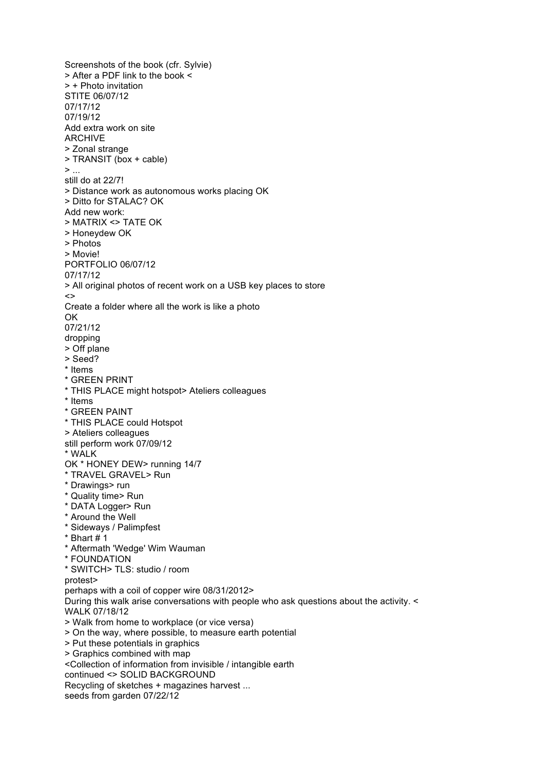Screenshots of the book (cfr. Sylvie) > After a PDF link to the book < > + Photo invitation STITE 06/07/12 07/17/12 07/19/12 Add extra work on site ARCHIVE > Zonal strange > TRANSIT (box + cable)  $>$   $\dots$ still do at 22/7! > Distance work as autonomous works placing OK > Ditto for STALAC? OK Add new work: > MATRIX <> TATE OK > Honeydew OK > Photos > Movie! PORTFOLIO 06/07/12 07/17/12 > All original photos of recent work on a USB key places to store  $\leftrightarrow$ Create a folder where all the work is like a photo OK 07/21/12 dropping > Off plane > Seed? \* Items \* GREEN PRINT \* THIS PLACE might hotspot> Ateliers colleagues \* Items \* GREEN PAINT \* THIS PLACE could Hotspot > Ateliers colleagues still perform work 07/09/12 \* WALK OK \* HONEY DEW> running 14/7 \* TRAVEL GRAVEL> Run \* Drawings> run \* Quality time> Run \* DATA Logger> Run \* Around the Well \* Sideways / Palimpfest  $*$  Bhart  $# 1$ \* Aftermath 'Wedge' Wim Wauman \* FOUNDATION \* SWITCH> TLS: studio / room protest> perhaps with a coil of copper wire 08/31/2012> During this walk arise conversations with people who ask questions about the activity. WALK 07/18/12 > Walk from home to workplace (or vice versa) > On the way, where possible, to measure earth potential > Put these potentials in graphics > Graphics combined with map <Collection of information from invisible / intangible earth continued <> SOLID BACKGROUND Recycling of sketches + magazines harvest ... seeds from garden 07/22/12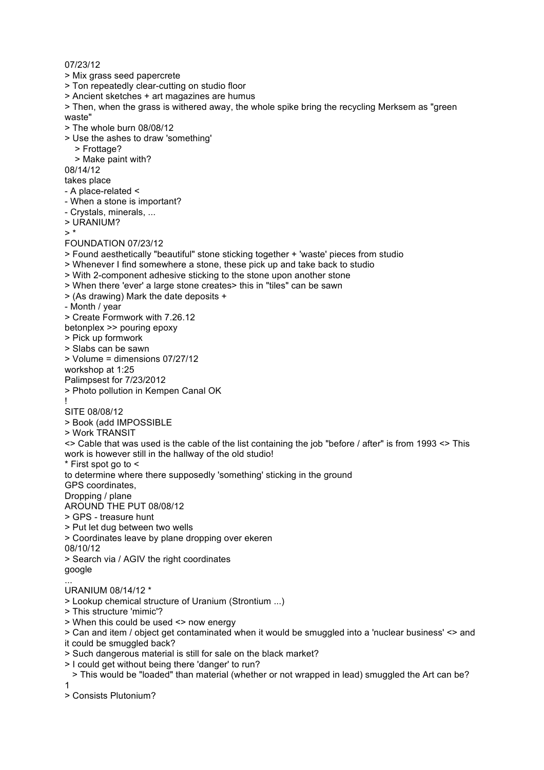07/23/12

> Mix grass seed papercrete

> Ton repeatedly clear-cutting on studio floor

> Ancient sketches + art magazines are humus

> Then, when the grass is withered away, the whole spike bring the recycling Merksem as "green waste"

- > The whole burn 08/08/12
- > Use the ashes to draw 'something'
	- > Frottage?
	- > Make paint with?

08/14/12

takes place

- A place-related <
- When a stone is important?
- Crystals, minerals, ...
- > URANIUM?

 $\sim$  \*

## FOUNDATION 07/23/12

> Found aesthetically "beautiful" stone sticking together + 'waste' pieces from studio

- > Whenever I find somewhere a stone, these pick up and take back to studio
- > With 2-component adhesive sticking to the stone upon another stone
- > When there 'ever' a large stone creates> this in "tiles" can be sawn

> (As drawing) Mark the date deposits +

- Month / year

> Create Formwork with 7.26.12

betonplex >> pouring epoxy

> Pick up formwork

> Slabs can be sawn

> Volume = dimensions 07/27/12

workshop at 1:25

Palimpsest for 7/23/2012

> Photo pollution in Kempen Canal OK

## ! SITE 08/08/12

> Book (add IMPOSSIBLE

> Work TRANSIT

<> Cable that was used is the cable of the list containing the job "before / after" is from 1993 <> This work is however still in the hallway of the old studio!

\* First spot go to <

to determine where there supposedly 'something' sticking in the ground

GPS coordinates,

Dropping / plane

AROUND THE PUT 08/08/12

- > GPS treasure hunt
- > Put let dug between two wells
- > Coordinates leave by plane dropping over ekeren

08/10/12

> Search via / AGIV the right coordinates google

...

## URANIUM 08/14/12 \*

> Lookup chemical structure of Uranium (Strontium ...)

> This structure 'mimic'?

> When this could be used <> now energy

> Can and item / object get contaminated when it would be smuggled into a 'nuclear business' <> and it could be smuggled back?

> Such dangerous material is still for sale on the black market?

> I could get without being there 'danger' to run?

 > This would be "loaded" than material (whether or not wrapped in lead) smuggled the Art can be? 1

> Consists Plutonium?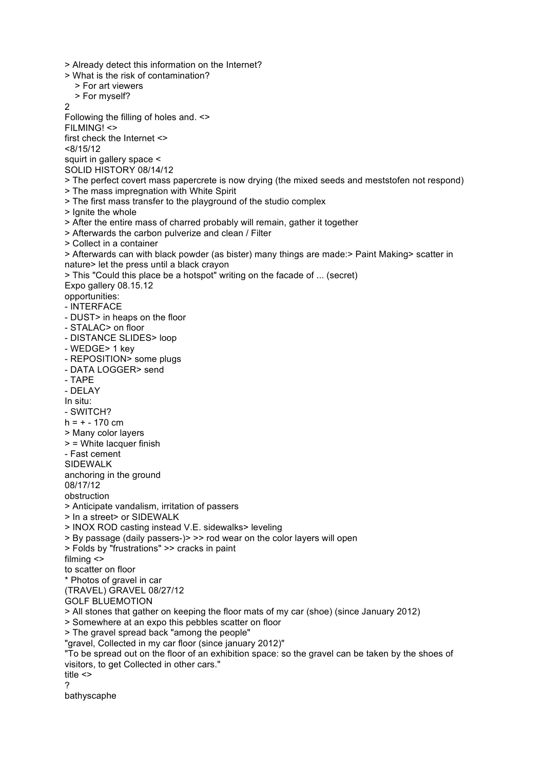> Already detect this information on the Internet? > What is the risk of contamination? > For art viewers > For myself?  $\overline{2}$ Following the filling of holes and. <> FILMING! <> first check the Internet <> <8/15/12 squirt in gallery space < SOLID HISTORY 08/14/12 > The perfect covert mass papercrete is now drying (the mixed seeds and meststofen not respond) > The mass impregnation with White Spirit > The first mass transfer to the playground of the studio complex > Ignite the whole > After the entire mass of charred probably will remain, gather it together > Afterwards the carbon pulverize and clean / Filter > Collect in a container > Afterwards can with black powder (as bister) many things are made:> Paint Making> scatter in nature> let the press until a black crayon > This "Could this place be a hotspot" writing on the facade of ... (secret) Expo gallery 08.15.12 opportunities: - INTERFACE - DUST> in heaps on the floor - STALAC> on floor - DISTANCE SLIDES> loop - WEDGE> 1 key - REPOSITION> some plugs - DATA LOGGER> send - TAPE - DELAY In situ: - SWITCH?  $h = + - 170$  cm > Many color layers > = White lacquer finish - Fast cement SIDEWALK anchoring in the ground 08/17/12 obstruction > Anticipate vandalism, irritation of passers > In a street> or SIDEWALK > INOX ROD casting instead V.E. sidewalks> leveling > By passage (daily passers-)> >> rod wear on the color layers will open > Folds by "frustrations" >> cracks in paint filming <> to scatter on floor \* Photos of gravel in car (TRAVEL) GRAVEL 08/27/12 GOLF BLUEMOTION > All stones that gather on keeping the floor mats of my car (shoe) (since January 2012) > Somewhere at an expo this pebbles scatter on floor > The gravel spread back "among the people" "gravel, Collected in my car floor (since january 2012)" "To be spread out on the floor of an exhibition space: so the gravel can be taken by the shoes of visitors, to get Collected in other cars." title <> ? bathyscaphe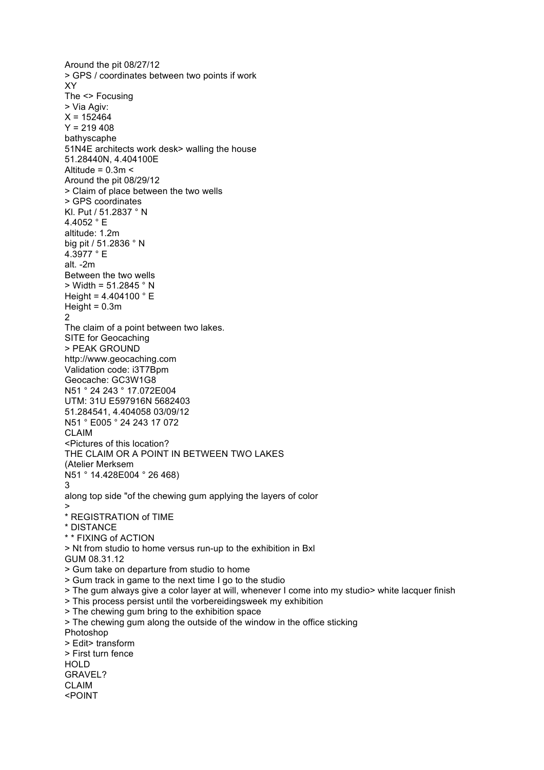Around the pit 08/27/12 > GPS / coordinates between two points if work XY The <> Focusing > Via Agiv:  $X = 152464$  $Y = 219408$ bathyscaphe 51N4E architects work desk> walling the house 51.28440N, 4.404100E Altitude =  $0.3m <$ Around the pit 08/29/12 > Claim of place between the two wells > GPS coordinates Kl. Put / 51.2837 ° N 4.4052 ° E altitude: 1.2m big pit / 51.2836 ° N 4.3977 ° E alt. -2m Between the two wells > Width = 51.2845 ° N Height =  $4.404100 ° E$  $Height = 0.3m$  $\mathfrak{p}$ The claim of a point between two lakes. SITE for Geocaching > PEAK GROUND http://www.geocaching.com Validation code: i3T7Bpm Geocache: GC3W1G8 N51 ° 24 243 ° 17.072E004 UTM: 31U E597916N 5682403 51.284541, 4.404058 03/09/12 N51 ° E005 ° 24 243 17 072 CLAIM <Pictures of this location? THE CLAIM OR A POINT IN BETWEEN TWO LAKES (Atelier Merksem N51 ° 14.428E004 ° 26 468) 3 along top side "of the chewing gum applying the layers of color > \* REGISTRATION of TIME \* DISTANCE \* \* FIXING of ACTION > Nt from studio to home versus run-up to the exhibition in Bxl GUM 08.31.12 > Gum take on departure from studio to home > Gum track in game to the next time I go to the studio > The gum always give a color layer at will, whenever I come into my studio> white lacquer finish > This process persist until the vorbereidingsweek my exhibition > The chewing gum bring to the exhibition space > The chewing gum along the outside of the window in the office sticking Photoshop > Edit> transform > First turn fence HOLD GRAVEL? CLAIM <POINT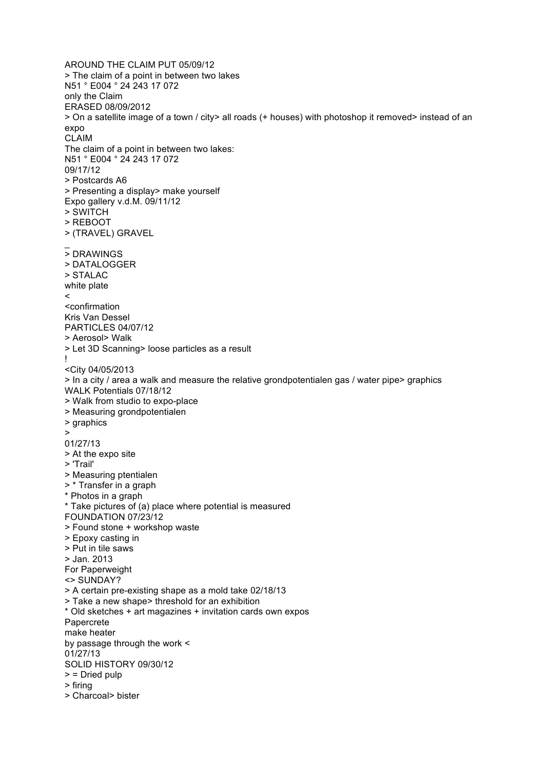AROUND THE CLAIM PUT 05/09/12 > The claim of a point in between two lakes N51 ° E004 ° 24 243 17 072 only the Claim ERASED 08/09/2012 > On a satellite image of a town / city> all roads (+ houses) with photoshop it removed> instead of an expo CLAIM The claim of a point in between two lakes: N51 ° E004 ° 24 243 17 072 09/17/12 > Postcards A6 > Presenting a display> make yourself Expo gallery v.d.M. 09/11/12 > SWITCH > REBOOT > (TRAVEL) GRAVEL  $\overline{a}$ > DRAWINGS > DATALOGGER > STALAC white plate  $\prec$ <confirmation Kris Van Dessel PARTICLES 04/07/12 > Aerosol> Walk > Let 3D Scanning> loose particles as a result ! <City 04/05/2013 > In a city / area a walk and measure the relative grondpotentialen gas / water pipe> graphics WALK Potentials 07/18/12 > Walk from studio to expo-place > Measuring grondpotentialen > graphics > 01/27/13 > At the expo site > 'Trail' > Measuring ptentialen > \* Transfer in a graph \* Photos in a graph \* Take pictures of (a) place where potential is measured FOUNDATION 07/23/12 > Found stone + workshop waste > Epoxy casting in > Put in tile saws > Jan. 2013 For Paperweight <> SUNDAY? > A certain pre-existing shape as a mold take 02/18/13 > Take a new shape> threshold for an exhibition \* Old sketches + art magazines + invitation cards own expos Papercrete make heater by passage through the work < 01/27/13 SOLID HISTORY 09/30/12 > = Dried pulp > firing > Charcoal> bister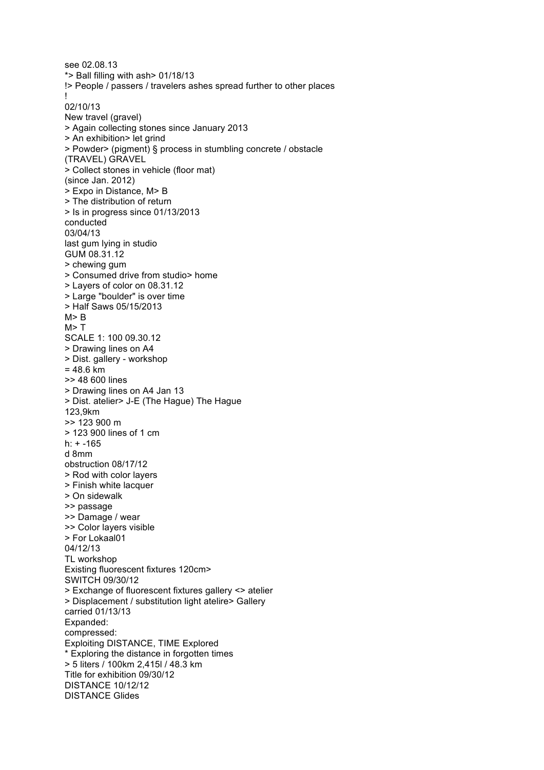see 02.08.13 \*> Ball filling with ash> 01/18/13 !> People / passers / travelers ashes spread further to other places ! 02/10/13 New travel (gravel) > Again collecting stones since January 2013 > An exhibition> let grind > Powder> (pigment) § process in stumbling concrete / obstacle (TRAVEL) GRAVEL > Collect stones in vehicle (floor mat) (since Jan. 2012) > Expo in Distance, M> B > The distribution of return > Is in progress since 01/13/2013 conducted 03/04/13 last gum lying in studio GUM 08.31.12 > chewing gum > Consumed drive from studio> home > Layers of color on 08.31.12 > Large "boulder" is over time > Half Saws 05/15/2013  $M > R$  $M > T$ SCALE 1: 100 09.30.12 > Drawing lines on A4 > Dist. gallery - workshop  $= 48.6$  km >> 48 600 lines > Drawing lines on A4 Jan 13 > Dist. atelier> J -E (The Hague) The Hague 123,9km >> 123 900 m > 123 900 lines of 1 cm h: + -165 d 8mm obstruction 08/17/12 > Rod with color layers > Finish white lacquer > On sidewalk >> passage >> Damage / wear >> Color layers visible > For Lokaal01 04/12/13 TL workshop Existing fluorescent fixtures 120cm> SWITCH 09/30/12 > Exchange of fluorescent fixtures gallery <> atelier > Displacement / substitution light atelire> Gallery carried 01/13/13 Expanded: compressed: Exploiting DISTANCE, TIME Explored \* Exploring the distance in forgotten times > 5 liters / 100km 2,415l / 48.3 km Title for exhibition 09/30/12 DISTANCE 10/12/12 DISTANCE Glides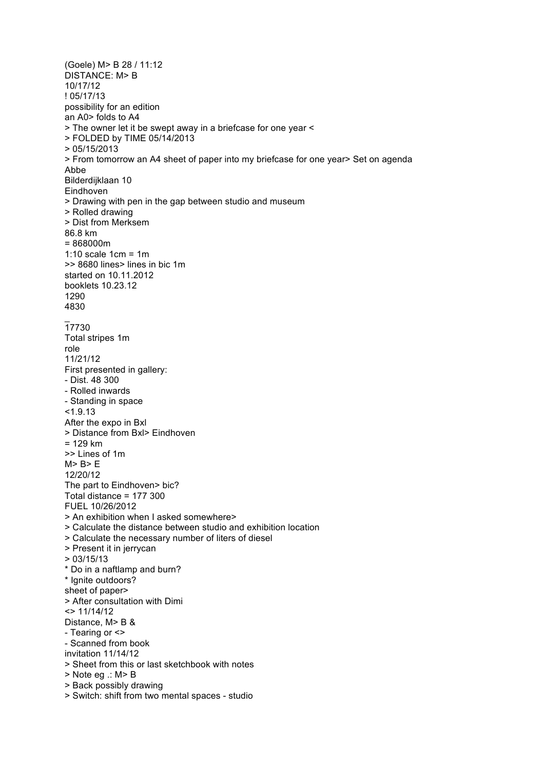(Goele) M> B 28 / 11:12 DISTANCE: M> B 10/17/12 ! 05/17/13 possibility for an edition an A0> folds to A4 > The owner let it be swept away in a briefcase for one year < > FOLDED by TIME 05/14/2013 > 05/15/2013 > From tomorrow an A4 sheet of paper into my briefcase for one year> Set on agenda Abbe Bilderdijklaan 10 Eindhoven > Drawing with pen in the gap between studio and museum > Rolled drawing > Dist from Merksem 86.8 km = 868000m 1:10 scale 1cm = 1m >> 8680 lines> lines in bic 1m started on 10.11.2012 booklets 10.23.12 1290 4830  $\overline{a}$ 17730 Total stripes 1m role 11/21/12 First presented in gallery: - Dist. 48 300 - Rolled inwards - Standing in space  $< 1.9.13$ After the expo in Bxl > Distance from Bxl> Eindhoven = 129 km >> Lines of 1m M> B> E 12/20/12 The part to Eindhoven> bic? Total distance = 177 300 FUEL 10/26/2012 > An exhibition when I asked somewhere> > Calculate the distance between studio and exhibition location > Calculate the necessary number of liters of diesel > Present it in jerrycan > 03/15/13 \* Do in a naftlamp and burn? \* Ignite outdoors? sheet of paper> > After consultation with Dimi <> 11/14/12 Distance, M> B & - Tearing or <> - Scanned from book invitation 11/14/12 > Sheet from this or last sketchbook with notes > Note eg .: M> B > Back possibly drawing > Switch: shift from two mental spaces - studio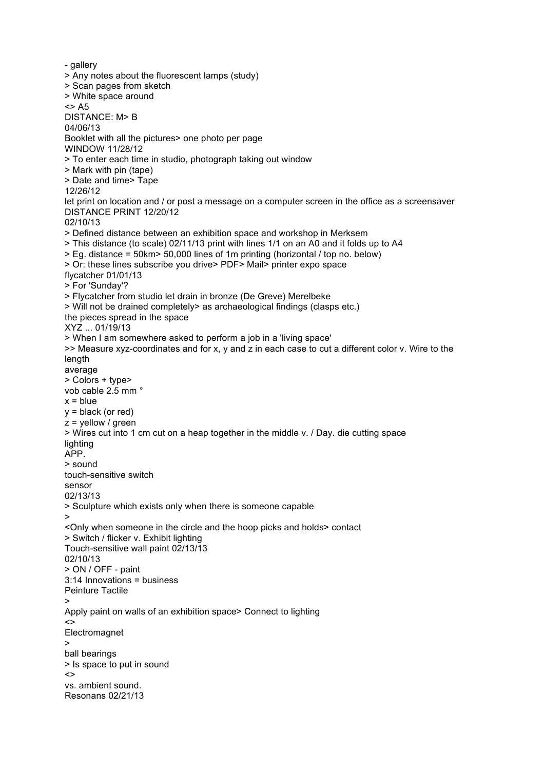```
- gallery
> Any notes about the fluorescent lamps (study)
> Scan pages from sketch
> White space around
<> A5
DISTANCE: M> B
04/06/13
Booklet with all the pictures> one photo per page
WINDOW 11/28/12
> To enter each time in studio, photograph taking out window
> Mark with pin (tape)
> Date and time> Tape
12/26/12
let print on location and / or post a message on a computer screen in the office as a screensaver
DISTANCE PRINT 12/20/12
02/10/13
> Defined distance between an exhibition space and workshop in Merksem
> This distance (to scale) 02/11/13 print with lines 1/1 on an A0 and it folds up to A4
> Eg. distance = 50km> 50,000 lines of 1m printing (horizontal / top no. below)
> Or: these lines subscribe you drive> PDF> Mail> printer expo space
flycatcher 01/01/13
> For 'Sunday'?
> Flycatcher from studio let drain in bronze (De Greve) Merelbeke
> Will not be drained completely> as archaeological findings (clasps etc.)
the pieces spread in the space
XYZ ... 01/19/13
> When I am somewhere asked to perform a job in a 'living space'
>> Measure xyz-coordinates and for x, y and z in each case to cut a different color v. Wire to the 
length
average
> Colors + type>
vob cable 2.5 mm °
x = bluey = black (or red)
z = yellow / green
> Wires cut into 1 cm cut on a heap together in the middle v. / Day. die cutting space
lighting
APP.
> sound
touch-sensitive switch
sensor
02/13/13
> Sculpture which exists only when there is someone capable
>
<Only when someone in the circle and the hoop picks and holds> contact
> Switch / flicker v. Exhibit lighting
Touch-sensitive wall paint 02/13/13
02/10/13
> ON / OFF - paint
3:14 Innovations = business
Peinture Tactile
>
Apply paint on walls of an exhibition space> Connect to lighting
\leqElectromagnet
>
ball bearings
> Is space to put in sound
\left\langle \right\ranglevs. ambient sound.
Resonans 02/21/13
```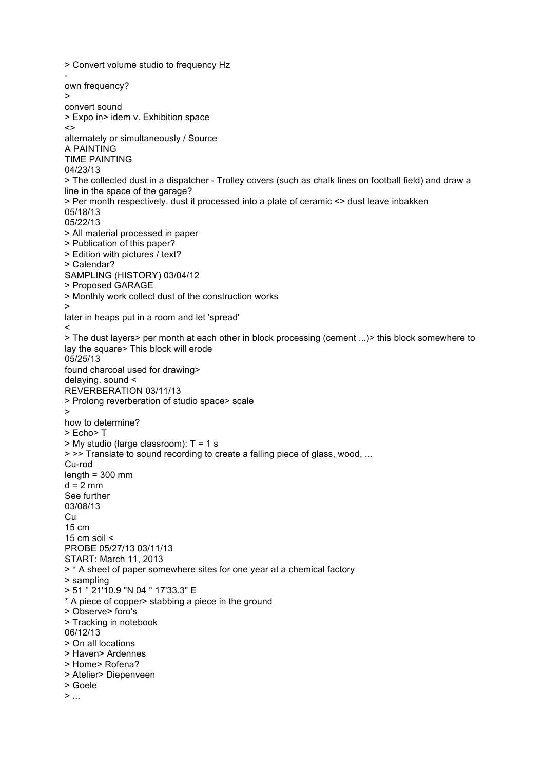> Convert volume studio to frequency Hz own frequency? > convert sound > Expo in> idem v. Exhibition space  $\leftrightarrow$ alternately or simultaneously / Source A PAINTING TIME PAINTING 04/23/13 > The collected dust in a dispatcher - Trolley covers (such as chalk lines on football field) and draw a line in the space of the garage? > Per month respectively. dust it processed into a plate of ceramic <> dust leave inbakken 05/18/13 05/22/13 > All material processed in paper > Publication of this paper? > Edition with pictures / text? > Calendar? SAMPLING (HISTORY) 03/04/12 > Proposed GARAGE > Monthly work collect dust of the construction works > later in heaps put in a room and let 'spread'  $\prec$ > The dust layers> per month at each other in block processing (cement ...)> this block somewhere to lay the square> This block will erode 05/25/13 found charcoal used for drawing> delaying. sound < REVERBERATION 03/11/13 > Prolong reverberation of studio space> scale > how to determine? > Echo> T > My studio (large classroom): T = 1 s > >> Translate to sound recording to create a falling piece of glass, wood, ... Cu-rod length  $= 300$  mm  $d = 2$  mm See further 03/08/13 **Cu** 15 cm 15 cm soil  $\leq$ PROBE 05/27/13 03/11/13 START: March 11, 2013 > \* A sheet of paper somewhere sites for one year at a chemical factory > sampling > 51 ° 21'10.9 "N 04 ° 17'33.3" E \* A piece of copper> stabbing a piece in the ground > Observe> foro's > Tracking in notebook 06/12/13 > On all locations > Haven> Ardennes > Home> Rofena? > Atelier> Diepenveen > Goele  $>$  ...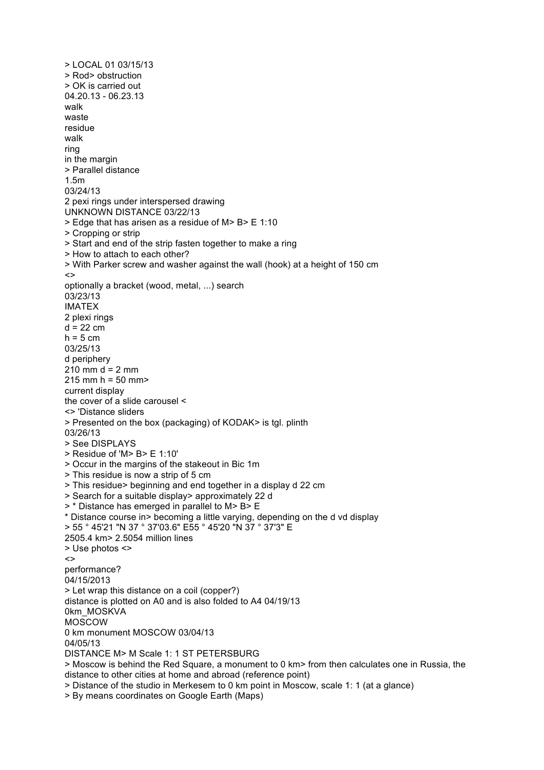> LOCAL 01 03/15/13 > Rod> obstruction > OK is carried out 04.20.13 - 06.23.13 walk waste residue walk ring in the margin > Parallel distance 1.5m 03/24/13 2 pexi rings under interspersed drawing UNKNOWN DISTANCE 03/22/13 > Edge that has arisen as a residue of M> B> E 1:10 > Cropping or strip > Start and end of the strip fasten together to make a ring > How to attach to each other? > With Parker screw and washer against the wall (hook) at a height of 150 cm  $\leftrightarrow$ optionally a bracket (wood, metal, ...) search 03/23/13 IMATEX 2 plexi rings  $d = 22$  cm  $h = 5$  cm 03/25/13 d periphery  $210 \text{ mm}$  d = 2 mm  $215$  mm h =  $50$  mm> current display the cover of a slide carousel < <> 'Distance sliders > Presented on the box (packaging) of KODAK> is tgl. plinth 03/26/13 > See DISPLAYS > Residue of 'M> B> E 1:10' > Occur in the margins of the stakeout in Bic 1m > This residue is now a strip of 5 cm > This residue> beginning and end together in a display d 22 cm > Search for a suitable display> approximately 22 d > \* Distance has emerged in parallel to M> B> E \* Distance course in> becoming a little varying, depending on the d vd display > 55 ° 45'21 "N 37 ° 37'03.6" E55 ° 45'20 "N 37 ° 37'3" E 2505.4 km> 2.5054 million lines > Use photos <>  $\leftrightarrow$ performance? 04/15/2013 > Let wrap this distance on a coil (copper?) distance is plotted on A0 and is also folded to A4 04/19/13 0km\_MOSKVA MOSCOW 0 km monument MOSCOW 03/04/13 04/05/13 DISTANCE M> M Scale 1: 1 ST PETERSBURG > Moscow is behind the Red Square, a monument to 0 km> from then calculates one in Russia, the distance to other cities at home and abroad (reference point) > Distance of the studio in Merkesem to 0 km point in Moscow, scale 1: 1 (at a glance) > By means coordinates on Google Earth (Maps)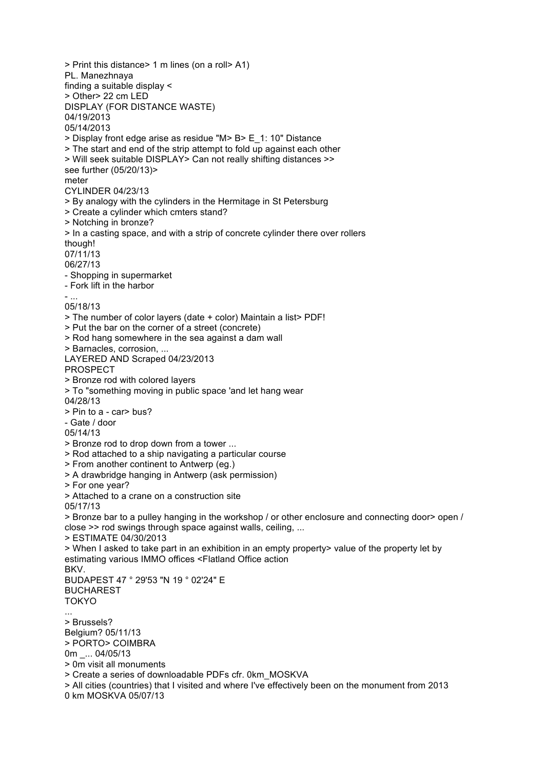> Print this distance> 1 m lines (on a roll> A1) PL. Manezhnaya finding a suitable display < > Other> 22 cm LED DISPLAY (FOR DISTANCE WASTE) 04/19/2013 05/14/2013 > Display front edge arise as residue "M> B> E\_1: 10" Distance > The start and end of the strip attempt to fold up against each other > Will seek suitable DISPLAY> Can not really shifting distances >> see further (05/20/13)> meter CYLINDER 04/23/13 > By analogy with the cylinders in the Hermitage in St Petersburg > Create a cylinder which cmters stand? > Notching in bronze? > In a casting space, and with a strip of concrete cylinder there over rollers though! 07/11/13 06/27/13 - Shopping in supermarket - Fork lift in the harbor - ... 05/18/13 > The number of color layers (date + color) Maintain a list> PDF! > Put the bar on the corner of a street (concrete) > Rod hang somewhere in the sea against a dam wall > Barnacles, corrosion, ... LAYERED AND Scraped 04/23/2013 PROSPECT > Bronze rod with colored layers > To "something moving in public space 'and let hang wear 04/28/13 > Pin to a - car> bus? - Gate / door 05/14/13 > Bronze rod to drop down from a tower ... > Rod attached to a ship navigating a particular course > From another continent to Antwerp (eg.) > A drawbridge hanging in Antwerp (ask permission) > For one year? > Attached to a crane on a construction site 05/17/13 > Bronze bar to a pulley hanging in the workshop / or other enclosure and connecting door> open / close >> rod swings through space against walls, ceiling, ... > ESTIMATE 04/30/2013 > When I asked to take part in an exhibition in an empty property> value of the property let by estimating various IMMO offices <Flatland Office action BKV. BUDAPEST 47 ° 29'53 "N 19 ° 02'24" E BUCHAREST TOKYO ... > Brussels? Belgium? 05/11/13 > PORTO> COIMBRA 0m \_... 04/05/13 > 0m visit all monuments > Create a series of downloadable PDFs cfr. 0km\_MOSKVA > All cities (countries) that I visited and where I've effectively been on the monument from 2013 0 km MOSKVA 05/07/13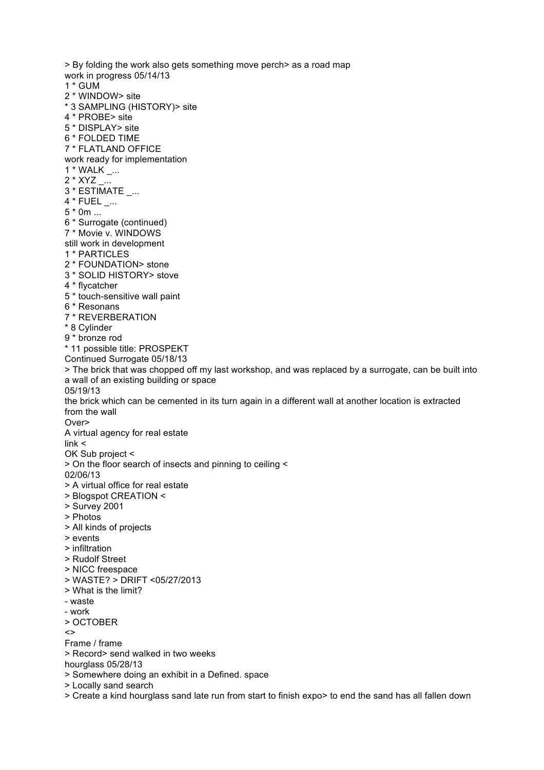> By folding the work also gets something move perch> as a road map work in progress 05/14/13 1 \* GUM 2 \* WINDOW> site \* 3 SAMPLING (HISTORY)> site 4 \* PROBE> site 5 \* DISPLAY> site 6 \* FOLDED TIME 7 \* FLATLAND OFFICE work ready for implementation 1 \* WALK \_... 2 \* XYZ \_... 3 \* ESTIMATE \_... 4 \* FUEL \_... 5 \* 0m ... 6 \* Surrogate (continued) 7 \* Movie v. WINDOWS still work in development 1 \* PARTICLES 2 \* FOUNDATION> stone 3 \* SOLID HISTORY> stove 4 \* flycatcher 5 \* touch-sensitive wall paint 6 \* Resonans 7 \* REVERBERATION \* 8 Cylinder 9 \* bronze rod \* 11 possible title: PROSPEKT Continued Surrogate 05/18/13 > The brick that was chopped off my last workshop, and was replaced by a surrogate, can be built into a wall of an existing building or space 05/19/13 the brick which can be cemented in its turn again in a different wall at another location is extracted from the wall Over> A virtual agency for real estate link < OK Sub project < > On the floor search of insects and pinning to ceiling < 02/06/13 > A virtual office for real estate > Blogspot CREATION < > Survey 2001 > Photos > All kinds of projects > events > infiltration > Rudolf Street > NICC freespace > WASTE? > DRIFT <05/27/2013 > What is the limit? - waste - work > OCTOBER  $\sim$ Frame / frame > Record> send walked in two weeks hourglass 05/28/13 > Somewhere doing an exhibit in a Defined. space > Locally sand search > Create a kind hourglass sand late run from start to finish expo> to end the sand has all fallen down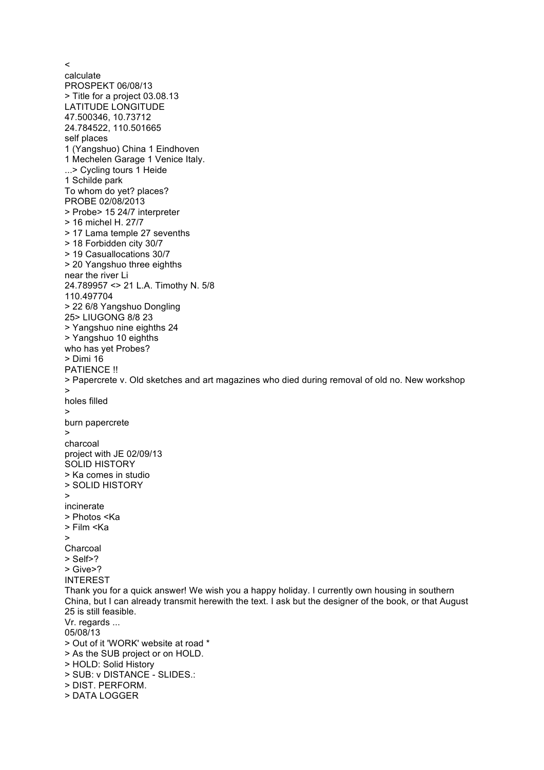calculate PROSPEKT 06/08/13 > Title for a project 03.08.13 LATITUDE LONGITUDE 47.500346, 10.73712 24.784522, 110.501665 self places 1 (Yangshuo) China 1 Eindhoven 1 Mechelen Garage 1 Venice Italy. ...> Cycling tours 1 Heide 1 Schilde park To whom do yet? places? PROBE 02/08/2013 > Probe> 15 24/7 interpreter > 16 michel H. 27/7 > 17 Lama temple 27 sevenths > 18 Forbidden city 30/7 > 19 Casuallocations 30/7 > 20 Yangshuo three eighths near the river Li 24.789957 <> 21 L.A. Timothy N. 5/8 110.497704 > 22 6/8 Yangshuo Dongling 25> LIUGONG 8/8 23 > Yangshuo nine eighths 24 > Yangshuo 10 eighths who has yet Probes? > Dimi 16 PATIENCE !! > Papercrete v. Old sketches and art magazines who died during removal of old no. New workshop > holes filled > burn papercrete > charcoal project with JE 02/09/13 SOLID HISTORY > Ka comes in studio > SOLID HISTORY > incinerate > Photos <Ka > Film <Ka  $\ddot{\phantom{1}}$ Charcoal > Self>? > Give>? INTEREST Thank you for a quick answer! We wish you a happy holiday. I currently own housing in southern China, but I can already transmit herewith the text. I ask but the designer of the book, or that August 25 is still feasible. Vr. regards ... 05/08/13 > Out of it 'WORK' website at road \* > As the SUB project or on HOLD. > HOLD: Solid History > SUB: v DISTANCE - SLIDES.: > DIST. PERFORM. > DATA LOGGER

 $\prec$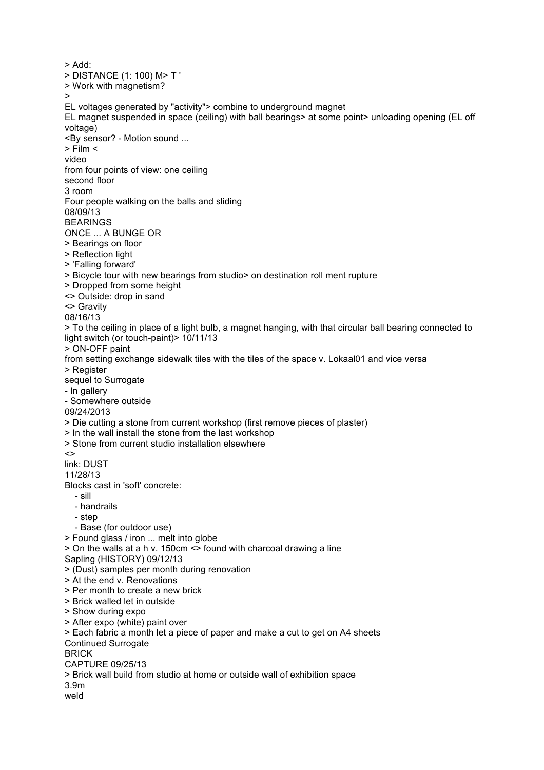> Add: > DISTANCE (1: 100) M> T ' > Work with magnetism? > EL voltages generated by "activity"> combine to underground magnet EL magnet suspended in space (ceiling) with ball bearings> at some point> unloading opening (EL off voltage) <By sensor? - Motion sound ... > Film < video from four points of view: one ceiling second floor 3 room Four people walking on the balls and sliding 08/09/13 BEARINGS ONCE ... A BUNGE OR > Bearings on floor > Reflection light > 'Falling forward' > Bicycle tour with new bearings from studio> on destination roll ment rupture > Dropped from some height <> Outside: drop in sand <> Gravity 08/16/13 > To the ceiling in place of a light bulb, a magnet hanging, with that circular ball bearing connected to light switch (or touch-paint) > 10/11/13 > ON-OFF paint from setting exchange sidewalk tiles with the tiles of the space v. Lokaal01 and vice versa > Register sequel to Surrogate - In gallery - Somewhere outside 09/24/2013 > Die cutting a stone from current workshop (first remove pieces of plaster) > In the wall install the stone from the last workshop > Stone from current studio installation elsewhere  $\sim$ link: DUST 11/28/13 Blocks cast in 'soft' concrete: - sill - handrails - step - Base (for outdoor use) > Found glass / iron ... melt into globe > On the walls at a h v. 150cm <> found with charcoal drawing a line Sapling (HISTORY) 09/12/13 > (Dust) samples per month during renovation > At the end v. Renovations > Per month to create a new brick > Brick walled let in outside > Show during expo > After expo (white) paint over > Each fabric a month let a piece of paper and make a cut to get on A4 sheets Continued Surrogate BRICK CAPTURE 09/25/13 > Brick wall build from studio at home or outside wall of exhibition space 3.9m weld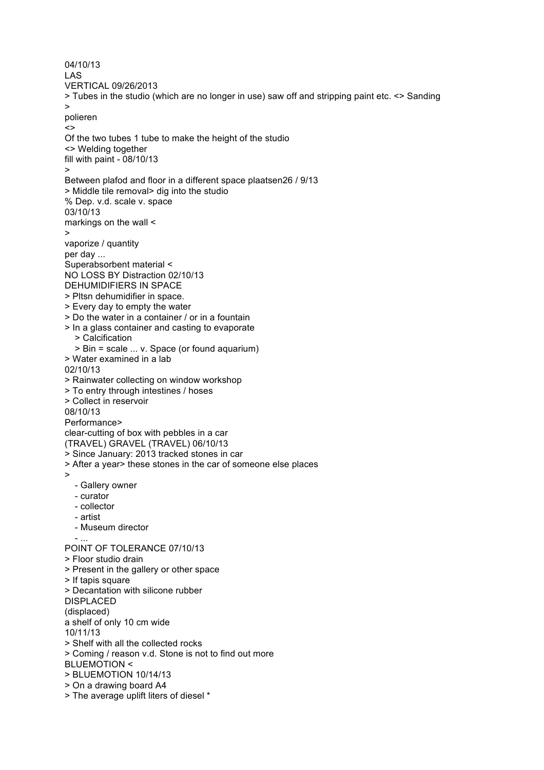04/10/13 LAS VERTICAL 09/26/2013 > Tubes in the studio (which are no longer in use) saw off and stripping paint etc. <> Sanding > polieren  $\leftrightarrow$ Of the two tubes 1 tube to make the height of the studio <> Welding together fill with paint - 08/10/13 > Between plafod and floor in a different space plaatsen26 / 9/13 > Middle tile removal> dig into the studio % Dep. v.d. scale v. space 03/10/13 markings on the wall < > vaporize / quantity per day ... Superabsorbent material < NO LOSS BY Distraction 02/10/13 DEHUMIDIFIERS IN SPACE > Pltsn dehumidifier in space. > Every day to empty the water > Do the water in a container / or in a fountain > In a glass container and casting to evaporate > Calcification > Bin = scale ... v. Space (or found aquarium) > Water examined in a lab 02/10/13 > Rainwater collecting on window workshop > To entry through intestines / hoses > Collect in reservoir 08/10/13 Performance> clear-cutting of box with pebbles in a car (TRAVEL) GRAVEL (TRAVEL) 06/10/13 > Since January: 2013 tracked stones in car > After a year> these stones in the car of someone else places > - Gallery owner - curator - collector - artist - Museum director - ... POINT OF TOLERANCE 07/10/13 > Floor studio drain > Present in the gallery or other space > If tapis square > Decantation with silicone rubber DISPLACED (displaced) a shelf of only 10 cm wide 10/11/13 > Shelf with all the collected rocks > Coming / reason v.d. Stone is not to find out more BLUEMOTION < > BLUEMOTION 10/14/13 > On a drawing board A4 > The average uplift liters of diesel \*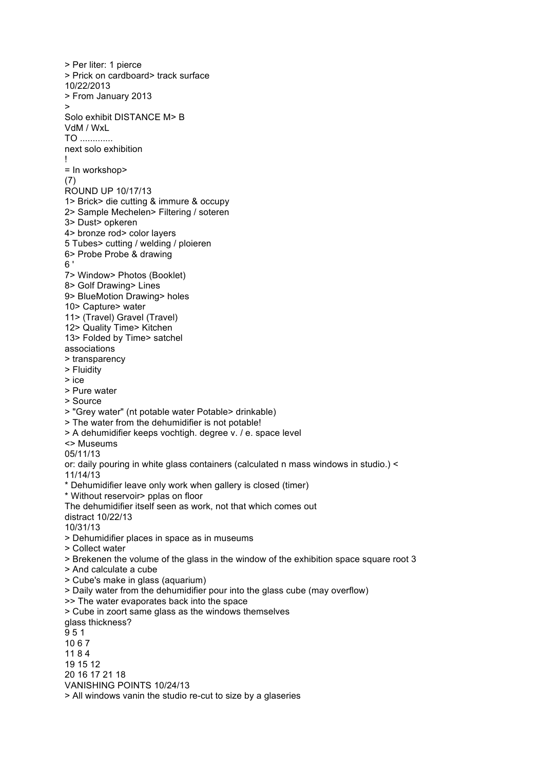> Per liter: 1 pierce > Prick on cardboard> track surface 10/22/2013 > From January 2013 > Solo exhibit DISTANCE M> B VdM / WxL TO ............. next solo exhibition ! = In workshop> (7) ROUND UP 10/17/13 1> Brick> die cutting & immure & occupy 2> Sample Mechelen> Filtering / soteren 3> Dust> opkeren 4> bronze rod> color layers 5 Tubes> cutting / welding / ploieren 6> Probe Probe & drawing 6 ' 7> Window> Photos (Booklet) 8> Golf Drawing> Lines 9> BlueMotion Drawing> holes 10> Capture> water 11> (Travel) Gravel (Travel) 12> Quality Time> Kitchen 13> Folded by Time> satchel associations > transparency > Fluidity > ice > Pure water > Source > "Grey water" (nt potable water Potable> drinkable) > The water from the dehumidifier is not potable! > A dehumidifier keeps vochtigh. degree v. / e. space level <> Museums 05/11/13 or: daily pouring in white glass containers (calculated n mass windows in studio.) < 11/14/13 \* Dehumidifier leave only work when gallery is closed (timer) \* Without reservoir> pplas on floor The dehumidifier itself seen as work, not that which comes out distract 10/22/13 10/31/13 > Dehumidifier places in space as in museums > Collect water > Brekenen the volume of the glass in the window of the exhibition space square root 3 > And calculate a cube > Cube's make in glass (aquarium) > Daily water from the dehumidifier pour into the glass cube (may overflow) >> The water evaporates back into the space > Cube in zoort same glass as the windows themselves glass thickness? 9 5 1 10 6 7 11 8 4 19 15 12 20 16 17 21 18 VANISHING POINTS 10/24/13 > All windows vanin the studio re-cut to size by a glaseries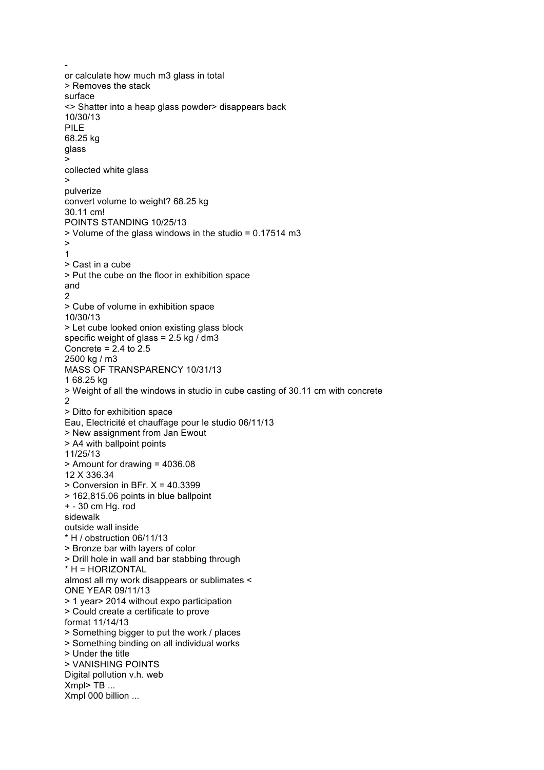or calculate how much m3 glass in total > Removes the stack surface <> Shatter into a heap glass powder> disappears back 10/30/13 PILE 68.25 kg glass > collected white glass > pulverize convert volume to weight? 68.25 kg 30.11 cm! POINTS STANDING 10/25/13 > Volume of the glass windows in the studio = 0.17514 m3 > 1 > Cast in a cube > Put the cube on the floor in exhibition space and 2 > Cube of volume in exhibition space 10/30/13 > Let cube looked onion existing glass block specific weight of glass =  $2.5$  kg  $/$  dm3 Concrete =  $2.4$  to  $2.5$ 2500 kg / m3 MASS OF TRANSPARENCY 10/31/13 1 68.25 kg > Weight of all the windows in studio in cube casting of 30.11 cm with concrete 2 > Ditto for exhibition space Eau, Electricité et chauffage pour le studio 06/11/13 > New assignment from Jan Ewout > A4 with ballpoint points 11/25/13 > Amount for drawing = 4036.08 12 X 336.34 > Conversion in BFr. X = 40.3399 > 162,815.06 points in blue ballpoint + - 30 cm Hg. rod sidewalk outside wall inside \* H / obstruction 06/11/13 > Bronze bar with layers of color > Drill hole in wall and bar stabbing through \* H = HORIZONTAL almost all my work disappears or sublimates < ONE YEAR 09/11/13 > 1 year> 2014 without expo participation > Could create a certificate to prove format 11/14/13 > Something bigger to put the work / places > Something binding on all individual works > Under the title > VANISHING POINTS Digital pollution v.h. web Xmpl> TB ... Xmpl 000 billion ...

-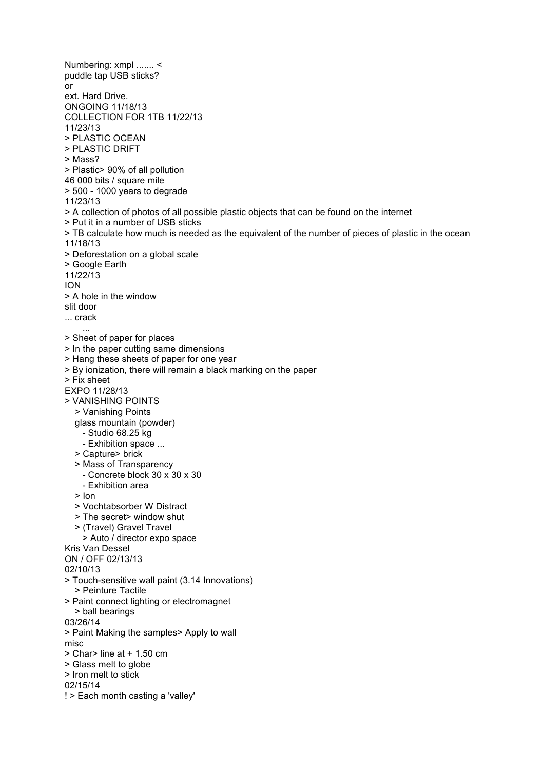Numbering: xmpl ....... < puddle tap USB sticks? or ext. Hard Drive. ONGOING 11/18/13 COLLECTION FOR 1TB 11/22/13 11/23/13 > PLASTIC OCEAN > PLASTIC DRIFT > Mass? > Plastic> 90% of all pollution 46 000 bits / square mile > 500 - 1000 years to degrade 11/23/13 > A collection of photos of all possible plastic objects that can be found on the internet > Put it in a number of USB sticks > TB calculate how much is needed as the equivalent of the number of pieces of plastic in the ocean 11/18/13 > Deforestation on a global scale > Google Earth 11/22/13 ION > A hole in the window slit door ... crack ... > Sheet of paper for places > In the paper cutting same dimensions > Hang these sheets of paper for one year > By ionization, there will remain a black marking on the paper > Fix sheet EXPO 11/28/13 > VANISHING POINTS > Vanishing Points glass mountain (powder) - Studio 68.25 kg - Exhibition space ... > Capture> brick > Mass of Transparency - Concrete block 30 x 30 x 30 - Exhibition area > Ion > Vochtabsorber W Distract > The secret> window shut > (Travel) Gravel Travel > Auto / director expo space Kris Van Dessel ON / OFF 02/13/13 02/10/13 > Touch-sensitive wall paint (3.14 Innovations) > Peinture Tactile > Paint connect lighting or electromagnet > ball bearings 03/26/14 > Paint Making the samples> Apply to wall misc > Char> line at + 1.50 cm > Glass melt to globe > Iron melt to stick 02/15/14 ! > Each month casting a 'valley'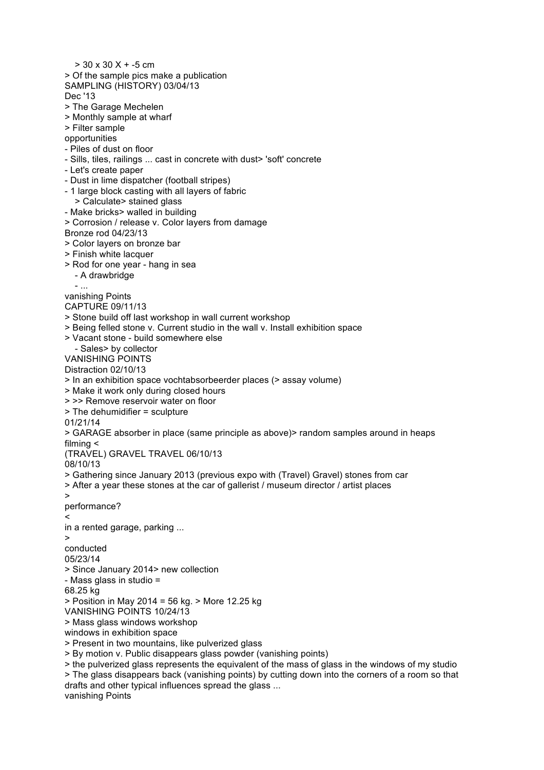$> 30 \times 30 \times + -5$  cm > Of the sample pics make a publication SAMPLING (HISTORY) 03/04/13 Dec '13 > The Garage Mechelen > Monthly sample at wharf > Filter sample opportunities - Piles of dust on floor - Sills, tiles, railings ... cast in concrete with dust> 'soft' concrete - Let's create paper - Dust in lime dispatcher (football stripes) - 1 large block casting with all layers of fabric > Calculate> stained glass - Make bricks> walled in building > Corrosion / release v. Color layers from damage Bronze rod 04/23/13 > Color layers on bronze bar > Finish white lacquer > Rod for one year - hang in sea - A drawbridge - ... vanishing Points CAPTURE 09/11/13 > Stone build off last workshop in wall current workshop > Being felled stone v. Current studio in the wall v. Install exhibition space > Vacant stone - build somewhere else - Sales> by collector VANISHING POINTS Distraction 02/10/13 > In an exhibition space vochtabsorbeerder places (> assay volume) > Make it work only during closed hours > >> Remove reservoir water on floor > The dehumidifier = sculpture 01/21/14 > GARAGE absorber in place (same principle as above)> random samples around in heaps filming < (TRAVEL) GRAVEL TRAVEL 06/10/13 08/10/13 > Gathering since January 2013 (previous expo with (Travel) Gravel) stones from car > After a year these stones at the car of gallerist / museum director / artist places > performance?  $\epsilon$ in a rented garage, parking ...  $\overline{\phantom{a}}$ conducted 05/23/14 > Since January 2014> new collection - Mass glass in studio = 68.25 kg > Position in May 2014 = 56 kg. > More 12.25 kg VANISHING POINTS 10/24/13 > Mass glass windows workshop windows in exhibition space > Present in two mountains, like pulverized glass > By motion v. Public disappears glass powder (vanishing points) > the pulverized glass represents the equivalent of the mass of glass in the windows of my studio > The glass disappears back (vanishing points) by cutting down into the corners of a room so that drafts and other typical influences spread the glass ... vanishing Points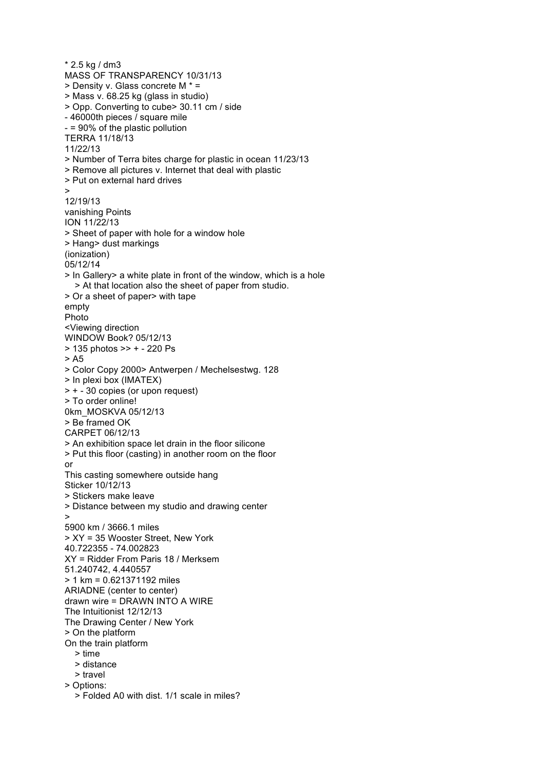\* 2.5 kg / dm3 MASS OF TRANSPARENCY 10/31/13 > Density v. Glass concrete M \* = > Mass v. 68.25 kg (glass in studio) > Opp. Converting to cube> 30.11 cm / side - 46000th pieces / square mile - = 90% of the plastic pollution TERRA 11/18/13 11/22/13 > Number of Terra bites charge for plastic in ocean 11/23/13 > Remove all pictures v. Internet that deal with plastic > Put on external hard drives > 12/19/13 vanishing Points ION 11/22/13 > Sheet of paper with hole for a window hole > Hang> dust markings (ionization) 05/12/14 > In Gallery> a white plate in front of the window, which is a hole > At that location also the sheet of paper from studio. > Or a sheet of paper> with tape empty Photo <Viewing direction WINDOW Book? 05/12/13 > 135 photos >> + - 220 Ps > A5 > Color Copy 2000> Antwerpen / Mechelsestwg. 128 > In plexi box (IMATEX) > + - 30 copies (or upon request) > To order online! 0km\_MOSKVA 05/12/13 > Be framed OK CARPET 06/12/13 > An exhibition space let drain in the floor silicone > Put this floor (casting) in another room on the floor or This casting somewhere outside hang Sticker 10/12/13 > Stickers make leave > Distance between my studio and drawing center > 5900 km / 3666.1 miles > XY = 35 Wooster Street, New York 40.722355 - 74.002823 XY = Ridder From Paris 18 / Merksem 51.240742, 4.440557 > 1 km = 0.621371192 miles ARIADNE (center to center) drawn wire = DRAWN INTO A WIRE The Intuitionist 12/12/13 The Drawing Center / New York > On the platform On the train platform > time > distance > travel > Options: > Folded A0 with dist. 1/1 scale in miles?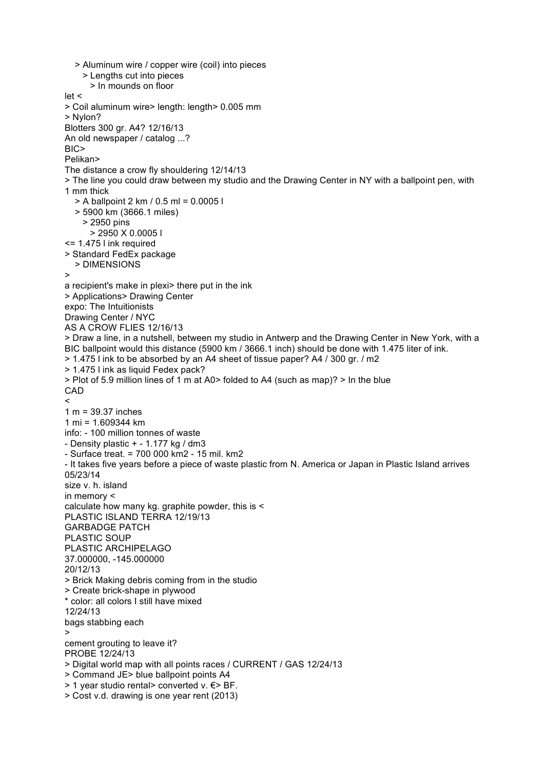> Aluminum wire / copper wire (coil) into pieces > Lengths cut into pieces > In mounds on floor let < > Coil aluminum wire> length: length> 0.005 mm > Nylon? Blotters 300 gr. A4? 12/16/13 An old newspaper / catalog ...? BIC> Pelikan> The distance a crow fly shouldering 12/14/13 > The line you could draw between my studio and the Drawing Center in NY with a ballpoint pen, with 1 mm thick > A ballpoint 2 km / 0.5 ml = 0.0005 l > 5900 km (3666.1 miles) > 2950 pins > 2950 X 0.0005 l <= 1.475 l ink required > Standard FedEx package > DIMENSIONS > a recipient's make in plexi> there put in the ink > Applications> Drawing Center expo: The Intuitionists Drawing Center / NYC AS A CROW FLIES 12/16/13 > Draw a line, in a nutshell, between my studio in Antwerp and the Drawing Center in New York, with a BIC ballpoint would this distance (5900 km / 3666.1 inch) should be done with 1.475 liter of ink. > 1.475 l ink to be absorbed by an A4 sheet of tissue paper? A4 / 300 gr. / m2 > 1.475 l ink as liquid Fedex pack? > Plot of 5.9 million lines of 1 m at A0> folded to A4 (such as map)? > In the blue CAD  $\prec$ 1 m = 39.37 inches 1 mi = 1.609344 km info: - 100 million tonnes of waste - Density plastic + - 1.177 kg / dm3 - Surface treat. = 700 000 km2 - 15 mil. km2 - It takes five years before a piece of waste plastic from N. America or Japan in Plastic Island arrives 05/23/14 size v. h. island in memory < calculate how many kg. graphite powder, this is < PLASTIC ISLAND TERRA 12/19/13 GARBADGE PATCH PLASTIC SOUP PLASTIC ARCHIPELAGO 37.000000, -145.000000 20/12/13 > Brick Making debris coming from in the studio > Create brick-shape in plywood \* color: all colors I still have mixed 12/24/13 bags stabbing each > cement grouting to leave it? PROBE 12/24/13 > Digital world map with all points races / CURRENT / GAS 12/24/13 > Command JE> blue ballpoint points A4 > 1 year studio rental> converted v. €> BF. > Cost v.d. drawing is one year rent (2013)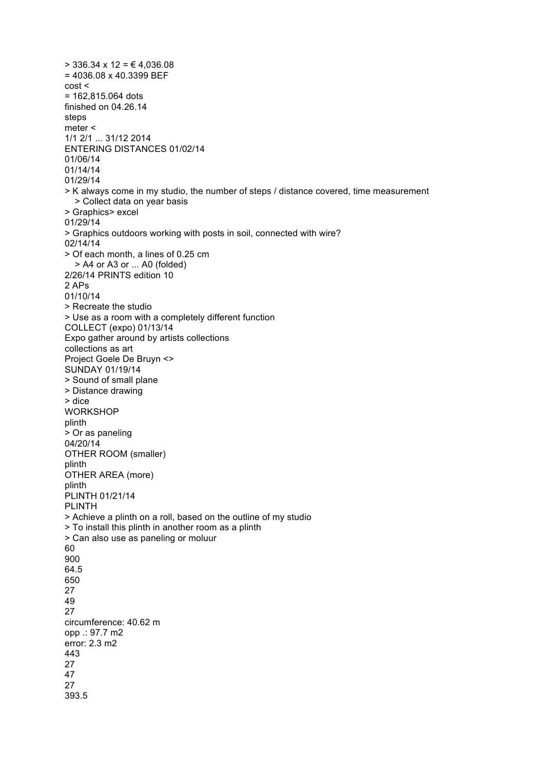$>$  336.34 x 12 =  $\in$  4,036.08 = 4036.08 x 40.3399 BEF cost < = 162,815.064 dots finished on 04.26.14 steps meter < 1/1 2/1 ... 31/12 2014 ENTERING DISTANCES 01/02/14 01/06/14 01/14/14 01/29/14 > K always come in my studio, the number of steps / distance covered, time measurement > Collect data on year basis > Graphics> excel 01/29/14 > Graphics outdoors working with posts in soil, connected with wire? 02/14/14 > Of each month, a lines of 0.25 cm > A4 or A3 or ... A0 (folded) 2/26/14 PRINTS edition 10 2 APs 01/10/14 > Recreate the studio > Use as a room with a completely different function COLLECT (expo) 01/13/14 Expo gather around by artists collections collections as art Project Goele De Bruyn <> SUNDAY 01/19/14 > Sound of small plane > Distance drawing > dice **WORKSHOP** plinth > Or as paneling 04/20/14 OTHER ROOM (smaller) plinth OTHER AREA (more) plinth PLINTH 01/21/14 PLINTH > Achieve a plinth on a roll, based on the outline of my studio > To install this plinth in another room as a plinth > Can also use as paneling or moluur 60 900 64.5 650 27 49 27 circumference: 40.62 m opp .: 97.7 m2 error: 2.3 m2 443 27 47 27 393.5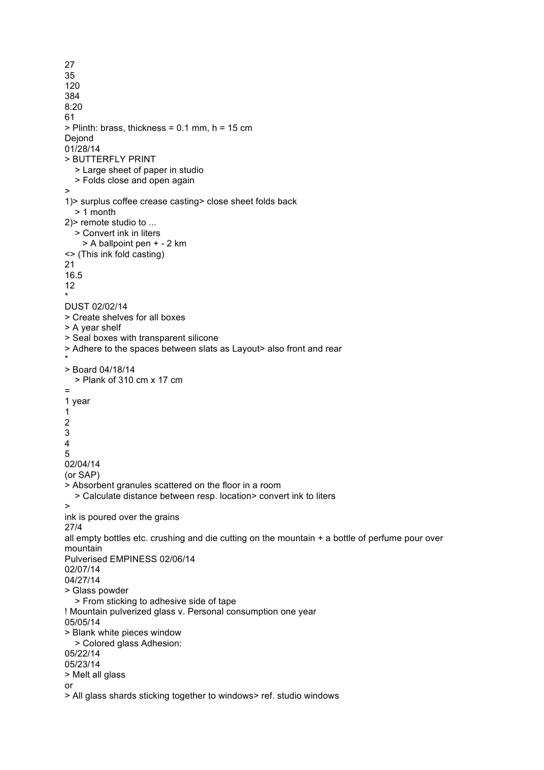27 35 120 384 8:20 61  $>$  Plinth: brass, thickness = 0.1 mm, h = 15 cm **Dejond** 01/28/14 > BUTTERFLY PRINT > Large sheet of paper in studio > Folds close and open again > 1)> surplus coffee crease casting> close sheet folds back > 1 month 2)> remote studio to ... > Convert ink in liters > A ballpoint pen + - 2 km <> (This ink fold casting) 21 16.5 12 \* DUST 02/02/14 > Create shelves for all boxes > A year shelf > Seal boxes with transparent silicone > Adhere to the spaces between slats as Layout> also front and rear \* > Board 04/18/14 > Plank of 310 cm x 17 cm = 1 year 1 2 3 4 5 02/04/14 (or SAP) > Absorbent granules scattered on the floor in a room > Calculate distance between resp. location> convert ink to liters > ink is poured over the grains 27/4 all empty bottles etc. crushing and die cutting on the mountain  $+$  a bottle of perfume pour over mountain Pulverised EMPINESS 02/06/14 02/07/14 04/27/14 > Glass powder > From sticking to adhesive side of tape ! Mountain pulverized glass v. Personal consumption one year 05/05/14 > Blank white pieces window > Colored glass Adhesion: 05/22/14 05/23/14 > Melt all glass or > All glass shards sticking together to windows> ref. studio windows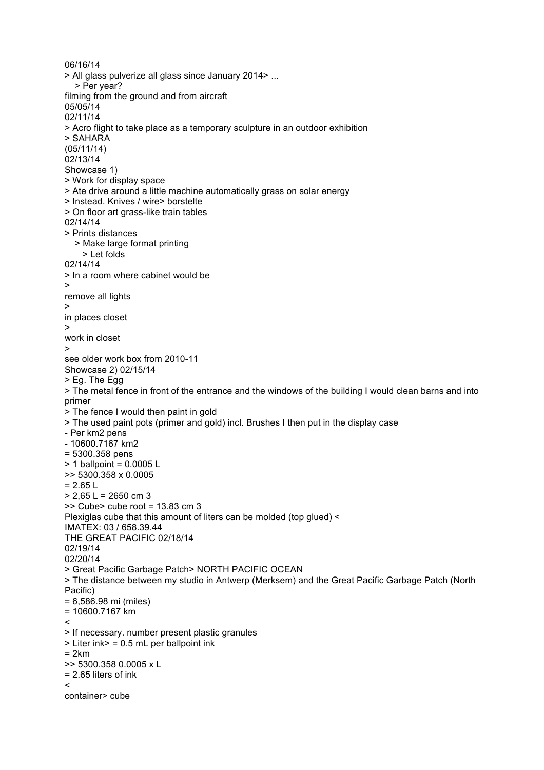06/16/14 > All glass pulverize all glass since January 2014> ... > Per year? filming from the ground and from aircraft 05/05/14 02/11/14 > Acro flight to take place as a temporary sculpture in an outdoor exhibition > SAHARA (05/11/14) 02/13/14 Showcase 1) > Work for display space > Ate drive around a little machine automatically grass on solar energy > Instead. Knives / wire> borstelte > On floor art grass-like train tables 02/14/14 > Prints distances > Make large format printing > Let folds 02/14/14 > In a room where cabinet would be > remove all lights > in places closet > work in closet > see older work box from 2010-11 Showcase 2) 02/15/14 > Eg. The Egg > The metal fence in front of the entrance and the windows of the building I would clean barns and into primer > The fence I would then paint in gold > The used paint pots (primer and gold) incl. Brushes I then put in the display case - Per km2 pens - 10600.7167 km2 = 5300.358 pens > 1 ballpoint = 0.0005 L >> 5300.358 x 0.0005  $= 2.65 L$  $> 2,65$  L = 2650 cm 3  $\geq$  Cube  $\geq$  cube root = 13.83 cm 3 Plexiglas cube that this amount of liters can be molded (top glued) < IMATEX: 03 / 658.39.44 THE GREAT PACIFIC 02/18/14 02/19/14 02/20/14 > Great Pacific Garbage Patch> NORTH PACIFIC OCEAN > The distance between my studio in Antwerp (Merksem) and the Great Pacific Garbage Patch (North Pacific) = 6,586.98 mi (miles) = 10600.7167 km  $\tilde{ }$ > If necessary. number present plastic granules > Liter ink> = 0.5 mL per ballpoint ink = 2km >> 5300.358 0.0005 x L = 2.65 liters of ink  $\prec$ container> cube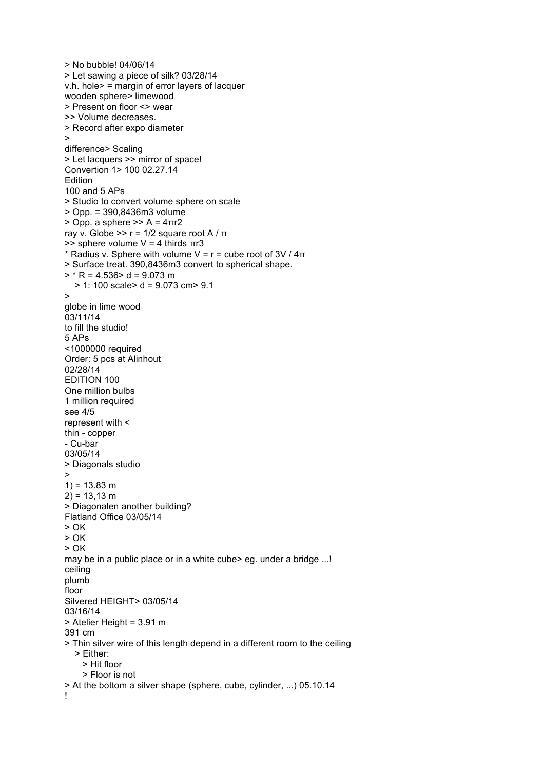```
> No bubble! 04/06/14
> Let sawing a piece of silk? 03/28/14
v.h. hole> = margin of error layers of lacquer
wooden sphere> limewood
> Present on floor <> wear
>> Volume decreases.
> Record after expo diameter
>
difference> Scaling
> Let lacquers >> mirror of space!
Convertion 1> 100 02.27.14
Edition
100 and 5 APs
> Studio to convert volume sphere on scale
> Opp. = 390,8436m3 volume
> Opp. a sphere >> A = 4πr2
ray v. Globe >> r = 1/2 square root A / π
\Rightarrow sphere volume V = 4 thirds πr3
* Radius v. Sphere with volume V = r = cube root of 3V / 4\pi> Surface treat. 390,8436m3 convert to spherical shape.
> * R = 4.536 > d = 9.073 m
   > 1: 100 scale> d = 9.073 cm> 9.1
>
globe in lime wood
03/11/14
to fill the studio!
5 APs
<1000000 required
Order: 5 pcs at Alinhout
02/28/14
EDITION 100
One million bulbs
1 million required
see 4/5
represent with <
thin - copper
- Cu-bar
03/05/14
> Diagonals studio
>
1) = 13.83 m
2) = 13,13 \text{ m}> Diagonalen another building?
Flatland Office 03/05/14
> \capK
> OK
> \capK
may be in a public place or in a white cube> eg. under a bridge ...!
ceiling
plumb
floor
Silvered HEIGHT> 03/05/14
03/16/14
> Atelier Height = 3.91 m
391 cm
> Thin silver wire of this length depend in a different room to the ceiling
   > Either:
     > Hit floor
     > Floor is not
> At the bottom a silver shape (sphere, cube, cylinder, ...) 05.10.14
!
```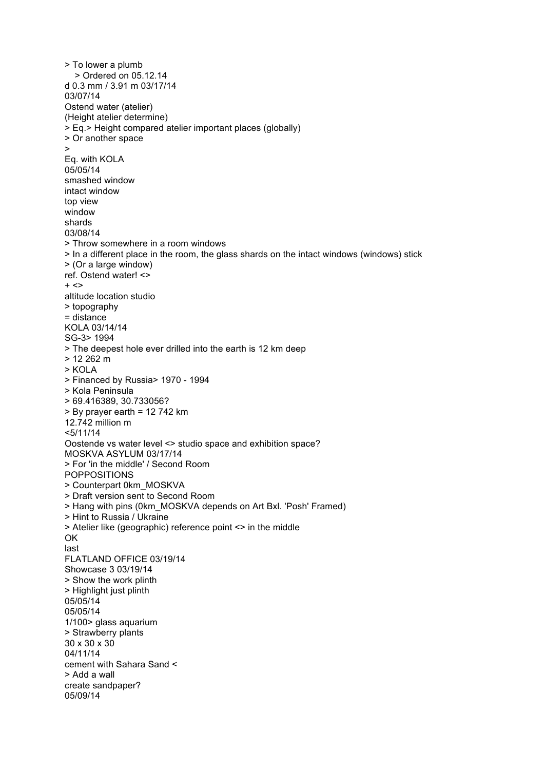> To lower a plumb > Ordered on 05.12.14 d 0.3 mm / 3.91 m 03/17/14 03/07/14 Ostend water (atelier) (Height atelier determine) > Eq.> Height compared atelier important places (globally) > Or another space > Eq. with KOLA 05/05/14 smashed window intact window top view window shards 03/08/14 > Throw somewhere in a room windows > In a different place in the room, the glass shards on the intact windows (windows) stick > (Or a large window) ref. Ostend water! <>  $+ <$ altitude location studio > topography = distance KOLA 03/14/14 SG-3> 1994 > The deepest hole ever drilled into the earth is 12 km deep > 12 262 m > KOLA > Financed by Russia> 1970 - 1994 > Kola Peninsula > 69.416389, 30.733056? > By prayer earth = 12 742 km 12.742 million m <5/11/14 Oostende vs water level <> studio space and exhibition space? MOSKVA ASYLUM 03/17/14 > For 'in the middle' / Second Room POPPOSITIONS > Counterpart 0km\_MOSKVA > Draft version sent to Second Room > Hang with pins (0km\_MOSKVA depends on Art Bxl. 'Posh' Framed) > Hint to Russia / Ukraine > Atelier like (geographic) reference point <> in the middle OK last FLATLAND OFFICE 03/19/14 Showcase 3 03/19/14 > Show the work plinth > Highlight just plinth 05/05/14 05/05/14 1/100> glass aquarium > Strawberry plants 30 x 30 x 30 04/11/14 cement with Sahara Sand < > Add a wall create sandpaper? 05/09/14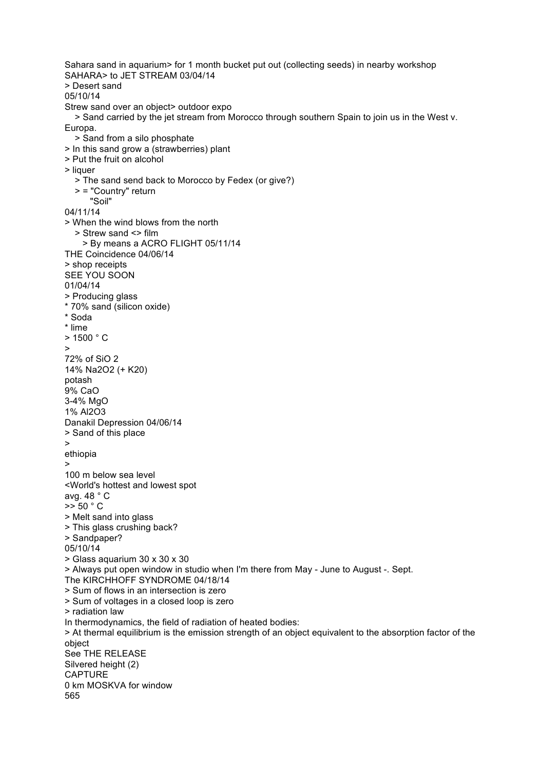Sahara sand in aquarium> for 1 month bucket put out (collecting seeds) in nearby workshop SAHARA> to JET STREAM 03/04/14 > Desert sand 05/10/14 Strew sand over an object> outdoor expo > Sand carried by the jet stream from Morocco through southern Spain to join us in the West v. Europa. > Sand from a silo phosphate > In this sand grow a (strawberries) plant > Put the fruit on alcohol > liquer > The sand send back to Morocco by Fedex (or give?) > = "Country" return "Soil" 04/11/14 > When the wind blows from the north > Strew sand <> film > By means a ACRO FLIGHT 05/11/14 THE Coincidence 04/06/14 > shop receipts SEE YOU SOON 01/04/14 > Producing glass \* 70% sand (silicon oxide) \* Soda \* lime  $> 1500 °C$ > 72% of SiO 2 14% Na2O2 (+ K20) potash 9% CaO 3-4% MgO 1% Al2O3 Danakil Depression 04/06/14 > Sand of this place > ethiopia > 100 m below sea level <World's hottest and lowest spot avg. 48 ° C  $\geq$  50  $\degree$  C > Melt sand into glass > This glass crushing back? > Sandpaper? 05/10/14 > Glass aquarium 30 x 30 x 30 > Always put open window in studio when I'm there from May - June to August -. Sept. The KIRCHHOFF SYNDROME 04/18/14 > Sum of flows in an intersection is zero > Sum of voltages in a closed loop is zero > radiation law In thermodynamics, the field of radiation of heated bodies: > At thermal equilibrium is the emission strength of an object equivalent to the absorption factor of the object See THE RELEASE Silvered height (2) CAPTURE 0 km MOSKVA for window 565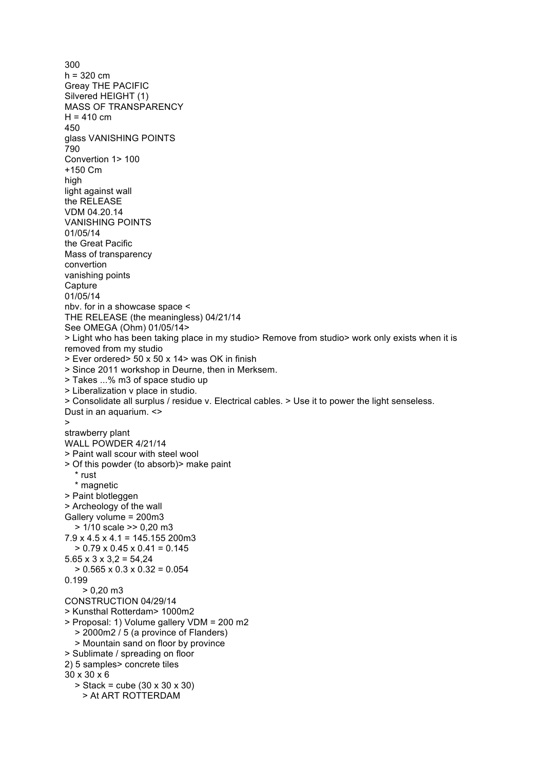300  $h = 320$  cm Greay THE PACIFIC Silvered HEIGHT (1) MASS OF TRANSPARENCY  $H = 410$  cm 450 glass VANISHING POINTS 790 Convertion 1> 100 +150 Cm high light against wall the RELEASE VDM 04.20.14 VANISHING POINTS 01/05/14 the Great Pacific Mass of transparency convertion vanishing points **Capture** 01/05/14 nbv. for in a showcase space < THE RELEASE (the meaningless) 04/21/14 See OMEGA (Ohm) 01/05/14> > Light who has been taking place in my studio> Remove from studio> work only exists when it is removed from my studio > Ever ordered> 50 x 50 x 14> was OK in finish > Since 2011 workshop in Deurne, then in Merksem. > Takes ...% m3 of space studio up > Liberalization v place in studio. > Consolidate all surplus / residue v. Electrical cables. > Use it to power the light senseless. Dust in an aquarium. <> > strawberry plant WALL POWDER 4/21/14 > Paint wall scour with steel wool > Of this powder (to absorb)> make paint \* rust \* magnetic > Paint blotleggen > Archeology of the wall Gallery volume = 200m3 > 1/10 scale >> 0,20 m3  $7.9 \times 4.5 \times 4.1 = 145.155$  200m3  $> 0.79 \times 0.45 \times 0.41 = 0.145$  $5.65 \times 3 \times 3.2 = 54.24$  $> 0.565 \times 0.3 \times 0.32 = 0.054$ 0.199  $> 0.20$  m3 CONSTRUCTION 04/29/14 > Kunsthal Rotterdam> 1000m2 > Proposal: 1) Volume gallery VDM = 200 m2 > 2000m2 / 5 (a province of Flanders) > Mountain sand on floor by province > Sublimate / spreading on floor 2) 5 samples> concrete tiles 30 x 30 x 6 > Stack = cube (30 x 30 x 30) > At ART ROTTERDAM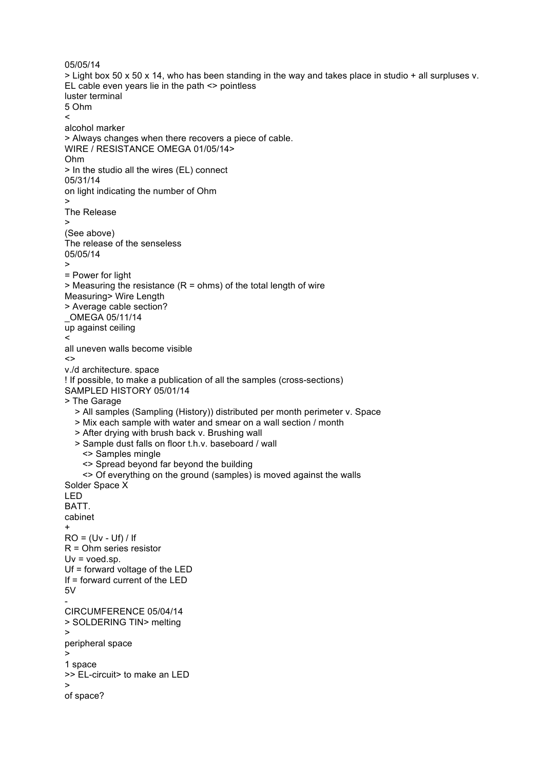```
05/05/14
> Light box 50 x 50 x 14, who has been standing in the way and takes place in studio + all surpluses v. 
EL cable even years lie in the path <> pointless
luster terminal
5 Ohm
<
alcohol marker
> Always changes when there recovers a piece of cable.
WIRE / RESISTANCE OMEGA 01/05/14>
Ohm
> In the studio all the wires (EL) connect
05/31/14
on light indicating the number of Ohm
>
The Release
\overline{\phantom{a}}(See above)
The release of the senseless
05/05/14
>
= Power for light
> Measuring the resistance (R = ohms) of the total length of wire
Measuring> Wire Length
> Average cable section?
_OMEGA 05/11/14
up against ceiling
\precall uneven walls become visible
\simv./d architecture. space
! If possible, to make a publication of all the samples (cross-sections)
SAMPLED HISTORY 05/01/14
> The Garage
   > All samples (Sampling (History)) distributed per month perimeter v. Space
   > Mix each sample with water and smear on a wall section / month
   > After drying with brush back v. Brushing wall
   > Sample dust falls on floor t.h.v. baseboard / wall
     <> Samples mingle
     <> Spread beyond far beyond the building
     <> Of everything on the ground (samples) is moved against the walls
Solder Space X
LED
BATT.
cabinet
+
RO = (Uv - Uf)/IfR = Ohm series resistor
Uv = voed.sp.
Uf = forward voltage of the LED
If = forward current of the LED
5V
-
CIRCUMFERENCE 05/04/14
> SOLDERING TIN> melting
>
peripheral space
>
1 space
>> EL-circuit> to make an LED
>
of space?
```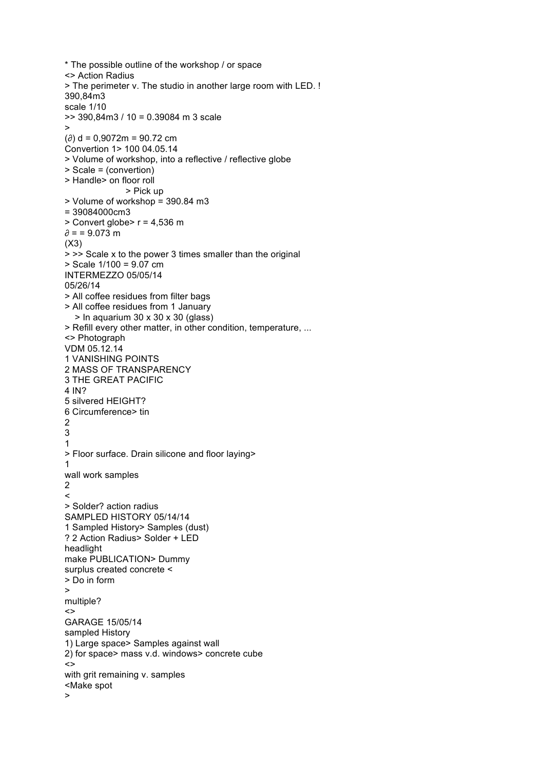```
* The possible outline of the workshop / or space
<> Action Radius
> The perimeter v. The studio in another large room with LED. !
390,84m3
scale 1/10
>> 390,84m3 / 10 = 0.39084 m 3 scale (\partial) d = 0.9072m = 90.72 cm
Convertion 1> 100 04.05.14
> Volume of workshop, into a reflective / reflective globe
> Scale = (convertion)
> Handle> on floor roll
                > Pick up
> Volume of workshop = 390.84 m3
= 39084000cm3
> Convert globe> r = 4,536 m
\partial = 9.073 m
(X3)
> >> Scale x to the power 3 times smaller than the original
> Scale 1/100 = 9.07 cm
INTERMEZZO 05/05/14
05/26/14
> All coffee residues from filter bags
> All coffee residues from 1 January
  > In aquarium 30 x 30 x 30 (glass)
> Refill every other matter, in other condition, temperature, ...
<> Photograph
VDM 05.12.14
1 VANISHING POINTS
2 MASS OF TRANSPARENCY
3 THE GREAT PACIFIC
4 IN?
5 silvered HEIGHT?
6 Circumference> tin 2
2<br>1<br>1
3
\mathbf{1}> Floor surface. Drain silicone and floor laying> 1
wall work samples \frac{2}{5}> Solder? action radius
SAMPLED HISTORY 05/14/14 1 Sampled History> Samples (dust)
? 2 Action Radius> Solder + LED
headlight
make PUBLICATION> Dummy
surplus created concrete <
> Do in form >
multiple?
\leftrightarrowGARAGE 15/05/14
sampled History
1) Large space> Samples against wall
2) for space> mass v.d. windows> concrete cube
\leftrightarrowwith grit remaining v. samples
<Make spot >
```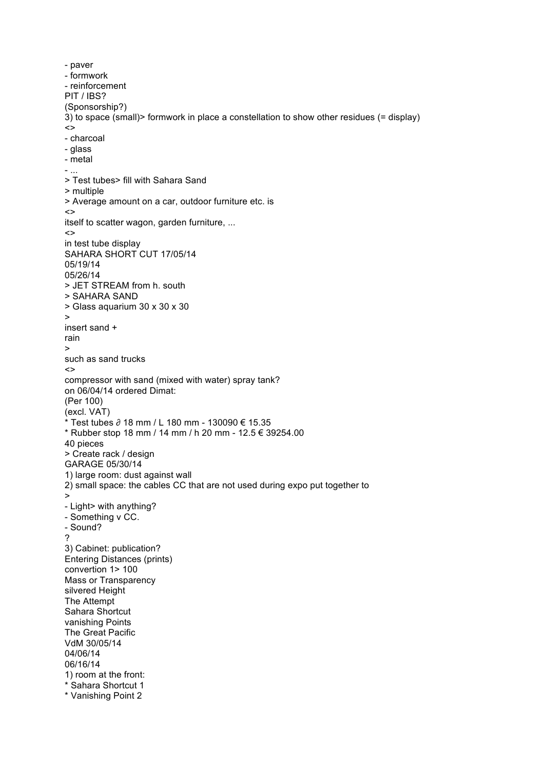- paver - formwork - reinforcement PIT / IBS? (Sponsorship?) 3) to space (small)> formwork in place a constellation to show other residues (= display)  $\left\langle \right\rangle$ - charcoal - glass - metal - ... > Test tubes> fill with Sahara Sand > multiple > Average amount on a car, outdoor furniture etc. is <> itself to scatter wagon, garden furniture, ...  $\leftrightarrow$ in test tube display SAHARA SHORT CUT 17/05/14 05/19/14 05/26/14 > JET STREAM from h. south > SAHARA SAND > Glass aquarium 30 x 30 x 30  $\ddot{\phantom{1}}$ insert sand + rain > such as sand trucks  $\leftrightarrow$ compressor with sand (mixed with water) spray tank? on 06/04/14 ordered Dimat: (Per 100) (excl. VAT) \* Test tubes ∂ 18 mm / L 180 mm - 130090 € 15.35 \* Rubber stop 18 mm / 14 mm / h 20 mm - 12.5 € 39254.00 40 pieces > Create rack / design GARAGE 05/30/14 1) large room: dust against wall 2) small space: the cables CC that are not used during expo put together to > - Light> with anything? - Something v CC. - Sound? ? 3) Cabinet: publication? Entering Distances (prints) convertion 1> 100 Mass or Transparency silvered Height The Attempt Sahara Shortcut vanishing Points The Great Pacific VdM 30/05/14 04/06/14 06/16/14 1) room at the front: \* Sahara Shortcut 1 \* Vanishing Point 2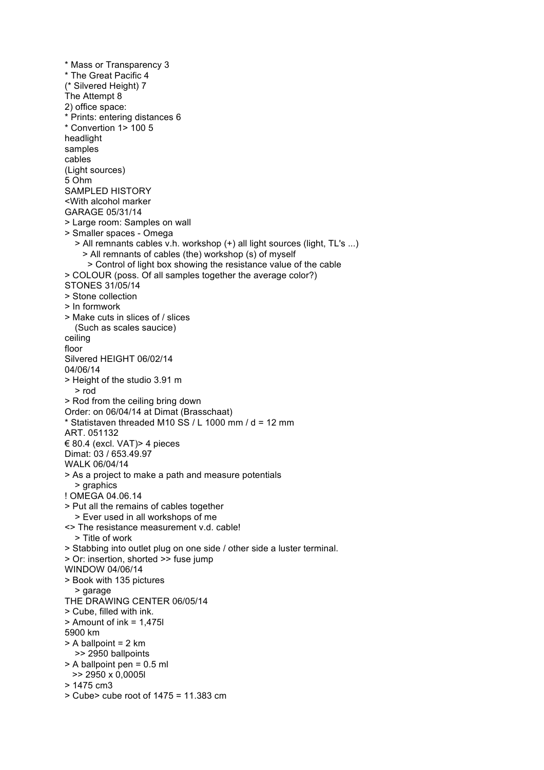\* Mass or Transparency 3 \* The Great Pacific 4 (\* Silvered Height) 7 The Attempt 8 2) office space: \* Prints: entering distances 6 \* Convertion 1> 100 5 headlight samples cables (Light sources) 5 Ohm SAMPLED HISTORY <With alcohol marker GARAGE 05/31/14 > Large room: Samples on wall > Smaller spaces - Omega > All remnants cables v.h. workshop (+) all light sources (light, TL's ...) > All remnants of cables (the) workshop (s) of myself > Control of light box showing the resistance value of the cable > COLOUR (poss. Of all samples together the average color?) STONES 31/05/14 > Stone collection > In formwork > Make cuts in slices of / slices (Such as scales saucice) ceiling floor Silvered HEIGHT 06/02/14 04/06/14 > Height of the studio 3.91 m > rod > Rod from the ceiling bring down Order: on 06/04/14 at Dimat (Brasschaat)  $*$  Statistaven threaded M10 SS / L 1000 mm / d = 12 mm ART. 051132 € 80.4 (excl. VAT)> 4 pieces Dimat: 03 / 653.49.97 WALK 06/04/14 > As a project to make a path and measure potentials > graphics ! OMEGA 04.06.14 > Put all the remains of cables together > Ever used in all workshops of me <> The resistance measurement v.d. cable! > Title of work > Stabbing into outlet plug on one side / other side a luster terminal. > Or: insertion, shorted >> fuse jump WINDOW 04/06/14 > Book with 135 pictures > garage THE DRAWING CENTER 06/05/14 > Cube, filled with ink. > Amount of ink = 1,475l 5900 km > A ballpoint = 2 km >> 2950 ballpoints > A ballpoint pen = 0.5 ml >> 2950 x 0,0005l > 1475 cm3 > Cube> cube root of 1475 = 11.383 cm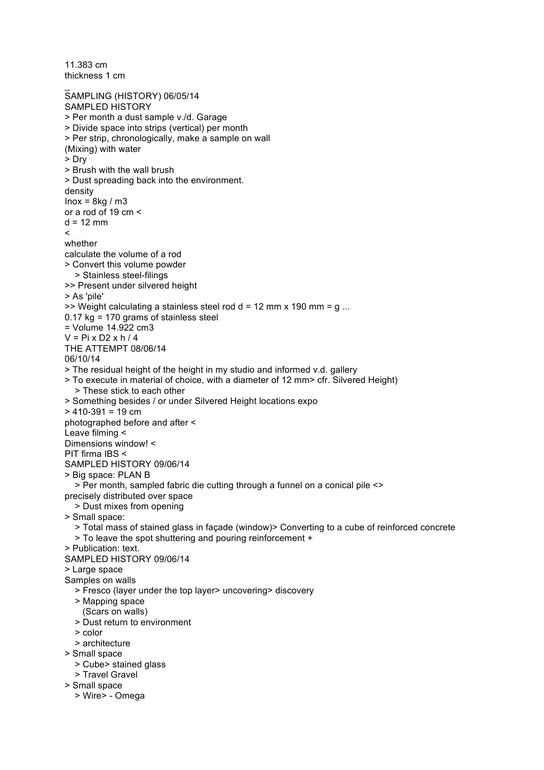11.383 cm thickness 1 cm \_ SAMPLING (HISTORY) 06/05/14 SAMPLED HISTORY > Per month a dust sample v./d. Garage > Divide space into strips (vertical) per month > Per strip, chronologically, make a sample on wall (Mixing) with water > Dry > Brush with the wall brush > Dust spreading back into the environment. density  $Inox = 8kg/m3$ or a rod of 19 cm <  $d = 12$  mm **\_** whether calculate the volume of a rod > Convert this volume powder > Stainless steel-filings >> Present under silvered height > As 'pile'  $\gg$  Weight calculating a stainless steel rod d = 12 mm x 190 mm = q ...  $0.17$  kg = 170 grams of stainless steel = Volume 14.922 cm3  $V = Pi \times D2 \times h / 4$ THE ATTEMPT 08/06/14 06/10/14 > The residual height of the height in my studio and informed v.d. gallery > To execute in material of choice, with a diameter of 12 mm> cfr. Silvered Height) > These stick to each other > Something besides / or under Silvered Height locations expo  $> 410-391 = 19$  cm photographed before and after < Leave filming < Dimensions window! < PIT firma IBS < SAMPLED HISTORY 09/06/14 > Big space: PLAN B > Per month, sampled fabric die cutting through a funnel on a conical pile <> precisely distributed over space > Dust mixes from opening > Small space: > Total mass of stained glass in façade (window)> Converting to a cube of reinforced concrete > To leave the spot shuttering and pouring reinforcement + > Publication: text. SAMPLED HISTORY 09/06/14 > Large space Samples on walls > Fresco (layer under the top layer> uncovering> discovery > Mapping space (Scars on walls) > Dust return to environment > color > architecture > Small space > Cube> stained glass > Travel Gravel > Small space > Wire> - Omega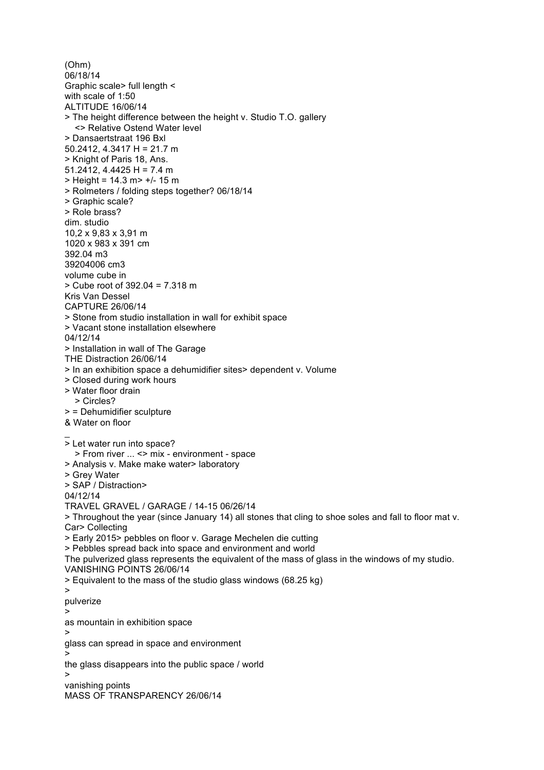(Ohm) 06/18/14 Graphic scale> full length < with scale of 1:50 ALTITUDE 16/06/14 > The height difference between the height v. Studio T.O. gallery <> Relative Ostend Water level > Dansaertstraat 196 Bxl 50.2412, 4.3417 H = 21.7 m > Knight of Paris 18, Ans. 51.2412, 4.4425 H = 7.4 m > Height = 14.3 m> +/- 15 m > Rolmeters / folding steps together? 06/18/14 > Graphic scale? > Role brass? dim. studio 10,2 x 9,83 x 3,91 m 1020 x 983 x 391 cm 392.04 m3 39204006 cm3 volume cube in > Cube root of 392.04 = 7.318 m Kris Van Dessel CAPTURE 26/06/14 > Stone from studio installation in wall for exhibit space > Vacant stone installation elsewhere 04/12/14 > Installation in wall of The Garage THE Distraction 26/06/14 > In an exhibition space a dehumidifier sites> dependent v. Volume > Closed during work hours > Water floor drain > Circles? > = Dehumidifier sculpture & Water on floor \_ > Let water run into space? > From river ... <> mix - environment - space > Analysis v. Make make water> laboratory > Grey Water > SAP / Distraction> 04/12/14 TRAVEL GRAVEL / GARAGE / 14-15 06/26/14 > Throughout the year (since January 14) all stones that cling to shoe soles and fall to floor mat v. Car> Collecting > Early 2015> pebbles on floor v. Garage Mechelen die cutting > Pebbles spread back into space and environment and world The pulverized glass represents the equivalent of the mass of glass in the windows of my studio. VANISHING POINTS 26/06/14 > Equivalent to the mass of the studio glass windows (68.25 kg) > pulverize > as mountain in exhibition space > glass can spread in space and environment > the glass disappears into the public space / world > vanishing points MASS OF TRANSPARENCY 26/06/14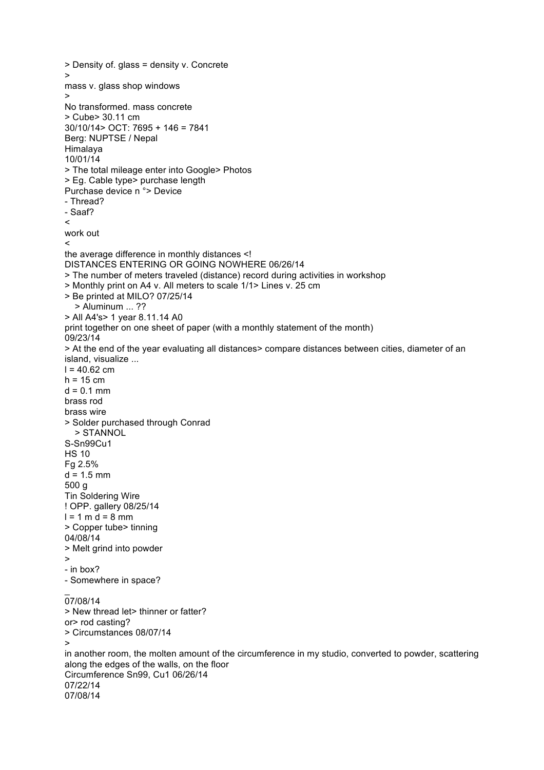```
> Density of. glass = density v. Concrete
>
mass v. glass shop windows
>
No transformed. mass concrete
> Cube> 30.11 cm
30/10/14> OCT: 7695 + 146 = 7841
Berg: NUPTSE / Nepal
Himalaya
10/01/14
> The total mileage enter into Google> Photos
> Eg. Cable type> purchase length
Purchase device n °> Device
- Thread?
- Saaf?
\epsilonwork out
\precthe average difference in monthly distances <!
DISTANCES ENTERING OR GOING NOWHERE 06/26/14
> The number of meters traveled (distance) record during activities in workshop
> Monthly print on A4 v. All meters to scale 1/1> Lines v. 25 cm
> Be printed at MILO? 07/25/14
   > Aluminum ... ??
> All A4's> 1 year 8.11.14 A0
print together on one sheet of paper (with a monthly statement of the month)
09/23/14
> At the end of the year evaluating all distances> compare distances between cities, diameter of an 
island, visualize ...
l = 40.62 cm
h = 15 cm
d = 0.1 mm
brass rod
brass wire
> Solder purchased through Conrad
   > STANNOL
S-Sn99Cu1
HS 10
Fg 2.5%
d = 1.5 mm
500 g
Tin Soldering Wire
! OPP. gallery 08/25/14
l = 1 m d = 8 mm
> Copper tube> tinning
04/08/14
> Melt grind into powder
>
- in box?
- Somewhere in space?
\overline{a}07/08/14
> New thread let> thinner or fatter?
or> rod casting?
> Circumstances 08/07/14
>
in another room, the molten amount of the circumference in my studio, converted to powder, scattering 
along the edges of the walls, on the floor
Circumference Sn99, Cu1 06/26/14
07/22/14
07/08/14
```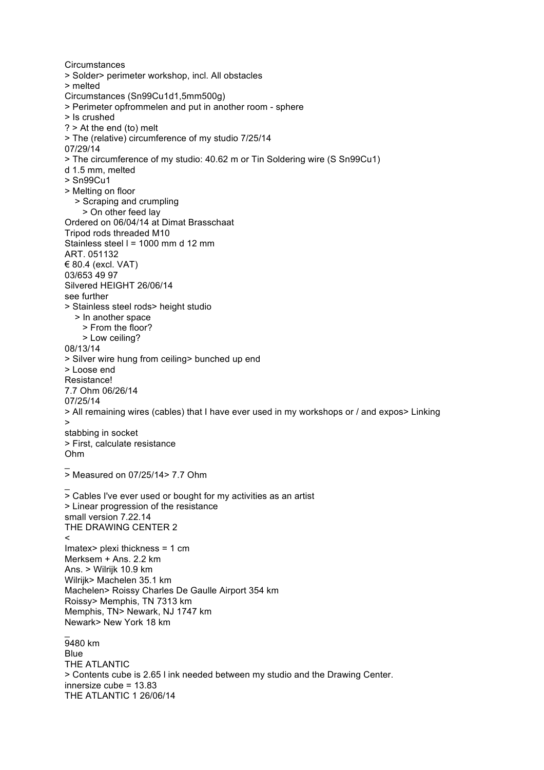**Circumstances** > Solder> perimeter workshop, incl. All obstacles > melted Circumstances (Sn99Cu1d1,5mm500g) > Perimeter opfrommelen and put in another room - sphere > Is crushed ? > At the end (to) melt > The (relative) circumference of my studio 7/25/14 07/29/14 > The circumference of my studio: 40.62 m or Tin Soldering wire (S Sn99Cu1) d 1.5 mm, melted > Sn99Cu1 > Melting on floor > Scraping and crumpling > On other feed lay Ordered on 06/04/14 at Dimat Brasschaat Tripod rods threaded M10 Stainless steel l = 1000 mm d 12 mm ART. 051132 € 80.4 (excl. VAT) 03/653 49 97 Silvered HEIGHT 26/06/14 see further > Stainless steel rods> height studio > In another space > From the floor? > Low ceiling? 08/13/14 > Silver wire hung from ceiling> bunched up end > Loose end Resistance! 7.7 Ohm 06/26/14 07/25/14 > All remaining wires (cables) that I have ever used in my workshops or / and expos> Linking > stabbing in socket > First, calculate resistance Ohm  $\overline{a}$  $\overline{>}$  Measured on 07/25/14> 7.7 Ohm \_  $\overline{>}$  Cables I've ever used or bought for my activities as an artist > Linear progression of the resistance small version 7.22.14 THE DRAWING CENTER 2  $\overline{\phantom{a}}$ Imatex> plexi thickness = 1 cm Merksem + Ans. 2.2 km Ans. > Wilrijk 10.9 km Wilrijk> Machelen 35.1 km Machelen> Roissy Charles De Gaulle Airport 354 km Roissy> Memphis, TN 7313 km Memphis, TN> Newark, NJ 1747 km Newark> New York 18 km  $\overline{a}$ 9480 km Blue THE ATLANTIC > Contents cube is 2.65 l ink needed between my studio and the Drawing Center. innersize cube = 13.83 THE ATLANTIC 1 26/06/14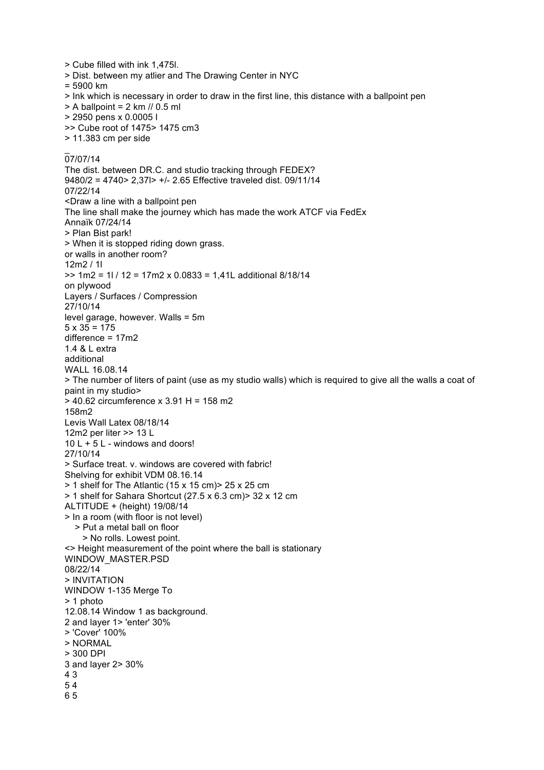> Cube filled with ink 1,475l. > Dist. between my atlier and The Drawing Center in NYC = 5900 km > Ink which is necessary in order to draw in the first line, this distance with a ballpoint pen  $> A$  ballpoint = 2 km // 0.5 ml > 2950 pens x 0.0005 l >> Cube root of 1475> 1475 cm3 > 11.383 cm per side  $\overline{a}$ 07/07/14 The dist. between DR.C. and studio tracking through FEDEX? 9480/2 = 4740> 2,37l> +/- 2.65 Effective traveled dist. 09/11/14 07/22/14 <Draw a line with a ballpoint pen The line shall make the journey which has made the work ATCF via FedEx Annaïk 07/24/14 > Plan Bist park! > When it is stopped riding down grass. or walls in another room? 12m2 / 1l >> 1m2 = 1l / 12 = 17m2 x 0.0833 = 1,41L additional 8/18/14 on plywood Layers / Surfaces / Compression 27/10/14 level garage, however. Walls = 5m  $5 \times 35 = 175$ difference = 17m2 1.4 & L extra additional WALL 16.08.14 > The number of liters of paint (use as my studio walls) which is required to give all the walls a coat of paint in my studio> > 40.62 circumference x 3.91 H = 158 m2 158m2 Levis Wall Latex 08/18/14 12m2 per liter >> 13 L 10 L + 5 L - windows and doors! 27/10/14 > Surface treat. v. windows are covered with fabric! Shelving for exhibit VDM 08.16.14 > 1 shelf for The Atlantic (15 x 15 cm)> 25 x 25 cm > 1 shelf for Sahara Shortcut (27.5 x 6.3 cm)> 32 x 12 cm ALTITUDE + (height) 19/08/14 > In a room (with floor is not level) > Put a metal ball on floor > No rolls. Lowest point. <> Height measurement of the point where the ball is stationary WINDOW\_MASTER.PSD 08/22/14 > INVITATION WINDOW 1-135 Merge To > 1 photo 12.08.14 Window 1 as background. 2 and layer 1> 'enter' 30% > 'Cover' 100% > NORMAL > 300 DPI 3 and layer 2> 30% 4 3 5 4 6 5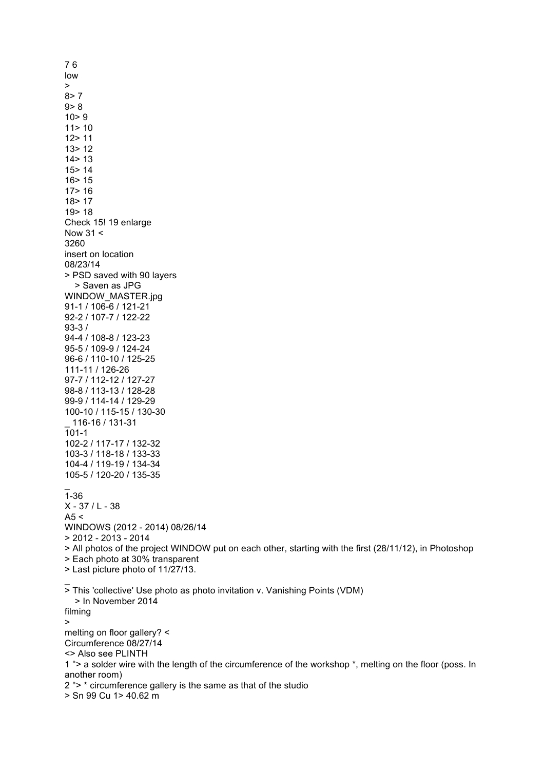low >  $8 > 7$  $9 > 8$  $10 > 9$ 11> 10 12> 11 13> 12  $14 > 13$ 15> 14 16> 15 17> 16 18> 17 19> 18 Check 15! 19 enlarge Now  $31 <$ 3260 insert on location 08/23/14 > PSD saved with 90 layers > Saven as JPG WINDOW\_MASTER.jpg 91-1 / 106-6 / 121-21 92-2 / 107-7 / 122-22 93-3 / 94-4 / 108-8 / 123-23 95-5 / 109-9 / 124-24 96-6 / 110-10 / 125-25 111-11 / 126-26 97-7 / 112-12 / 127-27 98-8 / 113-13 / 128-28 99-9 / 114-14 / 129-29 100-10 / 115-15 / 130-30 \_ 116-16 / 131-31 101-1 102-2 / 117-17 / 132-32 103-3 / 118-18 / 133-33 104-4 / 119-19 / 134-34 105-5 / 120-20 / 135-35 \_  $\overline{1} - 36$  $X - 37 / L - 38$  $A5 <$ WINDOWS (2012 - 2014) 08/26/14 > 2012 - 2013 - 2014 > All photos of the project WINDOW put on each other, starting with the first (28/11/12), in Photoshop > Each photo at 30% transparent > Last picture photo of 11/27/13.  $\overline{a}$ > This 'collective' Use photo as photo invitation v. Vanishing Points (VDM) > In November 2014 filming > melting on floor gallery? < Circumference 08/27/14 <> Also see PLINTH 1 °> a solder wire with the length of the circumference of the workshop \*, melting on the floor (poss. In another room) 2 °> \* circumference gallery is the same as that of the studio > Sn 99 Cu 1> 40.62 m

7 6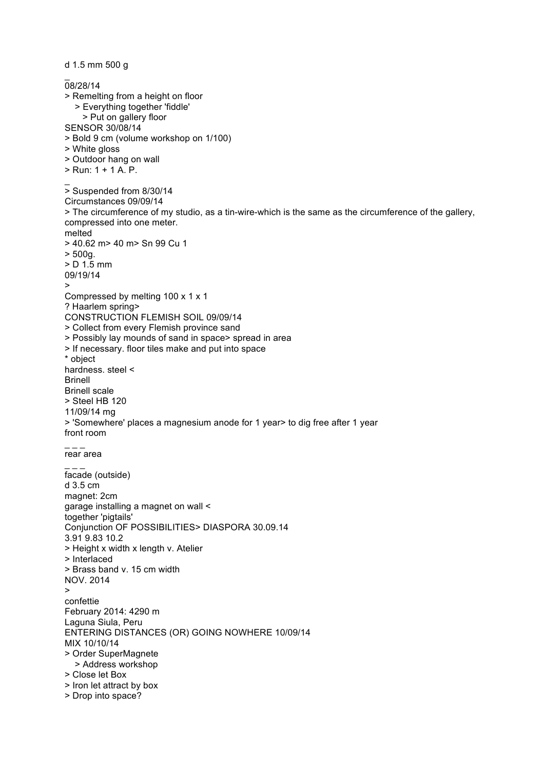d 1.5 mm 500 g \_ 08/28/14 > Remelting from a height on floor > Everything together 'fiddle' > Put on gallery floor SENSOR 30/08/14 > Bold 9 cm (volume workshop on 1/100) > White gloss > Outdoor hang on wall > Run: 1 + 1 A. P.  $\overline{a}$ > Suspended from 8/30/14 Circumstances 09/09/14 > The circumference of my studio, as a tin-wire-which is the same as the circumference of the gallery, compressed into one meter. melted > 40.62 m> 40 m> Sn 99 Cu 1 > 500g. > D 1.5 mm 09/19/14 > Compressed by melting 100 x 1 x 1 ? Haarlem spring> CONSTRUCTION FLEMISH SOIL 09/09/14 > Collect from every Flemish province sand > Possibly lay mounds of sand in space> spread in area > If necessary. floor tiles make and put into space \* object hardness. steel < Brinell Brinell scale > Steel HB 120 11/09/14 mg > 'Somewhere' places a magnesium anode for 1 year> to dig free after 1 year front room  $\overline{\phantom{a}}$   $\overline{\phantom{a}}$  . rear area  $\overline{a}$   $\overline{a}$   $\overline{a}$ facade (outside) d 3.5 cm magnet: 2cm garage installing a magnet on wall < together 'pigtails' Conjunction OF POSSIBILITIES> DIASPORA 30.09.14 3.91 9.83 10.2 > Height x width x length v. Atelier > Interlaced > Brass band v. 15 cm width NOV. 2014 > confettie February 2014: 4290 m Laguna Siula, Peru ENTERING DISTANCES (OR) GOING NOWHERE 10/09/14 MIX 10/10/14 > Order SuperMagnete > Address workshop > Close let Box > Iron let attract by box > Drop into space?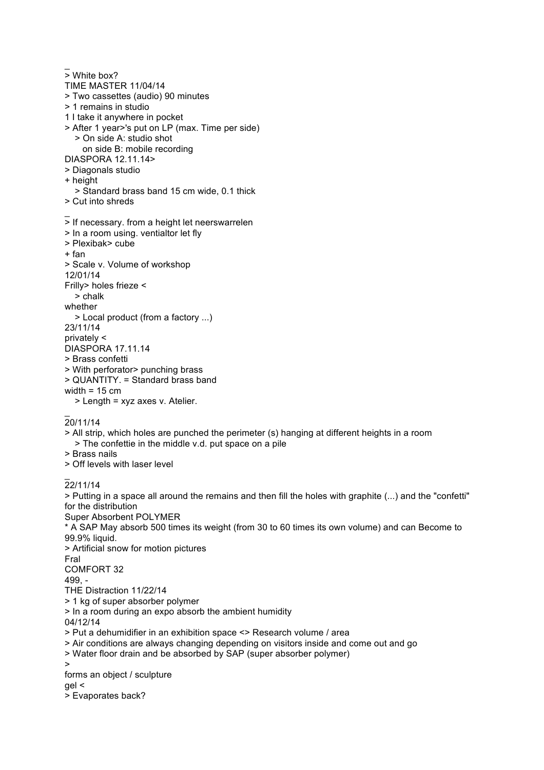\_  $\overline{>}$  White box? TIME MASTER 11/04/14 > Two cassettes (audio) 90 minutes > 1 remains in studio 1 I take it anywhere in pocket > After 1 year>'s put on LP (max. Time per side) > On side A: studio shot on side B: mobile recording DIASPORA 12.11.14> > Diagonals studio + height > Standard brass band 15 cm wide, 0.1 thick > Cut into shreds \_ > If necessary. from a height let neerswarrelen > In a room using. ventialtor let fly > Plexibak> cube + fan > Scale v. Volume of workshop 12/01/14 Frilly> holes frieze < > chalk whether > Local product (from a factory ...) 23/11/14 privately < DIASPORA 17.11.14 > Brass confetti > With perforator> punching brass > QUANTITY. = Standard brass band width  $= 15$  cm > Length = xyz axes v. Atelier.  $\overline{a}$ 20/11/14 > All strip, which holes are punched the perimeter (s) hanging at different heights in a room > The confettie in the middle v.d. put space on a pile > Brass nails > Off levels with laser level \_ 22/11/14 > Putting in a space all around the remains and then fill the holes with graphite (...) and the "confetti" for the distribution Super Absorbent POLYMER \* A SAP May absorb 500 times its weight (from 30 to 60 times its own volume) and can Become to 99.9% liquid. > Artificial snow for motion pictures Fral COMFORT 32 499, - THE Distraction 11/22/14

> 1 kg of super absorber polymer

> In a room during an expo absorb the ambient humidity

04/12/14

> Put a dehumidifier in an exhibition space <> Research volume / area

> Air conditions are always changing depending on visitors inside and come out and go

> Water floor drain and be absorbed by SAP (super absorber polymer)

>

forms an object / sculpture

gel <

> Evaporates back?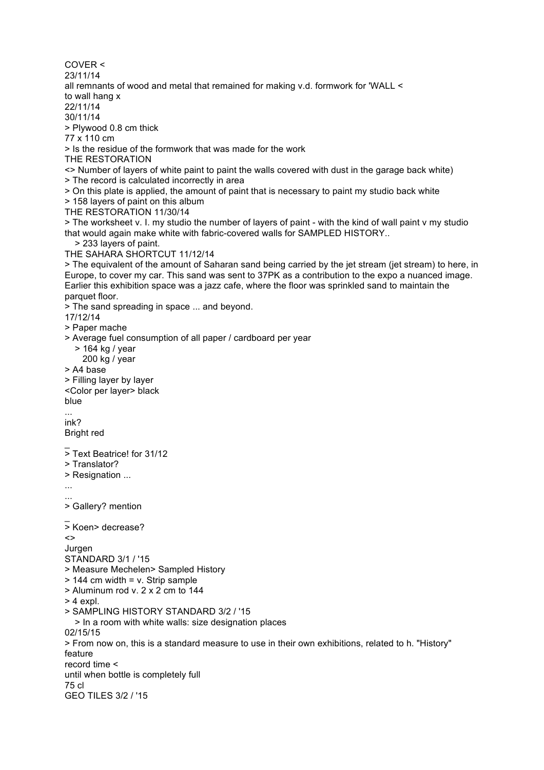COVER < 23/11/14 all remnants of wood and metal that remained for making v.d. formwork for 'WALL < to wall hang x 22/11/14 30/11/14 > Plywood 0.8 cm thick 77 x 110 cm > Is the residue of the formwork that was made for the work THE RESTORATION <> Number of layers of white paint to paint the walls covered with dust in the garage back white) > The record is calculated incorrectly in area > On this plate is applied, the amount of paint that is necessary to paint my studio back white > 158 layers of paint on this album THE RESTORATION 11/30/14 > The worksheet v. I. my studio the number of layers of paint - with the kind of wall paint v my studio that would again make white with fabric-covered walls for SAMPLED HISTORY.. > 233 layers of paint. THE SAHARA SHORTCUT 11/12/14 > The equivalent of the amount of Saharan sand being carried by the jet stream (jet stream) to here, in Europe, to cover my car. This sand was sent to 37PK as a contribution to the expo a nuanced image. Earlier this exhibition space was a jazz cafe, where the floor was sprinkled sand to maintain the parquet floor. > The sand spreading in space ... and beyond. 17/12/14 > Paper mache > Average fuel consumption of all paper / cardboard per year > 164 kg / year 200 kg / year > A4 base > Filling layer by layer <Color per layer> black blue ... ink? Bright red  $\overline{a}$ > Text Beatrice! for 31/12 > Translator? > Resignation ... ... ... > Gallery? mention \_ > Koen> decrease?  $\leftrightarrow$ Jurgen STANDARD 3/1 / '15 > Measure Mechelen> Sampled History > 144 cm width = v. Strip sample > Aluminum rod v. 2 x 2 cm to 144  $> 4$  expl. > SAMPLING HISTORY STANDARD 3/2 / '15 > In a room with white walls: size designation places 02/15/15 > From now on, this is a standard measure to use in their own exhibitions, related to h. "History" feature record time < until when bottle is completely full 75 cl GEO TILES 3/2 / '15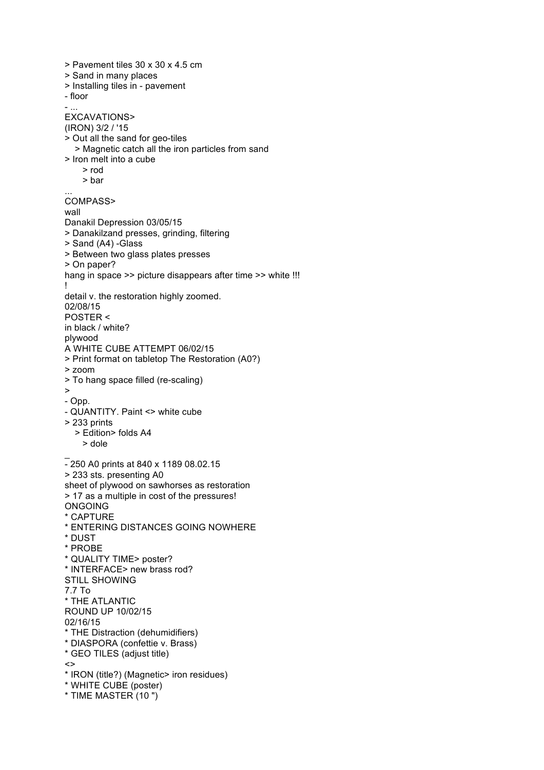> Pavement tiles 30 x 30 x 4.5 cm > Sand in many places > Installing tiles in - pavement - floor - ... EXCAVATIONS> (IRON) 3/2 / '15 > Out all the sand for geo -tiles > Magnetic catch all the iron particles from sand > Iron melt into a cube > rod > bar ... COMPASS> wall Danakil Depression 03/05/15 > Danakilzand presses, grinding, filtering > Sand (A4) -Glass > Between two glass plates presses > On paper? hang in space >> picture disappears after time >> white !!! ! detail v. the restoration highly zoomed. 02/08/15 POSTER < in black / white? plywood A WHITE CUBE ATTEMPT 06/02/15 > Print format on tabletop The Restoration (A0?) > zoom > To hang space filled (re -scaling) >- Opp. - QUANTITY. Paint <> white cube > 233 prints > Edition> folds A4 > dole \_- 250 A0 prints at 840 x 1189 08.02.15 > 233 sts. presenting A0 sheet of plywood on sawhorses as restoration > 17 as a multiple in cost of the pressures! ONGOING \* CAPTURE \* ENTERING DISTANCES GOING NOWHERE \* DUST \* PROBE \* QUALITY TIME> poster? \* INTERFACE> new brass rod? STILL SHOWING 7.7 To \* THE ATLANTIC ROUND UP 10/02/15 02/16/15 \* THE Distraction (dehumidifiers) \* DIASPORA (confettie v. Brass) \* GEO TILES (adjust title)  $\leftrightarrow$ \* IRON (title?) (Magnetic> iron residues) \* WHITE CUBE (poster) \* TIME MASTER (10 ")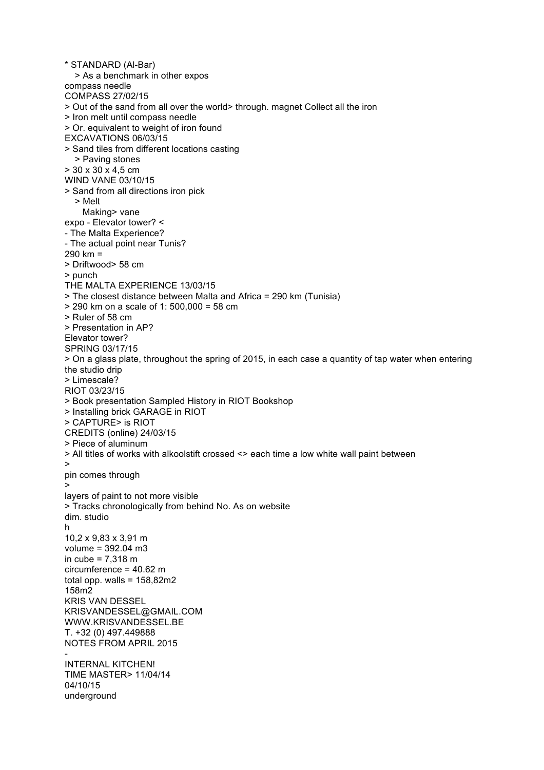\* STANDARD (Al-Bar) > As a benchmark in other expos compass needle COMPASS 27/02/15 > Out of the sand from all over the world> through. magnet Collect all the iron > Iron melt until compass needle > Or. equivalent to weight of iron found EXCAVATIONS 06/03/15 > Sand tiles from different locations casting > Paving stones > 30 x 30 x 4,5 cm WIND VANE 03/10/15 > Sand from all directions iron pick > Melt Making> vane expo - Elevator tower? < - The Malta Experience? - The actual point near Tunis? 290 km = > Driftwood> 58 cm > punch THE MALTA EXPERIENCE 13/03/15 > The closest distance between Malta and Africa = 290 km (Tunisia) > 290 km on a scale of 1: 500,000 = 58 cm > Ruler of 58 cm > Presentation in AP? Elevator tower? SPRING 03/17/15 > On a glass plate, throughout the spring of 2015, in each case a quantity of tap water when entering the studio drip > Limescale? RIOT 03/23/15 > Book presentation Sampled History in RIOT Bookshop > Installing brick GARAGE in RIOT > CAPTURE> is RIOT CREDITS (online) 24/03/15 > Piece of aluminum > All titles of works with alkoolstift crossed <> each time a low white wall paint between > pin comes through > layers of paint to not more visible > Tracks chronologically from behind No. As on website dim. studio h 10,2 x 9,83 x 3,91 m volume = 392.04 m3 in cube = 7,318 m circumference = 40.62 m total opp. walls =  $158,82m2$ 158m2 KRIS VAN DESSEL KRISVANDESSEL@GMAIL.COM WWW.KRISVANDESSEL.BE T. +32 (0) 497.449888 NOTES FROM APRIL 2015 - INTERNAL KITCHEN! TIME MASTER> 11/04/14 04/10/15 underground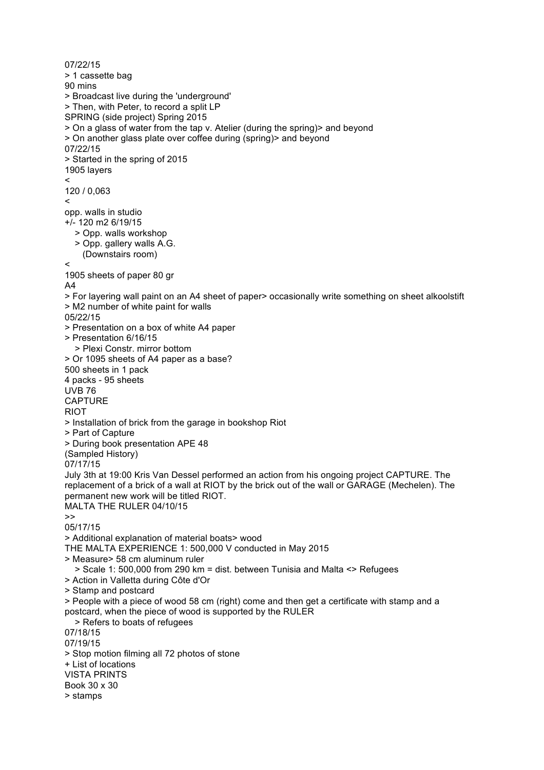07/22/15 > 1 cassette bag 90 mins > Broadcast live during the 'underground' > Then, with Peter, to record a split LP SPRING (side project) Spring 2015 > On a glass of water from the tap v. Atelier (during the spring)> and beyond > On another glass plate over coffee during (spring)> and beyond 07/22/15 > Started in the spring of 2015 1905 layers  $\epsilon$ 120 / 0,063  $\,<\,$ opp. walls in studio +/- 120 m2 6/19/15 > Opp. walls workshop > Opp. gallery walls A.G. (Downstairs room)  $\prec$ 1905 sheets of paper 80 gr A4 > For layering wall paint on an A4 sheet of paper> occasionally write something on sheet alkoolstift > M2 number of white paint for walls 05/22/15 > Presentation on a box of white A4 paper > Presentation 6/16/15 > Plexi Constr. mirror bottom > Or 1095 sheets of A4 paper as a base? 500 sheets in 1 pack 4 packs - 95 sheets UVB 76 CAPTURE **RIOT** > Installation of brick from the garage in bookshop Riot > Part of Capture > During book presentation APE 48 (Sampled History) 07/17/15 July 3th at 19:00 Kris Van Dessel performed an action from his ongoing project CAPTURE. The replacement of a brick of a wall at RIOT by the brick out of the wall or GARAGE (Mechelen). The permanent new work will be titled RIOT. MALTA THE RULER 04/10/15 >> 05/17/15 > Additional explanation of material boats> wood THE MALTA EXPERIENCE 1: 500,000 V conducted in May 2015 > Measure> 58 cm aluminum ruler > Scale 1: 500,000 from 290 km = dist. between Tunisia and Malta <> Refugees > Action in Valletta during Côte d'Or > Stamp and postcard > People with a piece of wood 58 cm (right) come and then get a certificate with stamp and a postcard, when the piece of wood is supported by the RULER > Refers to boats of refugees 07/18/15 07/19/15 > Stop motion filming all 72 photos of stone + List of locations VISTA PRINTS Book 30 x 30 > stamps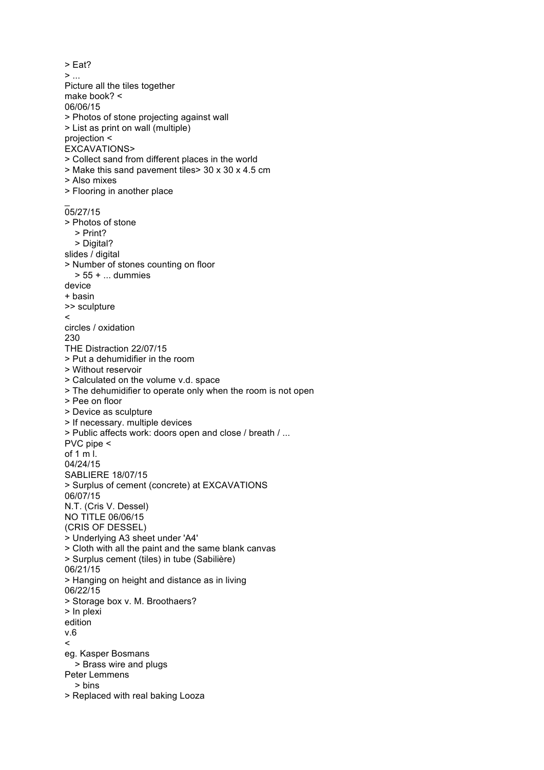> Eat?  $>$   $\dots$ Picture all the tiles together make book? < 06/06/15 > Photos of stone projecting against wall > List as print on wall (multiple) projection < EXCAVATIONS> > Collect sand from different places in the world > Make this sand pavement tiles> 30 x 30 x 4.5 cm > Also mixes > Flooring in another place \_ 05/27/15 > Photos of stone > Print? > Digital? slides / digital > Number of stones counting on floor > 55 + ... dummies device + basin >> sculpture  $\prec$ circles / oxidation 230 THE Distraction 22/07/15 > Put a dehumidifier in the room > Without reservoir > Calculated on the volume v.d. space > The dehumidifier to operate only when the room is not open > Pee on floor > Device as sculpture > If necessary. multiple devices > Public affects work: doors open and close / breath / ... PVC pipe < of 1 m l. 04/24/15 SABLIERE 18/07/15 > Surplus of cement (concrete) at EXCAVATIONS 06/07/15 N.T. (Cris V. Dessel) NO TITLE 06/06/15 (CRIS OF DESSEL) > Underlying A3 sheet under 'A4' > Cloth with all the paint and the same blank canvas > Surplus cement (tiles) in tube (Sabilière) 06/21/15 > Hanging on height and distance as in living 06/22/15 > Storage box v. M. Broothaers? > In plexi edition v.6  $\epsilon$ eg. Kasper Bosmans > Brass wire and plugs Peter Lemmens > bins > Replaced with real baking Looza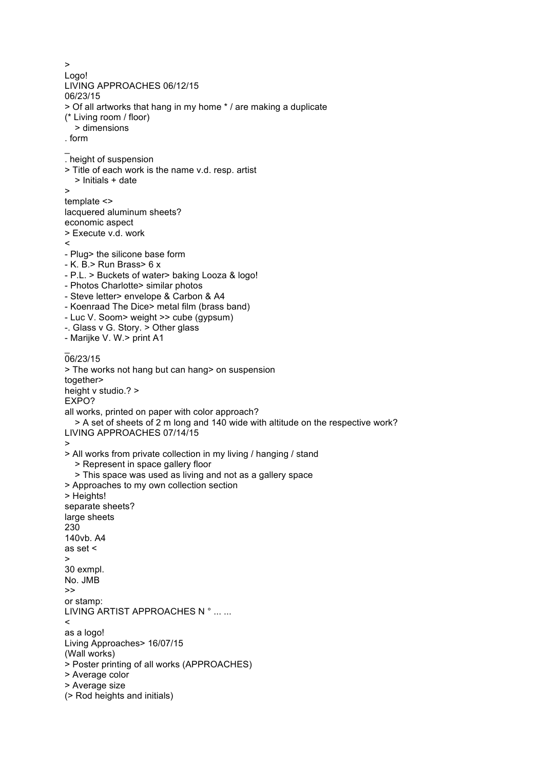> Logo! LIVING APPROACHES 06/12/15 06/23/15 > Of all artworks that hang in my home \* / are making a duplicate (\* Living room / floor) > dimensions . form  $\overline{a}$ . height of suspension > Title of each work is the name v.d. resp. artist > Initials + date > template <> lacquered aluminum sheets? economic aspect > Execute v.d. work  $\prec$ - Plug> the silicone base form - K. B.> Run Brass> 6 x - P.L. > Buckets of water> baking Looza & logo! - Photos Charlotte> similar photos - Steve letter> envelope & Carbon & A4 - Koenraad The Dice> metal film (brass band) - Luc V. Soom> weight >> cube (gypsum) -. Glass v G. Story. > Other glass - Marijke V. W.> print A1 \_ 06/23/15 > The works not hang but can hang> on suspension together> height v studio.? > EXPO? all works, printed on paper with color approach? > A set of sheets of 2 m long and 140 wide with altitude on the respective work? LIVING APPROACHES 07/14/15 > > All works from private collection in my living / hanging / stand > Represent in space gallery floor > This space was used as living and not as a gallery space > Approaches to my own collection section > Heights! separate sheets? large sheets 230 140vb. A4 as set < > 30 exmpl. No. JMB >> or stamp: LIVING ARTIST APPROACHES N ° ... ...  $\prec$ as a logo! Living Approaches> 16/07/15 (Wall works) > Poster printing of all works (APPROACHES) > Average color > Average size (> Rod heights and initials)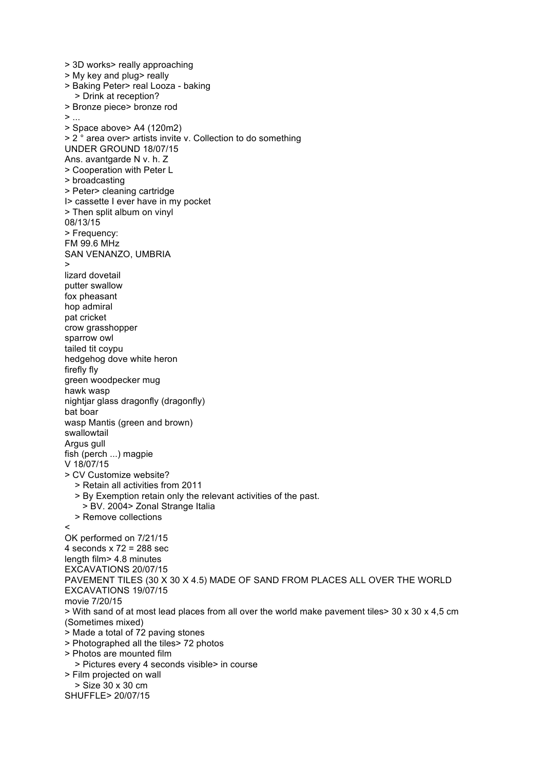> 3D works> really approaching > My key and plug> really > Baking Peter> real Looza - baking > Drink at reception? > Bronze piece> bronze rod  $>$  ... > Space above> A4 (120m2) > 2 ° area over> artists invite v. Collection to do something UNDER GROUND 18/07/15 Ans. avantgarde N v. h. Z > Cooperation with Peter L > broadcasting > Peter> cleaning cartridge I> cassette I ever have in my pocket > Then split album on vinyl 08/13/15 > Frequency: FM 99.6 MHz SAN VENANZO, UMBRIA > lizard dovetail putter swallow fox pheasant hop admiral pat cricket crow grasshopper sparrow owl tailed tit coypu hedgehog dove white heron firefly fly green woodpecker mug hawk wasp nightjar glass dragonfly (dragonfly) bat boar wasp Mantis (green and brown) swallowtail Argus gull fish (perch ...) magpie V 18/07/15 > CV Customize website? > Retain all activities from 2011 > By Exemption retain only the relevant activities of the past. > BV. 2004> Zonal Strange Italia > Remove collections  $\overline{a}$ OK performed on 7/21/15 4 seconds  $x$  72 = 288 sec length film> 4.8 minutes EXCAVATIONS 20/07/15 PAVEMENT TILES (30 X 30 X 4.5) MADE OF SAND FROM PLACES ALL OVER THE WORLD EXCAVATIONS 19/07/15 movie 7/20/15 > With sand of at most lead places from all over the world make pavement tiles> 30 x 30 x 4,5 cm (Sometimes mixed) > Made a total of 72 paving stones > Photographed all the tiles> 72 photos > Photos are mounted film > Pictures every 4 seconds visible> in course > Film projected on wall > Size 30 x 30 cm SHUFFLE> 20/07/15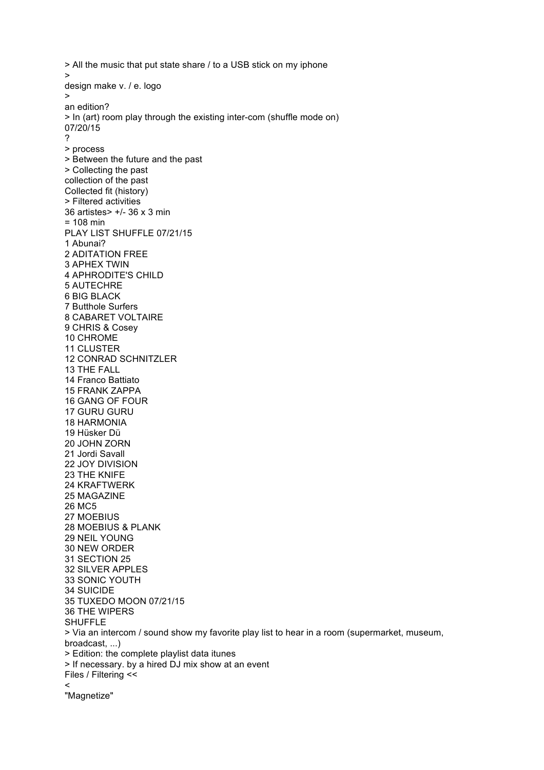> All the music that put state share / to a USB stick on my iphone > design make v. / e. logo > an edition? > In (art) room play through the existing inter-com (shuffle mode on) 07/20/15 ? > process > Between the future and the past > Collecting the past collection of the past Collected fit (history) > Filtered activities 36 artistes> +/- 36 x 3 min = 108 min PLAY LIST SHUFFLE 07/21/15 1 Abunai? 2 ADITATION FREE 3 APHEX TWIN 4 APHRODITE'S CHILD 5 AUTECHRE 6 BIG BLACK 7 Butthole Surfers 8 CABARET VOLTAIRE 9 CHRIS & Cosey 10 CHROME 11 CLUSTER 12 CONRAD SCHNITZLER 13 THE FALL 14 Franco Battiato 15 FRANK ZAPPA 16 GANG OF FOUR 17 GURU GURU 18 HARMONIA 19 Hüsker Dü 20 JOHN ZORN 21 Jordi Savall 22 JOY DIVISION 23 THE KNIFE 24 KRAFTWERK 25 MAGAZINE 26 MC5 27 MOEBIUS 28 MOEBIUS & PLANK 29 NEIL YOUNG 30 NEW ORDER 31 SECTION 25 32 SILVER APPLES 33 SONIC YOUTH 34 SUICIDE 35 TUXEDO MOON 07/21/15 36 THE WIPERS **SHUFFLE** > Via an intercom / sound show my favorite play list to hear in a room (supermarket, museum, broadcast, ...) > Edition: the complete playlist data itunes > If necessary. by a hired DJ mix show at an event Files / Filtering <<  $\prec$ "Magnetize"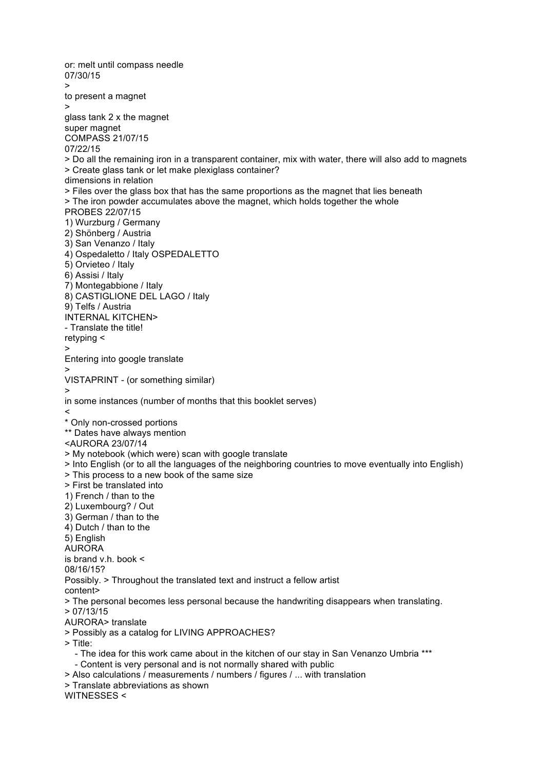or: melt until compass needle 07/30/15 > to present a magnet > glass tank 2 x the magnet super magnet COMPASS 21/07/15 07/22/15 > Do all the remaining iron in a transparent container, mix with water, there will also add to magnets > Create glass tank or let make plexiglass container? dimensions in relation > Files over the glass box that has the same proportions as the magnet that lies beneath > The iron powder accumulates above the magnet, which holds together the whole PROBES 22/07/15 1) Wurzburg / Germany 2) Shönberg / Austria 3) San Venanzo / Italy 4) Ospedaletto / Italy OSPEDALETTO 5) Orvieteo / Italy 6) Assisi / Italy 7) Montegabbione / Italy 8) CASTIGLIONE DEL LAGO / Italy 9) Telfs / Austria INTERNAL KITCHEN> - Translate the title! retyping < > Entering into google translate > VISTAPRINT - (or something similar) > in some instances (number of months that this booklet serves)  $\prec$ \* Only non-crossed portions \*\* Dates have always mention <AURORA 23/07/14 > My notebook (which were) scan with google translate > Into English (or to all the languages of the neighboring countries to move eventually into English) > This process to a new book of the same size > First be translated into 1) French / than to the 2) Luxembourg? / Out 3) German / than to the 4) Dutch / than to the 5) English AURORA is brand v.h. book < 08/16/15? Possibly. > Throughout the translated text and instruct a fellow artist content> > The personal becomes less personal because the handwriting disappears when translating. > 07/13/15 AURORA> translate > Possibly as a catalog for LIVING APPROACHES? > Title: - The idea for this work came about in the kitchen of our stay in San Venanzo Umbria \*\*\* - Content is very personal and is not normally shared with public > Also calculations / measurements / numbers / figures / ... with translation > Translate abbreviations as shown WITNESSES <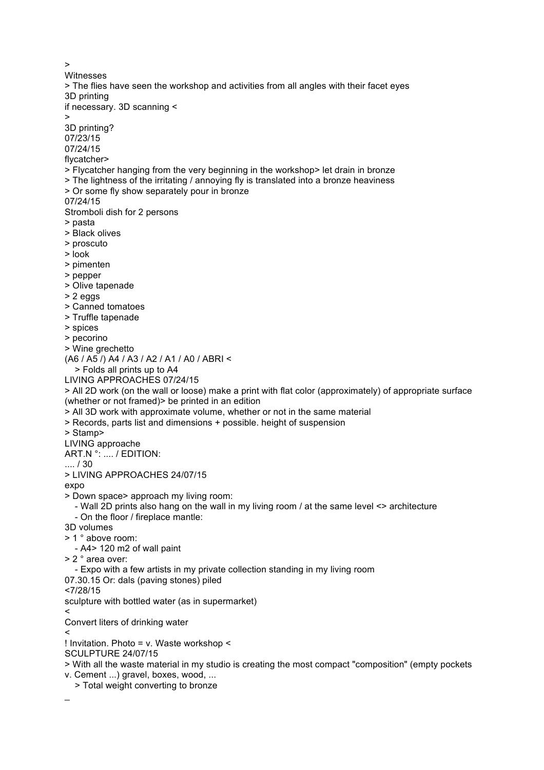> Witnesses > The flies have seen the workshop and activities from all angles with their facet eyes 3D printing if necessary. 3D scanning < > 3D printing? 07/23/15 07/24/15 flycatcher> > Flycatcher hanging from the very beginning in the workshop> let drain in bronze > The lightness of the irritating / annoying fly is translated into a bronze heaviness > Or some fly show separately pour in bronze 07/24/15 Stromboli dish for 2 persons > pasta > Black olives > proscuto > look > pimenten > pepper > Olive tapenade > 2 eggs > Canned tomatoes > Truffle tapenade > spices > pecorino > Wine grechetto (A6 / A5 /) A4 / A3 / A2 / A1 / A0 / ABRI < > Folds all prints up to A4 LIVING APPROACHES 07/24/15 > All 2D work (on the wall or loose) make a print with flat color (approximately) of appropriate surface (whether or not framed)> be printed in an edition > All 3D work with approximate volume, whether or not in the same material > Records, parts list and dimensions + possible. height of suspension > Stamp> LIVING approache ART.N °: .... / EDITION: .... / 30 > LIVING APPROACHES 24/07/15 expo > Down space> approach my living room: - Wall 2D prints also hang on the wall in my living room / at the same level <> architecture - On the floor / fireplace mantle: 3D volumes > 1 ° above room: - A4> 120 m2 of wall paint > 2 ° area over: - Expo with a few artists in my private collection standing in my living room 07.30.15 Or: dals (paving stones) piled <7/28/15 sculpture with bottled water (as in supermarket)  $\,<\,$ Convert liters of drinking water  $\epsilon$ ! Invitation. Photo = v. Waste workshop < SCULPTURE 24/07/15 > With all the waste material in my studio is creating the most compact "composition" (empty pockets v. Cement ...) gravel, boxes, wood, ... > Total weight converting to bronze \_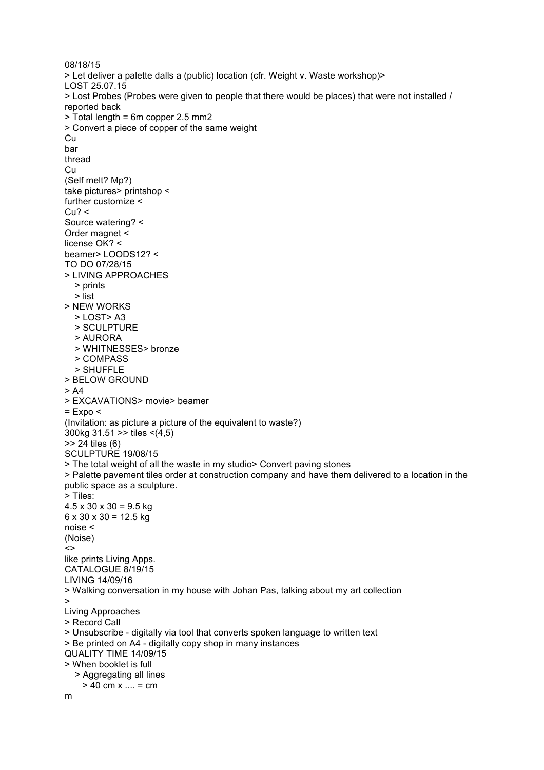08/18/15 > Let deliver a palette dalls a (public) location (cfr. Weight v. Waste workshop)> LOST 25.07.15 > Lost Probes (Probes were given to people that there would be places) that were not installed / reported back > Total length = 6m copper 2.5 mm2 > Convert a piece of copper of the same weight **Cu** bar thread **Cu** (Self melt? Mp?) take pictures> printshop < further customize <  $Cu? <$ Source watering? < Order magnet < license OK? < beamer> LOODS12? < TO DO 07/28/15 > LIVING APPROACHES > prints > list > NEW WORKS  $>$  LOST $>$ A3 > SCULPTURE > AURORA > WHITNESSES> bronze > COMPASS > SHUFFLE > BELOW GROUND  $> A4$ > EXCAVATIONS> movie> beamer  $=$  Expo  $\le$ (Invitation: as picture a picture of the equivalent to waste?) 300kg 31.51 >> tiles <(4,5) >> 24 tiles (6) SCULPTURE 19/08/15 > The total weight of all the waste in my studio> Convert paving stones > Palette pavement tiles order at construction company and have them delivered to a location in the public space as a sculpture. > Tiles:  $4.5 \times 30 \times 30 = 9.5$  kg  $6 \times 30 \times 30 = 12.5$  kg noise < (Noise)  $\leftrightarrow$ like prints Living Apps. CATALOGUE 8/19/15 LIVING 14/09/16 > Walking conversation in my house with Johan Pas, talking about my art collection > Living Approaches > Record Call > Unsubscribe - digitally via tool that converts spoken language to written text > Be printed on A4 - digitally copy shop in many instances QUALITY TIME 14/09/15 > When booklet is full > Aggregating all lines  $> 40$  cm x .... = cm m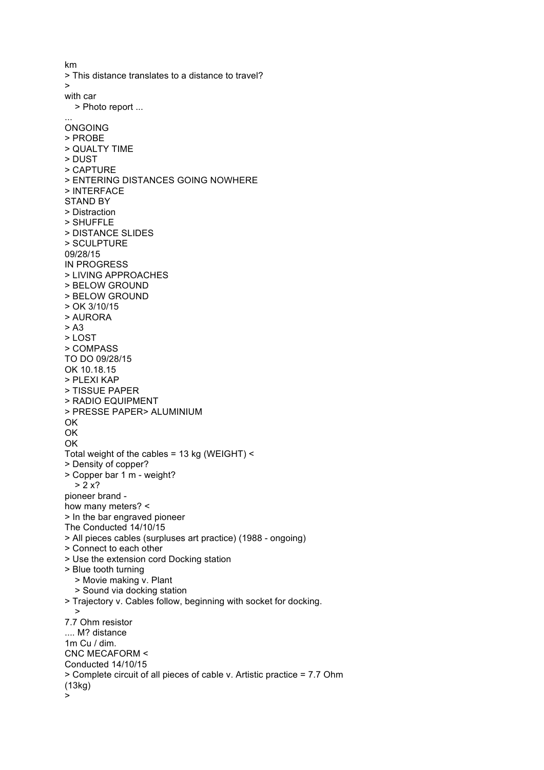km > This distance translates to a distance to travel? > with car > Photo report ... ... ONGOING > PROBE > QUALTY TIME > DUST > CAPTURE > ENTERING DISTANCES GOING NOWHERE > INTERFACE STAND BY > Distraction > SHUFFLE > DISTANCE SLIDES > SCULPTURE 09/28/15 IN PROGRESS > LIVING APPROACHES > BELOW GROUND > BELOW GROUND > OK 3/10/15 > AURORA > A3 > LOST > COMPASS TO DO 09/28/15 OK 10.18.15 > PLEXI KAP > TISSUE PAPER > RADIO EQUIPMENT > PRESSE PAPER> ALUMINIUM OK OK OK Total weight of the cables = 13 kg (WEIGHT) < > Density of copper? > Copper bar 1 m - weight?  $> 2x$ ? pioneer brand how many meters? < > In the bar engraved pioneer The Conducted 14/10/15 > All pieces cables (surpluses art practice) (1988 - ongoing) > Connect to each other > Use the extension cord Docking station > Blue tooth turning > Movie making v. Plant > Sound via docking station > Trajectory v. Cables follow, beginning with socket for docking. > 7.7 Ohm resistor .... M? distance 1m Cu / dim. CNC MECAFORM < Conducted 14/10/15 > Complete circuit of all pieces of cable v. Artistic practice = 7.7 Ohm (13kg) >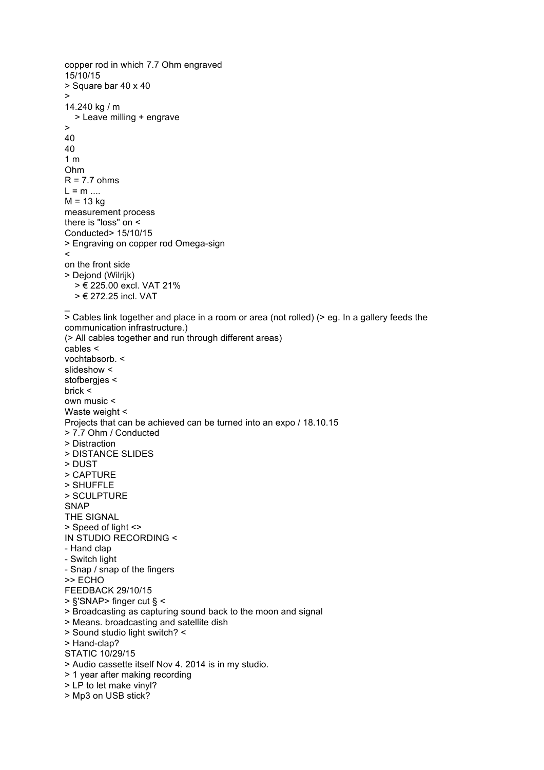```
copper rod in which 7.7 Ohm engraved
15/10/15
> Square bar 40 x 40
\rightarrow14.240 kg / m
   > Leave milling + engrave
\ddot{\phantom{1}}40
40
1 m
Ohm
R = 7.7 ohms
L = m ....
M = 13 kg
measurement process
there is "loss" on <
Conducted> 15/10/15
> Engraving on copper rod Omega-sign
\precon the front side
> Dejond (Wilrijk)
   > € 225.00 excl. VAT 21%
   > € 272.25 incl. VAT
\overline{a}> Cables link together and place in a room or area (not rolled) (> eg. In a gallery feeds the 
communication infrastructure.)
(> All cables together and run through different areas)
cables <
vochtabsorb. <
slideshow <
stofbergjes <
brick <
own music <
Waste weight <
Projects that can be achieved can be turned into an expo / 18.10.15
> 7.7 Ohm / Conducted
> Distraction
> DISTANCE SLIDES
> DUST
> CAPTURE
> SHUFFLE
> SCULPTURE
SNAP
THE SIGNAL
> Speed of light <>
IN STUDIO RECORDING <
- Hand clap
- Switch light
- Snap / snap of the fingers
>> ECHO
FEEDBACK 29/10/15
> §'SNAP> finger cut § <
> Broadcasting as capturing sound back to the moon and signal
> Means. broadcasting and satellite dish
> Sound studio light switch? <
> Hand-clap?
STATIC 10/29/15
> Audio cassette itself Nov 4. 2014 is in my studio.
> 1 year after making recording
> LP to let make vinyl?
> Mp3 on USB stick?
```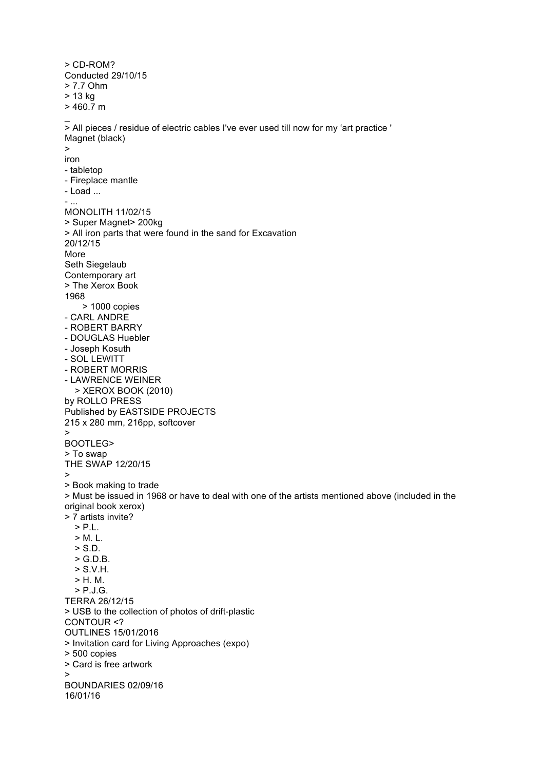> CD-ROM? Conducted 29/10/15 > 7.7 Ohm > 13 kg  $> 460.7 m$ \_  $\geq$  All pieces / residue of electric cables I've ever used till now for my 'art practice ' Magnet (black) > iron - tabletop - Fireplace mantle - Load ... - ... MONOLITH 11/02/15 > Super Magnet> 200kg > All iron parts that were found in the sand for Excavation 20/12/15 More Seth Siegelaub Contemporary art > The Xerox Book 1968 > 1000 copies - CARL ANDRE - ROBERT BARRY - DOUGLAS Huebler - Joseph Kosuth - SOL LEWITT - ROBERT MORRIS - LAWRENCE WEINER > XEROX BOOK (2010) by ROLLO PRESS Published by EASTSIDE PROJECTS 215 x 280 mm, 216pp, softcover > BOOTLEG> > To swap THE SWAP 12/20/15 > > Book making to trade > Must be issued in 1968 or have to deal with one of the artists mentioned above (included in the original book xerox) > 7 artists invite?  $>$  P $\perp$  $> M. L.$  > S.D. > G.D.B. > S.V.H. > H. M. > P.J.G. TERRA 26/12/15 > USB to the collection of photos of drift-plastic CONTOUR <? OUTLINES 15/01/2016 > Invitation card for Living Approaches (expo) > 500 copies > Card is free artwork > BOUNDARIES 02/09/16 16/01/16